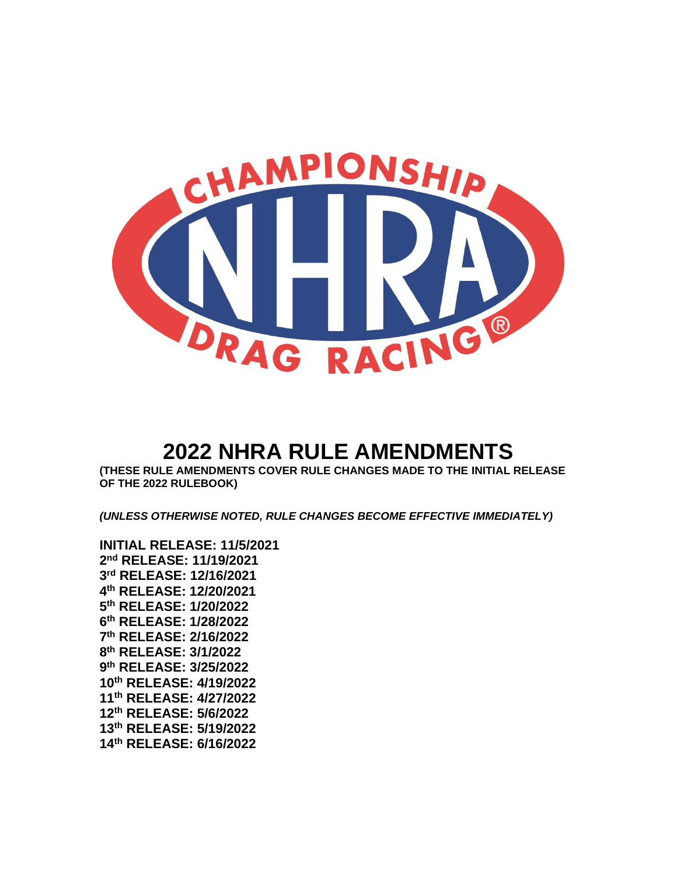

**(THESE RULE AMENDMENTS COVER RULE CHANGES MADE TO THE INITIAL RELEASE OF THE 2022 RULEBOOK)**

*(UNLESS OTHERWISE NOTED, RULE CHANGES BECOME EFFECTIVE IMMEDIATELY)*

**INITIAL RELEASE: 11/5/2021 nd RELEASE: 11/19/2021 rd RELEASE: 12/16/2021 th RELEASE: 12/20/2021 th RELEASE: 1/20/2022 th RELEASE: 1/28/2022 th RELEASE: 2/16/2022 th RELEASE: 3/1/2022 th RELEASE: 3/25/2022 th RELEASE: 4/19/2022 th RELEASE: 4/27/2022 th RELEASE: 5/6/2022 th RELEASE: 5/19/2022 th RELEASE: 6/16/2022**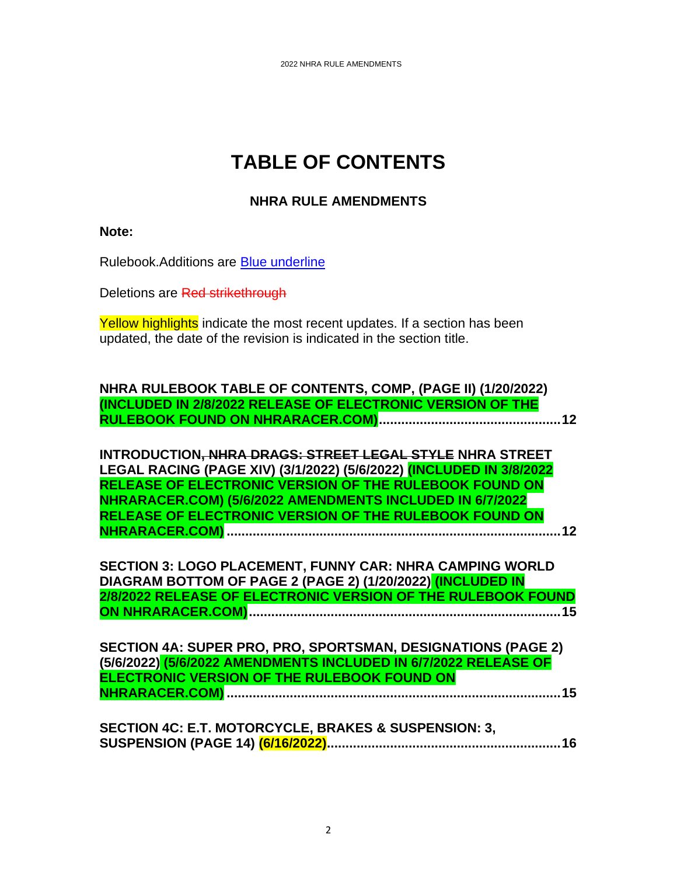# **TABLE OF CONTENTS**

# **NHRA RULE AMENDMENTS**

**Note:**

Rulebook.Additions are Blue underline

Deletions are Red strikethrough

Yellow highlights indicate the most recent updates. If a section has been updated, the date of the revision is indicated in the section title.

| NHRA RULEBOOK TABLE OF CONTENTS, COMP, (PAGE II) (1/20/2022)        |
|---------------------------------------------------------------------|
| (INCLUDED IN 2/8/2022 RELEASE OF ELECTRONIC VERSION OF THE          |
|                                                                     |
|                                                                     |
| INTRODUCTION, NHRA DRAGS: STREET LEGAL STYLE NHRA STREET            |
| LEGAL RACING (PAGE XIV) (3/1/2022) (5/6/2022) (INCLUDED IN 3/8/2022 |
| RELEASE OF ELECTRONIC VERSION OF THE RULEBOOK FOUND ON              |
| NHRARACER.COM) (5/6/2022 AMENDMENTS INCLUDED IN 6/7/2022            |
|                                                                     |
| RELEASE OF ELECTRONIC VERSION OF THE RULEBOOK FOUND ON              |
| . 12                                                                |
|                                                                     |
| SECTION 3: LOGO PLACEMENT, FUNNY CAR: NHRA CAMPING WORLD            |
| DIAGRAM BOTTOM OF PAGE 2 (PAGE 2) (1/20/2022) (INCLUDED IN          |
| 2/8/2022 RELEASE OF ELECTRONIC VERSION OF THE RULEBOOK FOUND        |
| 15                                                                  |
|                                                                     |
|                                                                     |
| SECTION 4A: SUPER PRO, PRO, SPORTSMAN, DESIGNATIONS (PAGE 2)        |
| (5/6/2022) (5/6/2022 AMENDMENTS INCLUDED IN 6/7/2022 RELEASE OF     |
| ELECTRONIC VERSION OF THE RULEBOOK FOUND ON                         |
|                                                                     |
|                                                                     |
|                                                                     |
| <b>SECTION 4C: E.T. MOTORCYCLE, BRAKES &amp; SUSPENSION: 3,</b>     |
|                                                                     |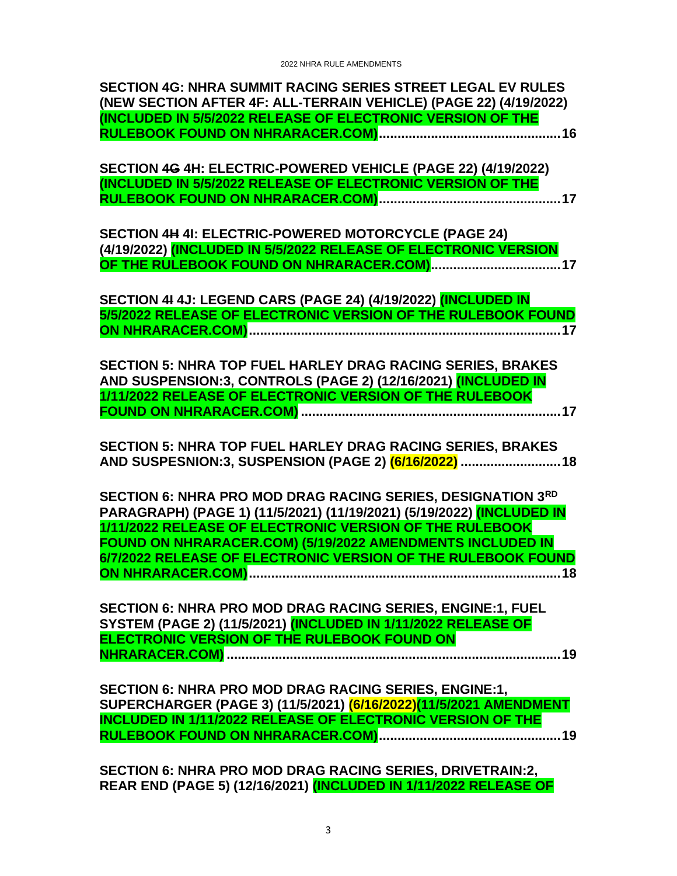| SECTION 4G: NHRA SUMMIT RACING SERIES STREET LEGAL EV RULES<br>(NEW SECTION AFTER 4F: ALL-TERRAIN VEHICLE) (PAGE 22) (4/19/2022)<br>(INCLUDED IN 5/5/2022 RELEASE OF ELECTRONIC VERSION OF THE                                                               |
|--------------------------------------------------------------------------------------------------------------------------------------------------------------------------------------------------------------------------------------------------------------|
|                                                                                                                                                                                                                                                              |
| SECTION 4G 4H: ELECTRIC-POWERED VEHICLE (PAGE 22) (4/19/2022)<br>(INCLUDED IN 5/5/2022 RELEASE OF ELECTRONIC VERSION OF THE                                                                                                                                  |
| SECTION 4H 4I: ELECTRIC-POWERED MOTORCYCLE (PAGE 24)<br>(4/19/2022) (INCLUDED IN 5/5/2022 RELEASE OF ELECTRONIC VERSION                                                                                                                                      |
| SECTION 41 4J: LEGEND CARS (PAGE 24) (4/19/2022) (INCLUDED IN<br>5/5/2022 RELEASE OF ELECTRONIC VERSION OF THE RULEBOOK FOUND                                                                                                                                |
|                                                                                                                                                                                                                                                              |
| SECTION 5: NHRA TOP FUEL HARLEY DRAG RACING SERIES, BRAKES<br>AND SUSPENSION:3, CONTROLS (PAGE 2) (12/16/2021) (INCLUDED IN<br>1/11/2022 RELEASE OF ELECTRONIC VERSION OF THE RULEBOOK                                                                       |
| SECTION 5: NHRA TOP FUEL HARLEY DRAG RACING SERIES, BRAKES<br>AND SUSPESNION:3, SUSPENSION (PAGE 2) (6/16/2022)  18                                                                                                                                          |
| SECTION 6: NHRA PRO MOD DRAG RACING SERIES, DESIGNATION 3RD<br>PARAGRAPH) (PAGE 1) (11/5/2021) (11/19/2021) (5/19/2022) (INCLUDED IN<br>1/11/2022 RELEASE OF ELECTRONIC VERSION OF THE RULEBOOK<br>FOUND ON NHRARACER.COM) (5/19/2022 AMENDMENTS INCLUDED IN |
| 6/7/2022 RELEASE OF ELECTRONIC VERSION OF THE RULEBOOK FOUND                                                                                                                                                                                                 |
| SECTION 6: NHRA PRO MOD DRAG RACING SERIES, ENGINE:1, FUEL<br>SYSTEM (PAGE 2) (11/5/2021) (INCLUDED IN 1/11/2022 RELEASE OF<br>ELECTRONIC VERSION OF THE RULEBOOK FOUND ON                                                                                   |
| SECTION 6: NHRA PRO MOD DRAG RACING SERIES, ENGINE:1,<br>SUPERCHARGER (PAGE 3) (11/5/2021) (6/16/2022)(11/5/2021 AMENDMENT                                                                                                                                   |
| SECTION 6: NHRA PRO MOD DRAG RACING SERIES, DRIVETRAIN:2,<br>REAR END (PAGE 5) (12/16/2021) (INCLUDED IN 1/11/2022 RELEASE OF                                                                                                                                |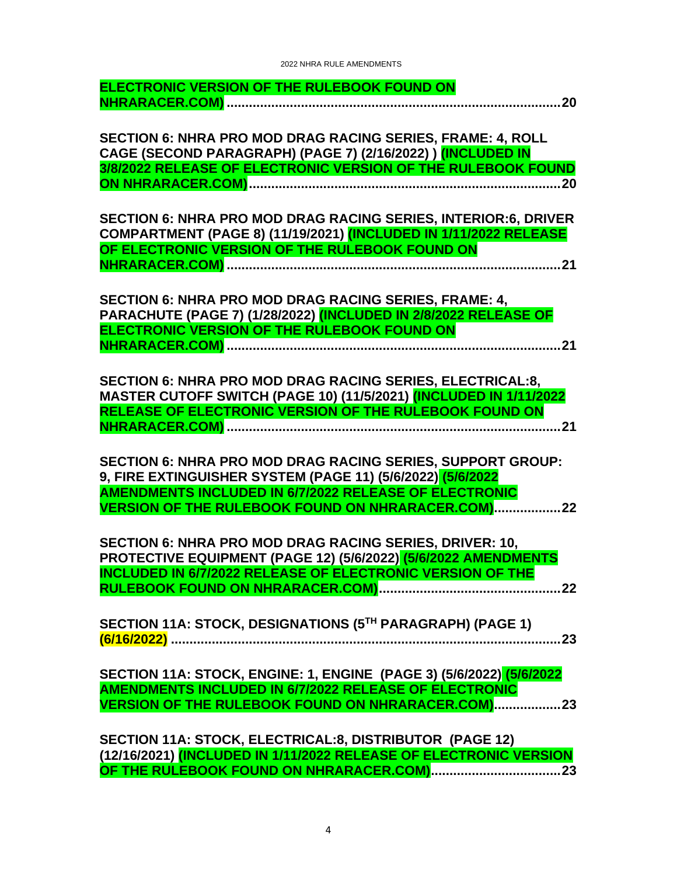| ELECTRONIC VERSION OF THE RULEBOOK FOUND ON                                                                                                                                                                                                          |
|------------------------------------------------------------------------------------------------------------------------------------------------------------------------------------------------------------------------------------------------------|
| SECTION 6: NHRA PRO MOD DRAG RACING SERIES, FRAME: 4, ROLL<br>CAGE (SECOND PARAGRAPH) (PAGE 7) (2/16/2022)) (INCLUDED IN<br>3/8/2022 RELEASE OF ELECTRONIC VERSION OF THE RULEBOOK FOUND                                                             |
| SECTION 6: NHRA PRO MOD DRAG RACING SERIES, INTERIOR:6, DRIVER<br>COMPARTMENT (PAGE 8) (11/19/2021) (INCLUDED IN 1/11/2022 RELEASE<br>OF ELECTRONIC VERSION OF THE RULEBOOK FOUND ON                                                                 |
| SECTION 6: NHRA PRO MOD DRAG RACING SERIES, FRAME: 4,<br>PARACHUTE (PAGE 7) (1/28/2022) (INCLUDED IN 2/8/2022 RELEASE OF<br>ELECTRONIC VERSION OF THE RULEBOOK FOUND ON                                                                              |
| SECTION 6: NHRA PRO MOD DRAG RACING SERIES, ELECTRICAL:8,<br>MASTER CUTOFF SWITCH (PAGE 10) (11/5/2021) (INCLUDED IN 1/11/2022<br>RELEASE OF ELECTRONIC VERSION OF THE RULEBOOK FOUND ON                                                             |
| SECTION 6: NHRA PRO MOD DRAG RACING SERIES, SUPPORT GROUP:<br>9, FIRE EXTINGUISHER SYSTEM (PAGE 11) (5/6/2022) (5/6/2022<br><b>AMENDMENTS INCLUDED IN 6/7/2022 RELEASE OF ELECTRONIC</b><br><b>VERSION OF THE RULEBOOK FOUND ON NHRARACER.COM)22</b> |
| SECTION 6: NHRA PRO MOD DRAG RACING SERIES, DRIVER: 10,<br>PROTECTIVE EQUIPMENT (PAGE 12) (5/6/2022) (5/6/2022 AMENDMENTS<br><b>INCLUDED IN 6/7/2022 RELEASE OF ELECTRONIC VERSION OF THE</b>                                                        |
| SECTION 11A: STOCK, DESIGNATIONS (5TH PARAGRAPH) (PAGE 1)                                                                                                                                                                                            |
| SECTION 11A: STOCK, ENGINE: 1, ENGINE (PAGE 3) (5/6/2022) (5/6/2022<br><b>AMENDMENTS INCLUDED IN 6/7/2022 RELEASE OF ELECTRONIC</b><br><b>VERSION OF THE RULEBOOK FOUND ON NHRARACER.COM)23</b>                                                      |
| SECTION 11A: STOCK, ELECTRICAL:8, DISTRIBUTOR (PAGE 12)<br>(12/16/2021) (INCLUDED IN 1/11/2022 RELEASE OF ELECTRONIC VERSION                                                                                                                         |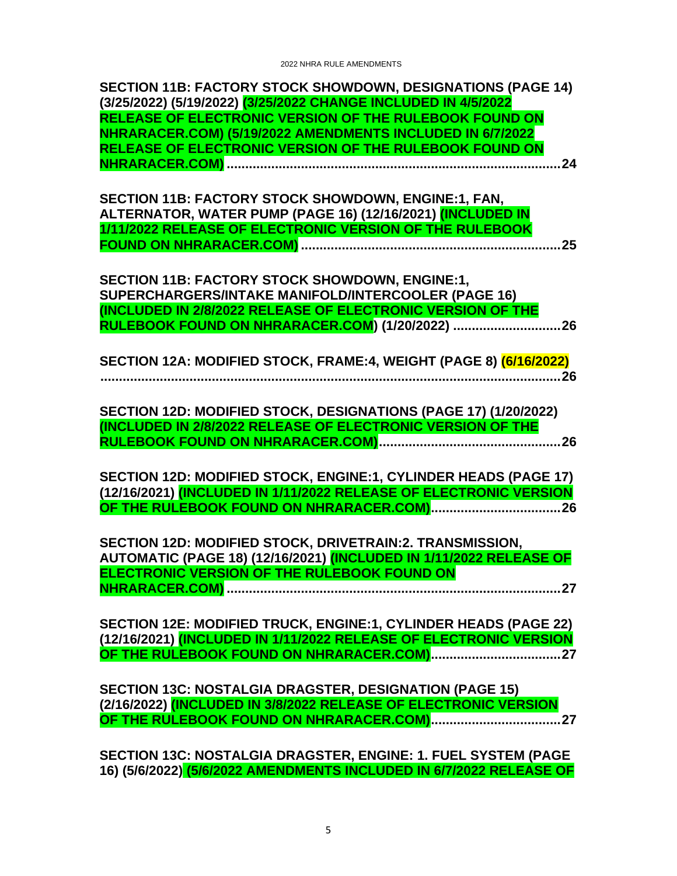| <b>SECTION 11B: FACTORY STOCK SHOWDOWN, DESIGNATIONS (PAGE 14)</b><br>(3/25/2022) (5/19/2022) (3/25/2022 CHANGE INCLUDED IN 4/5/2022<br>RELEASE OF ELECTRONIC VERSION OF THE RULEBOOK FOUND ON<br>NHRARACER.COM) (5/19/2022 AMENDMENTS INCLUDED IN 6/7/2022<br>RELEASE OF ELECTRONIC VERSION OF THE RULEBOOK FOUND ON |
|-----------------------------------------------------------------------------------------------------------------------------------------------------------------------------------------------------------------------------------------------------------------------------------------------------------------------|
| SECTION 11B: FACTORY STOCK SHOWDOWN, ENGINE:1, FAN,<br>ALTERNATOR, WATER PUMP (PAGE 16) (12/16/2021) (INCLUDED IN<br>1/11/2022 RELEASE OF ELECTRONIC VERSION OF THE RULEBOOK                                                                                                                                          |
| <b>SECTION 11B: FACTORY STOCK SHOWDOWN, ENGINE:1,</b><br>SUPERCHARGERS/INTAKE MANIFOLD/INTERCOOLER (PAGE 16)<br>(INCLUDED IN 2/8/2022 RELEASE OF ELECTRONIC VERSION OF THE<br>RULEBOOK FOUND ON NHRARACER.COM) (1/20/2022)  26                                                                                        |
| SECTION 12A: MODIFIED STOCK, FRAME:4, WEIGHT (PAGE 8) (6/16/2022)                                                                                                                                                                                                                                                     |
| SECTION 12D: MODIFIED STOCK, DESIGNATIONS (PAGE 17) (1/20/2022)<br>(INCLUDED IN 2/8/2022 RELEASE OF ELECTRONIC VERSION OF THE                                                                                                                                                                                         |
| SECTION 12D: MODIFIED STOCK, ENGINE:1, CYLINDER HEADS (PAGE 17)<br>(12/16/2021) (INCLUDED IN 1/11/2022 RELEASE OF ELECTRONIC VERSION                                                                                                                                                                                  |
| SECTION 12D: MODIFIED STOCK, DRIVETRAIN:2. TRANSMISSION,<br>AUTOMATIC (PAGE 18) (12/16/2021) (INCLUDED IN 1/11/2022 RELEASE OF<br>ELECTRONIC VERSION OF THE RULEBOOK FOUND ON                                                                                                                                         |
| SECTION 12E: MODIFIED TRUCK, ENGINE:1, CYLINDER HEADS (PAGE 22)                                                                                                                                                                                                                                                       |
| <b>SECTION 13C: NOSTALGIA DRAGSTER, DESIGNATION (PAGE 15)</b><br>(2/16/2022) (INCLUDED IN 3/8/2022 RELEASE OF ELECTRONIC VERSION                                                                                                                                                                                      |
| SECTION 13C: NOSTALGIA DRAGSTER, ENGINE: 1. FUEL SYSTEM (PAGE<br>16) (5/6/2022) (5/6/2022 AMENDMENTS INCLUDED IN 6/7/2022 RELEASE OF                                                                                                                                                                                  |

5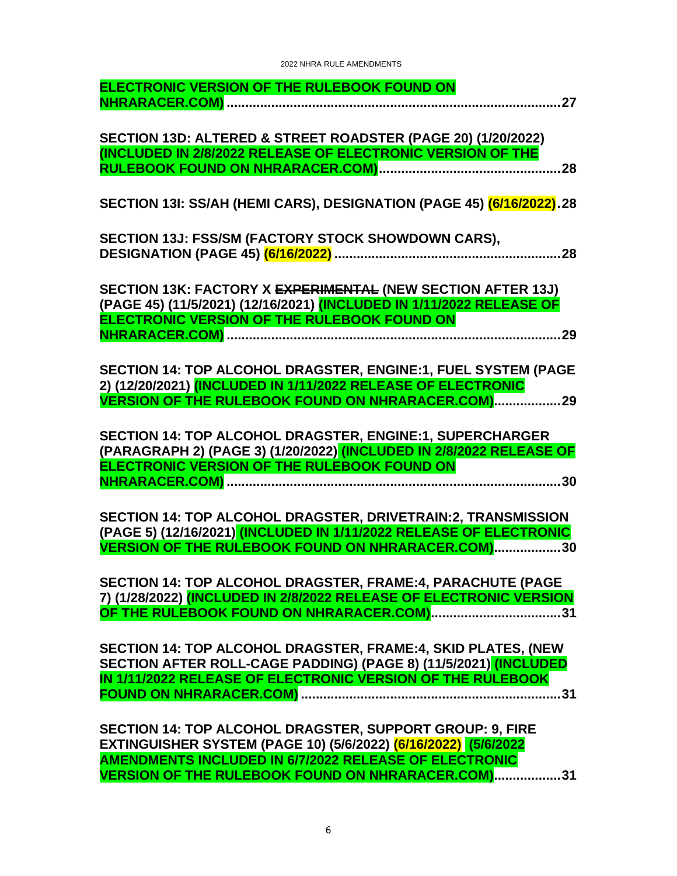| ELECTRONIC VERSION OF THE RULEBOOK FOUND ON                                                                                                                                                                                                            |
|--------------------------------------------------------------------------------------------------------------------------------------------------------------------------------------------------------------------------------------------------------|
| SECTION 13D: ALTERED & STREET ROADSTER (PAGE 20) (1/20/2022)<br>(INCLUDED IN 2/8/2022 RELEASE OF ELECTRONIC VERSION OF THE<br>28                                                                                                                       |
| SECTION 131: SS/AH (HEMI CARS), DESIGNATION (PAGE 45) (6/16/2022).28                                                                                                                                                                                   |
| SECTION 13J: FSS/SM (FACTORY STOCK SHOWDOWN CARS),                                                                                                                                                                                                     |
| SECTION 13K: FACTORY X EXPERIMENTAL (NEW SECTION AFTER 13J)<br>(PAGE 45) (11/5/2021) (12/16/2021) (INCLUDED IN 1/11/2022 RELEASE OF<br>ELECTRONIC VERSION OF THE RULEBOOK FOUND ON                                                                     |
| SECTION 14: TOP ALCOHOL DRAGSTER, ENGINE:1, FUEL SYSTEM (PAGE<br>2) (12/20/2021) (INCLUDED IN 1/11/2022 RELEASE OF ELECTRONIC<br><b>VERSION OF THE RULEBOOK FOUND ON NHRARACER.COM) 29</b>                                                             |
| <b>SECTION 14: TOP ALCOHOL DRAGSTER, ENGINE:1, SUPERCHARGER</b><br>(PARAGRAPH 2) (PAGE 3) (1/20/2022) (INCLUDED IN 2/8/2022 RELEASE OF<br>ELECTRONIC VERSION OF THE RULEBOOK FOUND ON                                                                  |
| SECTION 14: TOP ALCOHOL DRAGSTER, DRIVETRAIN:2, TRANSMISSION<br>(PAGE 5) (12/16/2021) (INCLUDED IN 1/11/2022 RELEASE OF ELECTRONIC<br>VERSION OF THE RULEBOOK FOUND ON NHRARACER.COM)30                                                                |
| SECTION 14: TOP ALCOHOL DRAGSTER, FRAME:4, PARACHUTE (PAGE<br>7) (1/28/2022) (INCLUDED IN 2/8/2022 RELEASE OF ELECTRONIC VERSION                                                                                                                       |
| SECTION 14: TOP ALCOHOL DRAGSTER, FRAME:4, SKID PLATES, (NEW<br>SECTION AFTER ROLL-CAGE PADDING) (PAGE 8) (11/5/2021) (INCLUDED                                                                                                                        |
| SECTION 14: TOP ALCOHOL DRAGSTER, SUPPORT GROUP: 9, FIRE<br>EXTINGUISHER SYSTEM (PAGE 10) (5/6/2022) (6/16/2022) (5/6/2022<br><b>AMENDMENTS INCLUDED IN 6/7/2022 RELEASE OF ELECTRONIC</b><br><b>VERSION OF THE RULEBOOK FOUND ON NHRARACER.COM)31</b> |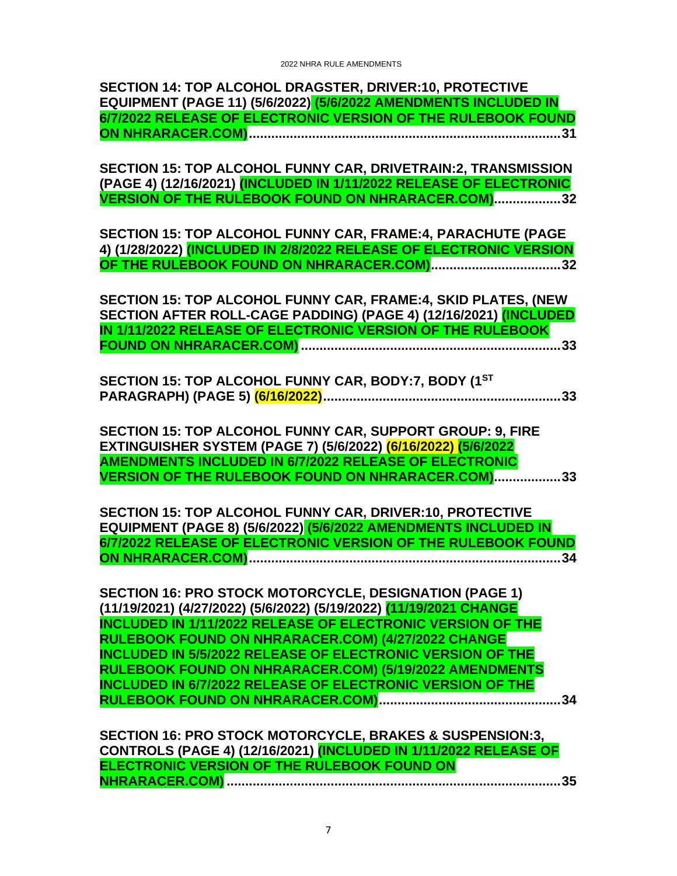| SECTION 14: TOP ALCOHOL DRAGSTER, DRIVER:10, PROTECTIVE         |  |
|-----------------------------------------------------------------|--|
| EQUIPMENT (PAGE 11) (5/6/2022) (5/6/2022 AMENDMENTS INCLUDED IN |  |
| 6/7/2022 RELEASE OF ELECTRONIC VERSION OF THE RULEBOOK FOUND    |  |
|                                                                 |  |

**[SECTION 15: TOP ALCOHOL FUNNY CAR, DRIVETRAIN:2, TRANSMISSION](#page-31-0)  (PAGE 4) (12/16/2021) (INCLUDED [IN 1/11/2022 RELEASE OF ELECTRONIC](#page-31-0)  [VERSION OF THE RULEBOOK FOUND ON NHRARACER.COM\)..................32](#page-31-0)**

**[SECTION 15: TOP ALCOHOL FUNNY CAR, FRAME:4,](#page-31-1) PARACHUTE (PAGE [4\) \(1/28/2022\) \(INCLUDED IN 2/8/2022 RELEASE OF ELECTRONIC VERSION](#page-31-1)  [OF THE RULEBOOK FOUND ON NHRARACER.COM\)...................................32](#page-31-1)**

**[SECTION 15: TOP ALCOHOL FUNNY CAR, FRAME:4, SKID PLATES, \(NEW](#page-32-0)  [SECTION AFTER ROLL-CAGE PADDING\) \(PAGE 4\) \(12/16/2021\) \(INCLUDED](#page-32-0)  [IN 1/11/2022 RELEASE OF ELECTRONIC VERSION OF THE RULEBOOK](#page-32-0)  FOUND ON NHRARACER.COM) [......................................................................33](#page-32-0)**

|  | SECTION 15: TOP ALCOHOL FUNNY CAR, BODY: 7, BODY (1ST |  |
|--|-------------------------------------------------------|--|
|  |                                                       |  |

**[SECTION 15: TOP ALCOHOL FUNNY CAR, SUPPORT GROUP: 9, FIRE](#page-32-2)  [EXTINGUISHER SYSTEM \(PAGE 7\) \(5/6/2022\) \(6/16/2022\) \(5/6/2022](#page-32-2)  [AMENDMENTS INCLUDED IN 6/7/2022 RELEASE OF ELECTRONIC](#page-32-2)  [VERSION OF THE RULEBOOK FOUND ON NHRARACER.COM\)..................33](#page-32-2)**

**[SECTION 15: TOP ALCOHOL FUNNY CAR, DRIVER:10, PROTECTIVE](#page-33-0)  EQUIPMENT (PAGE 8) (5/6/2022) [\(5/6/2022 AMENDMENTS INCLUDED IN](#page-33-0)  [6/7/2022 RELEASE OF ELECTRONIC VERSION OF THE RULEBOOK FOUND](#page-33-0)  [ON NHRARACER.COM\)....................................................................................34](#page-33-0)**

**SECTION 16: PRO [STOCK MOTORCYCLE, DESIGNATION \(PAGE 1\)](#page-33-1)  [\(11/19/2021\) \(4/27/2022\) \(5/6/2022\) \(5/19/2022\) \(11/19/2021 CHANGE](#page-33-1)  [INCLUDED IN 1/11/2022 RELEASE OF ELECTRONIC VERSION OF THE](#page-33-1)  [RULEBOOK FOUND ON NHRARACER.COM\) \(4/27/2022 CHANGE](#page-33-1)  [INCLUDED IN 5/5/2022 RELEASE OF ELECTRONIC VERSION OF THE](#page-33-1)  [RULEBOOK FOUND ON NHRARACER.COM\) \(5/19/2022 AMENDMENTS](#page-33-1)  [INCLUDED IN 6/7/2022 RELEASE OF ELECTRONIC VERSION OF THE](#page-33-1)  [RULEBOOK FOUND ON NHRARACER.COM\).................................................34](#page-33-1)**

**[SECTION 16: PRO STOCK MOTORCYCLE, BRAKES & SUSPENSION:3,](#page-34-0)  [CONTROLS \(PAGE 4\) \(12/16/2021\) \(INCLUDED IN 1/11/2022 RELEASE OF](#page-34-0)  [ELECTRONIC VERSION OF THE RULEBOOK FOUND ON](#page-34-0)  NHRARACER.COM) [..........................................................................................35](#page-34-0)**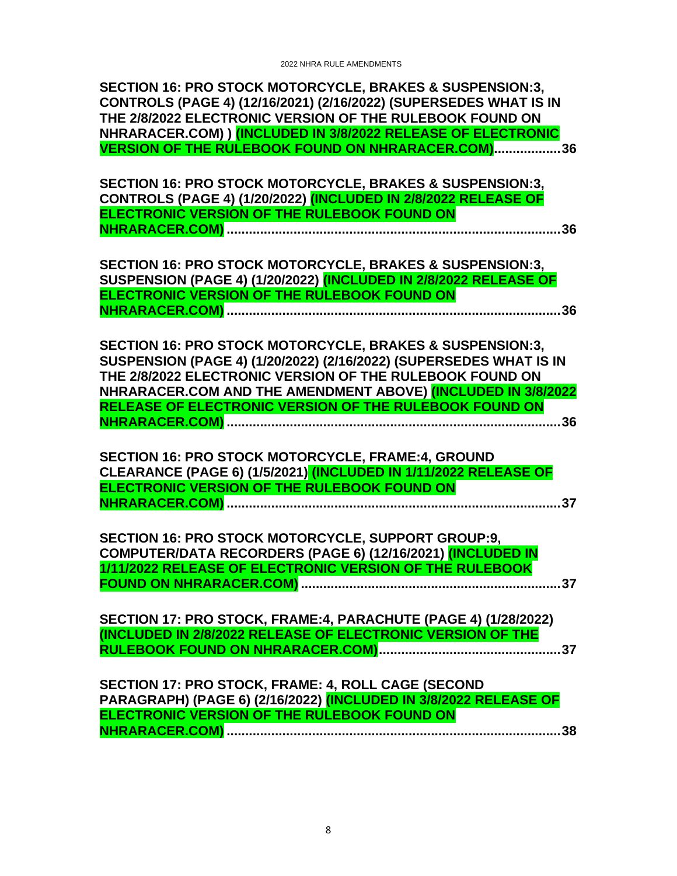**SECTION 16: PRO STOCK MOTORCYCLE, BRAKES & SUSPENSION:3, [CONTROLS \(PAGE 4\) \(12/16/2021\) \(2/16/2022\) \(SUPERSEDES WHAT IS IN](#page-35-0)  [THE 2/8/2022 ELECTRONIC VERSION OF THE RULEBOOK FOUND ON](#page-35-0)  [NHRARACER.COM\) \) \(INCLUDED IN 3/8/2022 RELEASE OF ELECTRONIC](#page-35-0)  [VERSION OF THE RULEBOOK FOUND ON NHRARACER.COM\)..................36](#page-35-0)**

**[SECTION 16: PRO STOCK MOTORCYCLE, BRAKES & SUSPENSION:3,](#page-35-1)  [CONTROLS \(PAGE 4\) \(1/20/2022\) \(INCLUDED IN 2/8/2022 RELEASE OF](#page-35-1)  [ELECTRONIC VERSION OF THE RULEBOOK FOUND ON](#page-35-1)  NHRARACER.COM) [..........................................................................................36](#page-35-1)**

**[SECTION 16: PRO STOCK MOTORCYCLE, BRAKES & SUSPENSION:3,](#page-35-2)  [SUSPENSION \(PAGE 4\) \(1/20/2022\) \(INCLUDED IN 2/8/2022 RELEASE OF](#page-35-2)  [ELECTRONIC VERSION OF THE RULEBOOK FOUND ON](#page-35-2)  NHRARACER.COM) [..........................................................................................36](#page-35-2)**

**[SECTION 16: PRO STOCK MOTORCYCLE, BRAKES & SUSPENSION:3,](#page-35-3)  [SUSPENSION \(PAGE 4\) \(1/20/2022\) \(2/16/2022\) \(SUPERSEDES WHAT IS IN](#page-35-3)  [THE 2/8/2022 ELECTRONIC VERSION OF THE RULEBOOK FOUND ON](#page-35-3)  [NHRARACER.COM AND THE AMENDMENT ABOVE\) \(INCLUDED IN 3/8/2022](#page-35-3)  [RELEASE OF ELECTRONIC VERSION OF THE RULEBOOK FOUND ON](#page-35-3)  NHRARACER.COM) [..........................................................................................36](#page-35-3)**

**[SECTION 16: PRO STOCK MOTORCYCLE, FRAME:4, GROUND](#page-36-0)  CLEARANCE (PAGE 6) (1/5/2021) [\(INCLUDED IN 1/11/2022 RELEASE OF](#page-36-0)  [ELECTRONIC VERSION OF THE RULEBOOK FOUND ON](#page-36-0)  NHRARACER.COM) [..........................................................................................37](#page-36-0)**

**[SECTION 16: PRO STOCK MOTORCYCLE, SUPPORT GROUP:9,](#page-36-1)  [COMPUTER/DATA RECORDERS \(PAGE 6\) \(12/16/2021\) \(INCLUDED IN](#page-36-1)  [1/11/2022 RELEASE OF ELECTRONIC VERSION OF THE RULEBOOK](#page-36-1)  FOUND ON NHRARACER.COM) [......................................................................37](#page-36-1)**

**[SECTION 17: PRO STOCK, FRAME:4, PARACHUTE \(PAGE 4\) \(1/28/2022\)](#page-36-2)  [\(INCLUDED IN 2/8/2022 RELEASE OF ELECTRONIC VERSION OF THE](#page-36-2)  [RULEBOOK FOUND ON NHRARACER.COM\).................................................37](#page-36-2)**

| SECTION 17: PRO STOCK, FRAME: 4, ROLL CAGE (SECOND               |  |  |
|------------------------------------------------------------------|--|--|
| PARAGRAPH) (PAGE 6) (2/16/2022) (INCLUDED IN 3/8/2022 RELEASE OF |  |  |
| <b>ELECTRONIC VERSION OF THE RULEBOOK FOUND ON</b>               |  |  |
|                                                                  |  |  |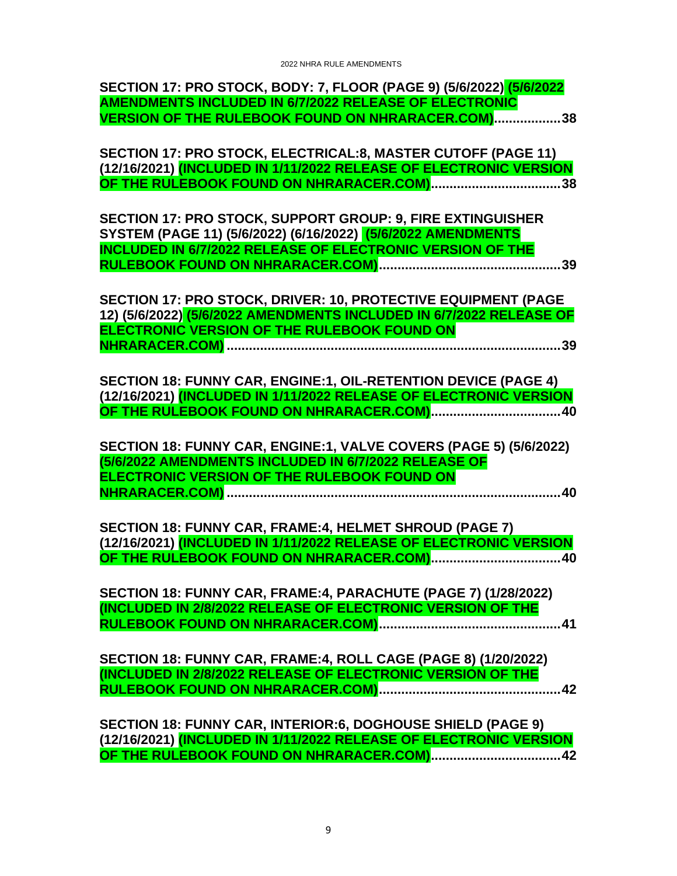| SECTION 17: PRO STOCK, BODY: 7, FLOOR (PAGE 9) (5/6/2022) (5/6/2022                                                                       |
|-------------------------------------------------------------------------------------------------------------------------------------------|
| <b>AMENDMENTS INCLUDED IN 6/7/2022 RELEASE OF ELECTRONIC</b><br>VERSION OF THE RULEBOOK FOUND ON NHRARACER.COM)38                         |
|                                                                                                                                           |
| SECTION 17: PRO STOCK, ELECTRICAL:8, MASTER CUTOFF (PAGE 11)                                                                              |
| (12/16/2021) <mark>(INCLUDED IN 1/11/2022 RELEASE OF ELECTRONIC VERSION</mark><br><mark>OF THE RULEBOOK FOUND ON NHRARACER.COM)</mark> 38 |
|                                                                                                                                           |
| SECTION 17: PRO STOCK, SUPPORT GROUP: 9, FIRE EXTINGUISHER                                                                                |
| SYSTEM (PAGE 11) (5/6/2022) (6/16/2022) (5/6/2022 AMENDMENTS                                                                              |
| <b>INCLUDED IN 6/7/2022 RELEASE OF ELECTRONIC VERSION OF THE</b>                                                                          |
|                                                                                                                                           |
| SECTION 17: PRO STOCK, DRIVER: 10, PROTECTIVE EQUIPMENT (PAGE                                                                             |
| 12) (5/6/2022) (5/6/2022 AMENDMENTS INCLUDED IN 6/7/2022 RELEASE OF                                                                       |
| <b>ELECTRONIC VERSION OF THE RULEBOOK FOUND ON</b>                                                                                        |
|                                                                                                                                           |
| SECTION 18: FUNNY CAR, ENGINE:1, OIL-RETENTION DEVICE (PAGE 4)                                                                            |
| (12/16/2021) (INCLUDED IN 1/11/2022 RELEASE OF ELECTRONIC VERSION                                                                         |
|                                                                                                                                           |
|                                                                                                                                           |
|                                                                                                                                           |
| SECTION 18: FUNNY CAR, ENGINE:1, VALVE COVERS (PAGE 5) (5/6/2022)                                                                         |
| (5/6/2022 AMENDMENTS INCLUDED IN 6/7/2022 RELEASE OF<br>ELECTRONIC VERSION OF THE RULEBOOK FOUND ON                                       |
| . 40                                                                                                                                      |
|                                                                                                                                           |
| SECTION 18: FUNNY CAR, FRAME:4, HELMET SHROUD (PAGE 7)                                                                                    |
| (12/16/2021) (INCLUDED IN 1/11/2022 RELEASE OF ELECTRONIC VERSION                                                                         |
|                                                                                                                                           |
| SECTION 18: FUNNY CAR, FRAME:4, PARACHUTE (PAGE 7) (1/28/2022)                                                                            |
| (INCLUDED IN 2/8/2022 RELEASE OF ELECTRONIC VERSION OF THE                                                                                |
|                                                                                                                                           |
| SECTION 18: FUNNY CAR, FRAME:4, ROLL CAGE (PAGE 8) (1/20/2022)                                                                            |
| (INCLUDED IN 2/8/2022 RELEASE OF ELECTRONIC VERSION OF THE                                                                                |
|                                                                                                                                           |
|                                                                                                                                           |
| SECTION 18: FUNNY CAR, INTERIOR:6, DOGHOUSE SHIELD (PAGE 9)                                                                               |
|                                                                                                                                           |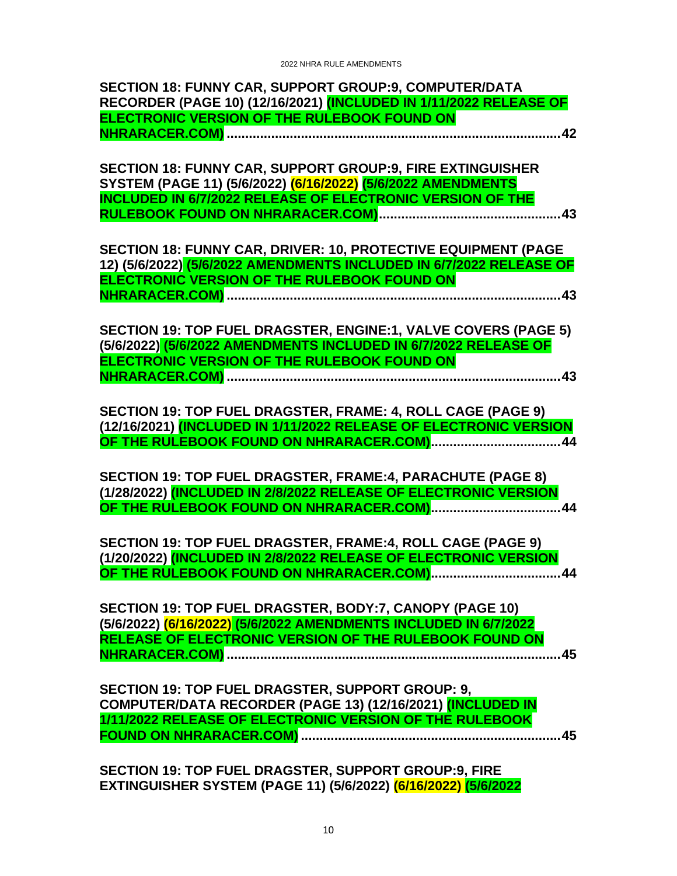| SECTION 18: FUNNY CAR, SUPPORT GROUP:9, COMPUTER/DATA                                                                            |
|----------------------------------------------------------------------------------------------------------------------------------|
| RECORDER (PAGE 10) (12/16/2021) (INCLUDED IN 1/11/2022 RELEASE OF                                                                |
| ELECTRONIC VERSION OF THE RULEBOOK FOUND ON                                                                                      |
|                                                                                                                                  |
|                                                                                                                                  |
| SECTION 18: FUNNY CAR, SUPPORT GROUP:9, FIRE EXTINGUISHER                                                                        |
| SYSTEM (PAGE 11) (5/6/2022) (6/16/2022) (5/6/2022 AMENDMENTS<br><b>INCLUDED IN 6/7/2022 RELEASE OF ELECTRONIC VERSION OF THE</b> |
|                                                                                                                                  |
|                                                                                                                                  |
| SECTION 18: FUNNY CAR, DRIVER: 10, PROTECTIVE EQUIPMENT (PAGE                                                                    |
| 12) (5/6/2022) (5/6/2022 AMENDMENTS INCLUDED IN 6/7/2022 RELEASE OF                                                              |
| ELECTRONIC VERSION OF THE RULEBOOK FOUND ON                                                                                      |
| . 43                                                                                                                             |
|                                                                                                                                  |
| SECTION 19: TOP FUEL DRAGSTER, ENGINE:1, VALVE COVERS (PAGE 5)                                                                   |
| (5/6/2022) (5/6/2022 AMENDMENTS INCLUDED IN 6/7/2022 RELEASE OF                                                                  |
| ELECTRONIC VERSION OF THE RULEBOOK FOUND ON                                                                                      |
|                                                                                                                                  |
| SECTION 19: TOP FUEL DRAGSTER, FRAME: 4, ROLL CAGE (PAGE 9)                                                                      |
| (12/16/2021) (INCLUDED IN 1/11/2022 RELEASE OF ELECTRONIC VERSION                                                                |
|                                                                                                                                  |
|                                                                                                                                  |
| SECTION 19: TOP FUEL DRAGSTER, FRAME:4, PARACHUTE (PAGE 8)<br>(1/28/2022) (INCLUDED IN 2/8/2022 RELEASE OF ELECTRONIC VERSION    |
|                                                                                                                                  |
|                                                                                                                                  |
| SECTION 19: TOP FUEL DRAGSTER, FRAME:4, ROLL CAGE (PAGE 9)                                                                       |
| (1/20/2022) (INCLUDED IN 2/8/2022 RELEASE OF ELECTRONIC VERSION                                                                  |
| OF THE RULEBOOK FOUND ON NHRARACER.COM).<br>44                                                                                   |
|                                                                                                                                  |
| SECTION 19: TOP FUEL DRAGSTER, BODY: 7, CANOPY (PAGE 10)<br>(5/6/2022) (6/16/2022) (5/6/2022 AMENDMENTS INCLUDED IN 6/7/2022     |
| RELEASE OF ELECTRONIC VERSION OF THE RULEBOOK FOUND ON                                                                           |
|                                                                                                                                  |
|                                                                                                                                  |
| SECTION 19: TOP FUEL DRAGSTER, SUPPORT GROUP: 9,                                                                                 |
| COMPUTER/DATA RECORDER (PAGE 13) (12/16/2021) (INCLUDED IN                                                                       |
| 1/11/2022 RELEASE OF ELECTRONIC VERSION OF THE RULEBOOK                                                                          |
|                                                                                                                                  |
|                                                                                                                                  |
| SECTION 19: TOP FUEL DRAGSTER, SUPPORT GROUP:9, FIRE                                                                             |

**[EXTINGUISHER SYSTEM \(PAGE 11\) \(5/6/2022\) \(6/16/2022\) \(5/6/2022](#page-45-0)**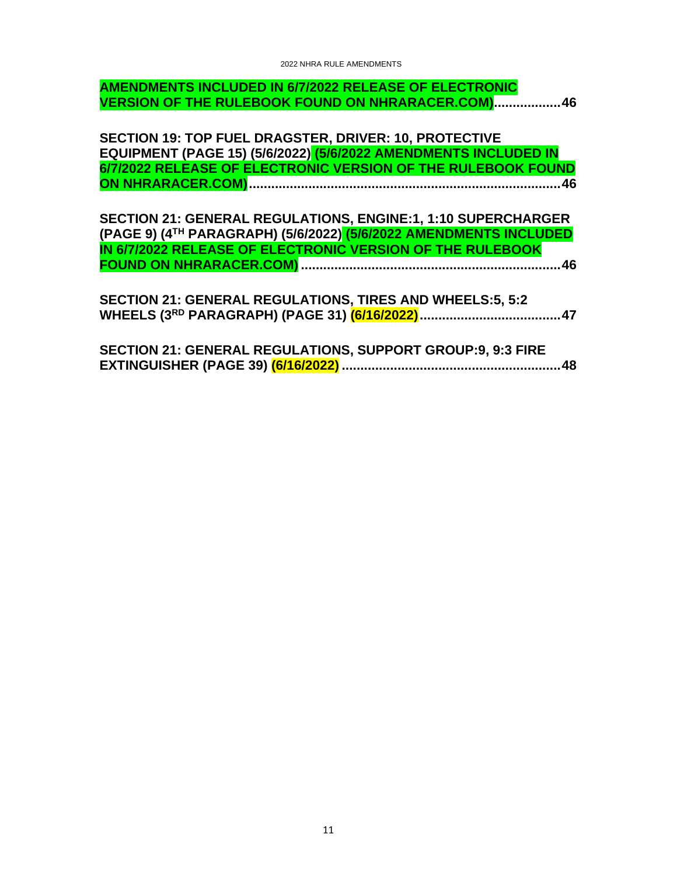#### **[AMENDMENTS INCLUDED IN 6/7/2022 RELEASE OF ELECTRONIC](#page-45-0)  [VERSION OF THE RULEBOOK FOUND ON NHRARACER.COM\)..................46](#page-45-0)**

**[SECTION 19: TOP FUEL DRAGSTER, DRIVER: 10, PROTECTIVE](#page-45-1)  EQUIPMENT (PAGE 15) (5/6/2022) [\(5/6/2022 AMENDMENTS INCLUDED IN](#page-45-1)  [6/7/2022 RELEASE OF ELECTRONIC VERSION OF THE RULEBOOK FOUND](#page-45-1)  [ON NHRARACER.COM\)....................................................................................46](#page-45-1)**

**[SECTION 21: GENERAL REGULATIONS, ENGINE:1, 1:10 SUPERCHARGER](#page-45-2)  (PAGE 9) (4TH PARAGRAPH) (5/6/2022) [\(5/6/2022 AMENDMENTS INCLUDED](#page-45-2)  [IN 6/7/2022 RELEASE OF ELECTRONIC VERSION OF THE RULEBOOK](#page-45-2)  FOUND ON NHRARACER.COM) [......................................................................46](#page-45-2)**

**[SECTION 21: GENERAL REGULATIONS, TIRES AND WHEELS:5, 5:2](#page-46-0)  WHEELS (3RD [PARAGRAPH\) \(PAGE 31\) \(6/16/2022\)......................................47](#page-46-0)**

|  | SECTION 21: GENERAL REGULATIONS, SUPPORT GROUP:9, 9:3 FIRE |  |
|--|------------------------------------------------------------|--|
|  |                                                            |  |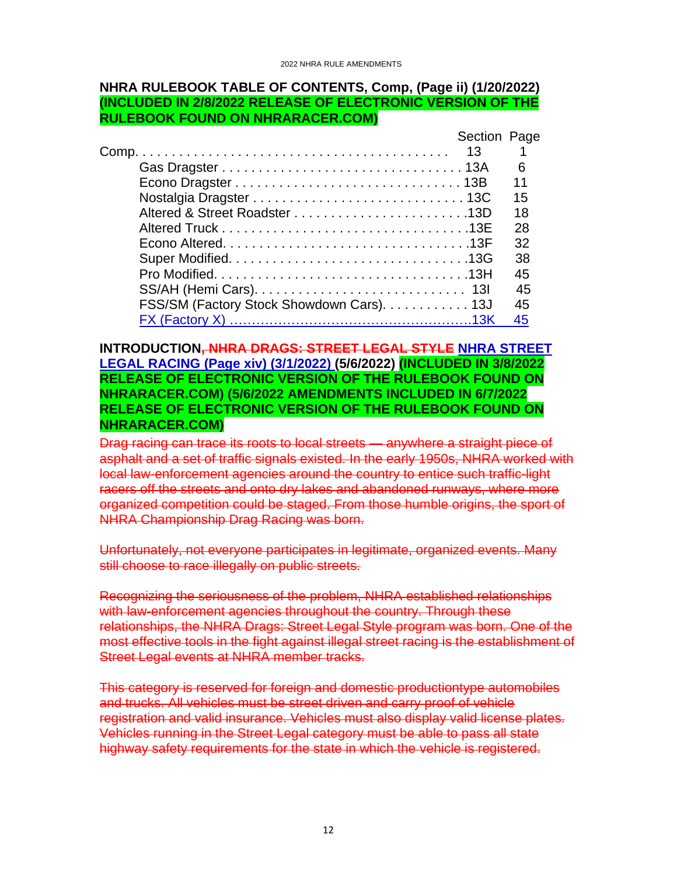#### <span id="page-11-0"></span>**NHRA RULEBOOK TABLE OF CONTENTS, Comp, (Page ii) (1/20/2022) (INCLUDED IN 2/8/2022 RELEASE OF ELECTRONIC VERSION OF THE RULEBOOK FOUND ON NHRARACER.COM)**

|                                           | Section Page |    |
|-------------------------------------------|--------------|----|
|                                           |              |    |
|                                           |              | 6  |
|                                           |              | 11 |
|                                           |              | 15 |
|                                           |              | 18 |
|                                           |              | 28 |
|                                           |              | 32 |
|                                           |              | 38 |
|                                           |              | 45 |
|                                           |              | 45 |
| FSS/SM (Factory Stock Showdown Cars). 13J |              | 45 |
|                                           |              | 45 |

#### <span id="page-11-1"></span>**INTRODUCTION, NHRA DRAGS: STREET LEGAL STYLE NHRA STREET LEGAL RACING (Page xiv) (3/1/2022) (5/6/2022) (INCLUDED IN 3/8/2022 RELEASE OF ELECTRONIC VERSION OF THE RULEBOOK FOUND ON NHRARACER.COM) (5/6/2022 AMENDMENTS INCLUDED IN 6/7/2022 RELEASE OF ELECTRONIC VERSION OF THE RULEBOOK FOUND ON NHRARACER.COM)**

Drag racing can trace its roots to local streets — anywhere a straight piece of asphalt and a set of traffic signals existed. In the early 1950s, NHRA worked with local law-enforcement agencies around the country to entice such traffic-light racers off the streets and onto dry lakes and abandoned runways, where more organized competition could be staged. From those humble origins, the sport of NHRA Championship Drag Racing was born.

Unfortunately, not everyone participates in legitimate, organized events. Many still choose to race illegally on public streets.

Recognizing the seriousness of the problem, NHRA established relationships with law-enforcement agencies throughout the country. Through these relationships, the NHRA Drags: Street Legal Style program was born. One of the most effective tools in the fight against illegal street racing is the establishment of Street Legal events at NHRA member tracks.

This category is reserved for foreign and domestic productiontype automobiles and trucks. All vehicles must be street driven and carry proof of vehicle registration and valid insurance. Vehicles must also display valid license plates. Vehicles running in the Street Legal category must be able to pass all state highway safety requirements for the state in which the vehicle is registered.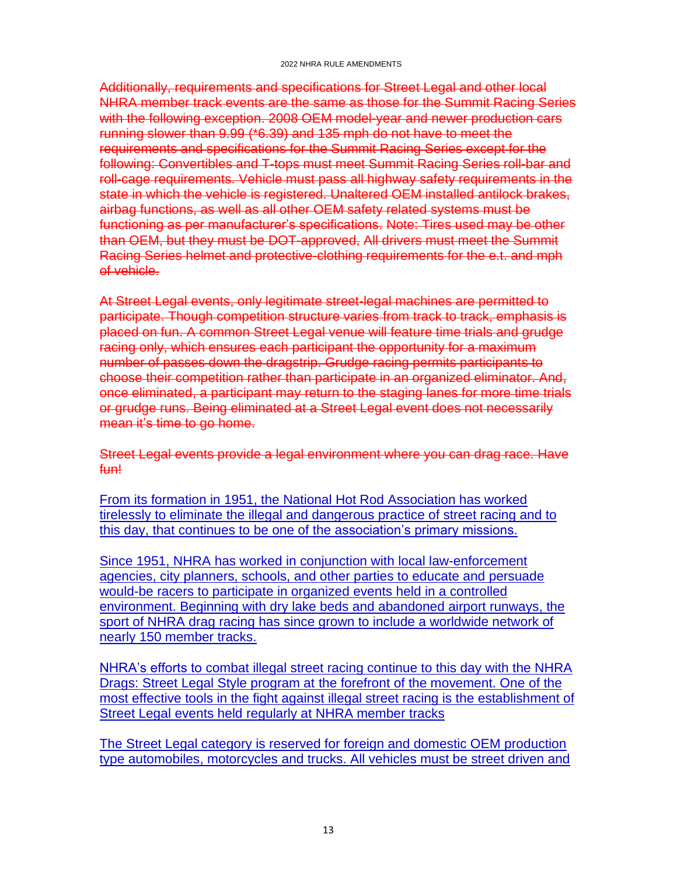Additionally, requirements and specifications for Street Legal and other local NHRA member track events are the same as those for the Summit Racing Series with the following exception. 2008 OEM model-year and newer production cars running slower than 9.99 (\*6.39) and 135 mph do not have to meet the requirements and specifications for the Summit Racing Series except for the following: Convertibles and T-tops must meet Summit Racing Series roll-bar and roll-cage requirements. Vehicle must pass all highway safety requirements in the state in which the vehicle is registered. Unaltered OEM installed antilock brakes, airbag functions, as well as all other OEM safety related systems must be functioning as per manufacturer's specifications. Note: Tires used may be other than OEM, but they must be DOT-approved, All drivers must meet the Summit Racing Series helmet and protective-clothing requirements for the e.t. and mph of vehicle.

At Street Legal events, only legitimate street-legal machines are permitted to participate. Though competition structure varies from track to track, emphasis is placed on fun. A common Street Legal venue will feature time trials and grudge racing only, which ensures each participant the opportunity for a maximum number of passes down the dragstrip. Grudge racing permits participants to choose their competition rather than participate in an organized eliminator. And, once eliminated, a participant may return to the staging lanes for more time trials or grudge runs. Being eliminated at a Street Legal event does not necessarily mean it's time to go home.

Street Legal events provide a legal environment where you can drag race. Have fun!

From its formation in 1951, the National Hot Rod Association has worked tirelessly to eliminate the illegal and dangerous practice of street racing and to this day, that continues to be one of the association's primary missions.

Since 1951, NHRA has worked in conjunction with local law-enforcement agencies, city planners, schools, and other parties to educate and persuade would-be racers to participate in organized events held in a controlled environment. Beginning with dry lake beds and abandoned airport runways, the sport of NHRA drag racing has since grown to include a worldwide network of nearly 150 member tracks.

NHRA's efforts to combat illegal street racing continue to this day with the NHRA Drags: Street Legal Style program at the forefront of the movement. One of the most effective tools in the fight against illegal street racing is the establishment of Street Legal events held regularly at NHRA member tracks

The Street Legal category is reserved for foreign and domestic OEM production type automobiles, motorcycles and trucks. All vehicles must be street driven and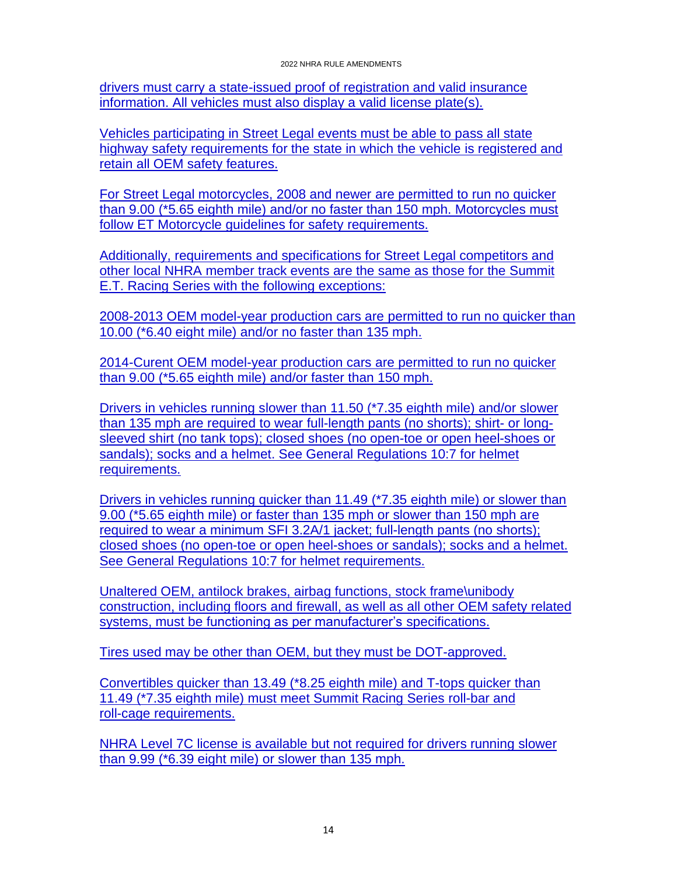drivers must carry a state-issued proof of registration and valid insurance information. All vehicles must also display a valid license plate(s).

Vehicles participating in Street Legal events must be able to pass all state highway safety requirements for the state in which the vehicle is registered and retain all OEM safety features.

For Street Legal motorcycles, 2008 and newer are permitted to run no quicker than 9.00 (\*5.65 eighth mile) and/or no faster than 150 mph. Motorcycles must follow ET Motorcycle guidelines for safety requirements.

Additionally, requirements and specifications for Street Legal competitors and other local NHRA member track events are the same as those for the Summit E.T. Racing Series with the following exceptions:

2008-2013 OEM model-year production cars are permitted to run no quicker than 10.00 (\*6.40 eight mile) and/or no faster than 135 mph.

2014-Curent OEM model-year production cars are permitted to run no quicker than 9.00 (\*5.65 eighth mile) and/or faster than 150 mph.

Drivers in vehicles running slower than 11.50 (\*7.35 eighth mile) and/or slower than 135 mph are required to wear full-length pants (no shorts); shirt- or longsleeved shirt (no tank tops); closed shoes (no open-toe or open heel-shoes or sandals); socks and a helmet. See General Regulations 10:7 for helmet requirements.

Drivers in vehicles running quicker than 11.49 (\*7.35 eighth mile) or slower than 9.00 (\*5.65 eighth mile) or faster than 135 mph or slower than 150 mph are required to wear a minimum SFI 3.2A/1 jacket; full-length pants (no shorts); closed shoes (no open-toe or open heel-shoes or sandals); socks and a helmet. See General Regulations 10:7 for helmet requirements.

Unaltered OEM, antilock brakes, airbag functions, stock frame\unibody construction, including floors and firewall, as well as all other OEM safety related systems, must be functioning as per manufacturer's specifications.

Tires used may be other than OEM, but they must be DOT-approved.

Convertibles quicker than 13.49 (\*8.25 eighth mile) and T-tops quicker than 11.49 (\*7.35 eighth mile) must meet Summit Racing Series roll-bar and roll-cage requirements.

NHRA Level 7C license is available but not required for drivers running slower than 9.99 (\*6.39 eight mile) or slower than 135 mph.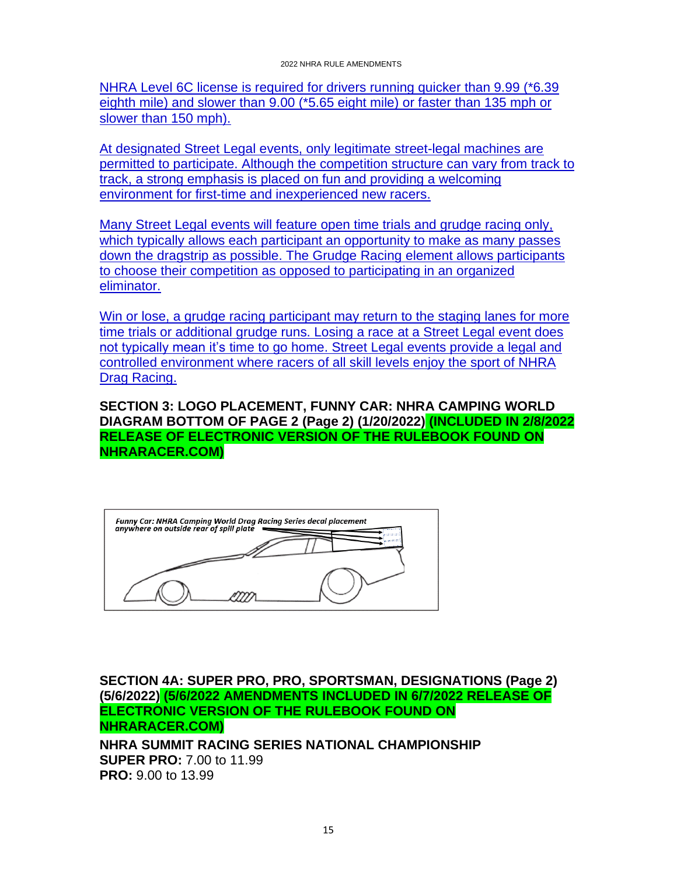NHRA Level 6C license is required for drivers running quicker than 9.99 (\*6.39 eighth mile) and slower than 9.00 (\*5.65 eight mile) or faster than 135 mph or slower than 150 mph).

At designated Street Legal events, only legitimate street-legal machines are permitted to participate. Although the competition structure can vary from track to track, a strong emphasis is placed on fun and providing a welcoming environment for first-time and inexperienced new racers.

Many Street Legal events will feature open time trials and grudge racing only, which typically allows each participant an opportunity to make as many passes down the dragstrip as possible. The Grudge Racing element allows participants to choose their competition as opposed to participating in an organized eliminator.

Win or lose, a grudge racing participant may return to the staging lanes for more time trials or additional grudge runs. Losing a race at a Street Legal event does not typically mean it's time to go home. Street Legal events provide a legal and controlled environment where racers of all skill levels enjoy the sport of NHRA Drag Racing.

<span id="page-14-0"></span>**SECTION 3: LOGO PLACEMENT, FUNNY CAR: NHRA CAMPING WORLD DIAGRAM BOTTOM OF PAGE 2 (Page 2) (1/20/2022) (INCLUDED IN 2/8/2022 RELEASE OF ELECTRONIC VERSION OF THE RULEBOOK FOUND ON NHRARACER.COM)**

| Funny Car: NHRA Camping World Drag Racing Series decal placement<br>anywhere on outside rear of spill plate |
|-------------------------------------------------------------------------------------------------------------|
|                                                                                                             |
|                                                                                                             |
|                                                                                                             |

<span id="page-14-1"></span>**SECTION 4A: SUPER PRO, PRO, SPORTSMAN, DESIGNATIONS (Page 2) (5/6/2022) (5/6/2022 AMENDMENTS INCLUDED IN 6/7/2022 RELEASE OF ELECTRONIC VERSION OF THE RULEBOOK FOUND ON NHRARACER.COM)**

**NHRA SUMMIT RACING SERIES NATIONAL CHAMPIONSHIP SUPER PRO:** 7.00 to 11.99 **PRO:** 9.00 to 13.99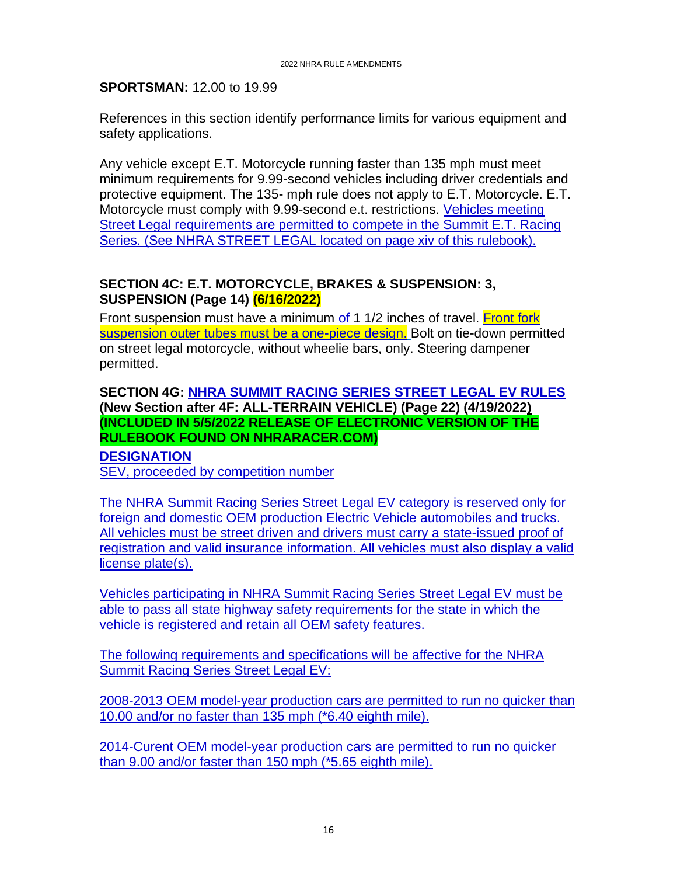#### **SPORTSMAN:** 12.00 to 19.99

References in this section identify performance limits for various equipment and safety applications.

Any vehicle except E.T. Motorcycle running faster than 135 mph must meet minimum requirements for 9.99-second vehicles including driver credentials and protective equipment. The 135- mph rule does not apply to E.T. Motorcycle. E.T. Motorcycle must comply with 9.99-second e.t. restrictions. Vehicles meeting Street Legal requirements are permitted to compete in the Summit E.T. Racing Series. (See NHRA STREET LEGAL located on page xiv of this rulebook).

# <span id="page-15-0"></span>**SECTION 4C: E.T. MOTORCYCLE, BRAKES & SUSPENSION: 3, SUSPENSION (Page 14) (6/16/2022)**

Front suspension must have a minimum of 1 1/2 inches of travel. Front fork suspension outer tubes must be a one-piece design. Bolt on tie-down permitted on street legal motorcycle, without wheelie bars, only. Steering dampener permitted.

### <span id="page-15-1"></span>**SECTION 4G: NHRA SUMMIT RACING SERIES STREET LEGAL EV RULES (New Section after 4F: ALL-TERRAIN VEHICLE) (Page 22) (4/19/2022) (INCLUDED IN 5/5/2022 RELEASE OF ELECTRONIC VERSION OF THE RULEBOOK FOUND ON NHRARACER.COM)**

**DESIGNATION** SEV, proceeded by competition number

The NHRA Summit Racing Series Street Legal EV category is reserved only for foreign and domestic OEM production Electric Vehicle automobiles and trucks. All vehicles must be street driven and drivers must carry a state-issued proof of registration and valid insurance information. All vehicles must also display a valid license plate(s).

Vehicles participating in NHRA Summit Racing Series Street Legal EV must be able to pass all state highway safety requirements for the state in which the vehicle is registered and retain all OEM safety features.

The following requirements and specifications will be affective for the NHRA Summit Racing Series Street Legal EV:

2008-2013 OEM model-year production cars are permitted to run no quicker than 10.00 and/or no faster than 135 mph (\*6.40 eighth mile).

2014-Curent OEM model-year production cars are permitted to run no quicker than 9.00 and/or faster than 150 mph (\*5.65 eighth mile).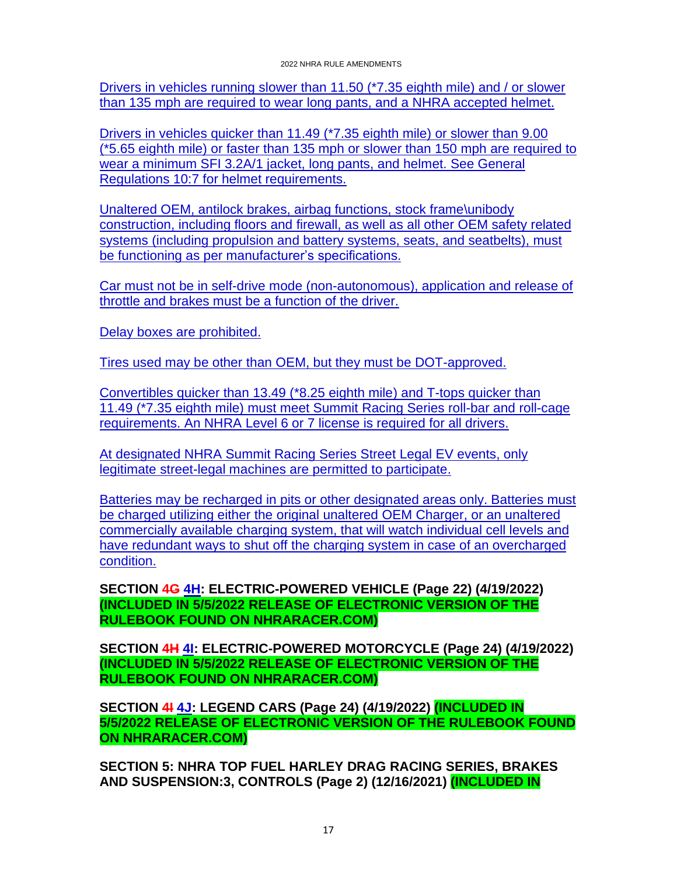Drivers in vehicles running slower than 11.50 (\*7.35 eighth mile) and / or slower than 135 mph are required to wear long pants, and a NHRA accepted helmet.

Drivers in vehicles quicker than 11.49 (\*7.35 eighth mile) or slower than 9.00 (\*5.65 eighth mile) or faster than 135 mph or slower than 150 mph are required to wear a minimum SFI 3.2A/1 jacket, long pants, and helmet. See General Regulations 10:7 for helmet requirements.

Unaltered OEM, antilock brakes, airbag functions, stock frame\unibody construction, including floors and firewall, as well as all other OEM safety related systems (including propulsion and battery systems, seats, and seatbelts), must be functioning as per manufacturer's specifications.

Car must not be in self-drive mode (non-autonomous), application and release of throttle and brakes must be a function of the driver.

Delay boxes are prohibited.

Tires used may be other than OEM, but they must be DOT-approved.

Convertibles quicker than 13.49 (\*8.25 eighth mile) and T-tops quicker than 11.49 (\*7.35 eighth mile) must meet Summit Racing Series roll-bar and roll-cage requirements. An NHRA Level 6 or 7 license is required for all drivers.

At designated NHRA Summit Racing Series Street Legal EV events, only legitimate street-legal machines are permitted to participate.

Batteries may be recharged in pits or other designated areas only. Batteries must be charged utilizing either the original unaltered OEM Charger, or an unaltered commercially available charging system, that will watch individual cell levels and have redundant ways to shut off the charging system in case of an overcharged condition.

<span id="page-16-0"></span>**SECTION 4G 4H: ELECTRIC-POWERED VEHICLE (Page 22) (4/19/2022) (INCLUDED IN 5/5/2022 RELEASE OF ELECTRONIC VERSION OF THE RULEBOOK FOUND ON NHRARACER.COM)**

<span id="page-16-1"></span>**SECTION 4H 4I: ELECTRIC-POWERED MOTORCYCLE (Page 24) (4/19/2022) (INCLUDED IN 5/5/2022 RELEASE OF ELECTRONIC VERSION OF THE RULEBOOK FOUND ON NHRARACER.COM)**

<span id="page-16-2"></span>**SECTION 4I 4J: LEGEND CARS (Page 24) (4/19/2022) (INCLUDED IN 5/5/2022 RELEASE OF ELECTRONIC VERSION OF THE RULEBOOK FOUND ON NHRARACER.COM)**

<span id="page-16-3"></span>**SECTION 5: NHRA TOP FUEL HARLEY DRAG RACING SERIES, BRAKES AND SUSPENSION:3, CONTROLS (Page 2) (12/16/2021) (INCLUDED IN**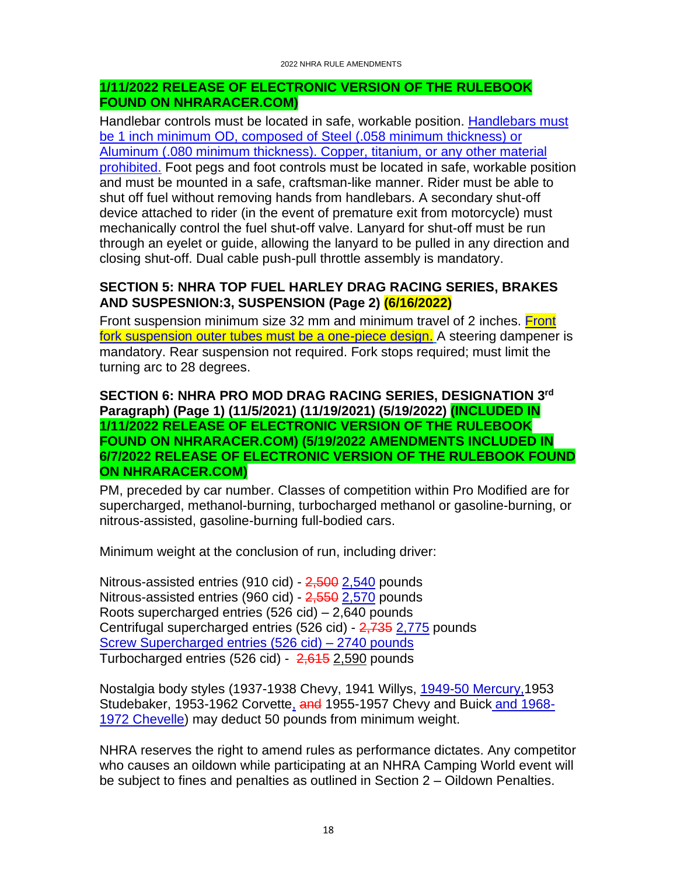#### **1/11/2022 RELEASE OF ELECTRONIC VERSION OF THE RULEBOOK FOUND ON NHRARACER.COM)**

Handlebar controls must be located in safe, workable position. Handlebars must be 1 inch minimum OD, composed of Steel (.058 minimum thickness) or Aluminum (.080 minimum thickness). Copper, titanium, or any other material prohibited. Foot pegs and foot controls must be located in safe, workable position and must be mounted in a safe, craftsman-like manner. Rider must be able to shut off fuel without removing hands from handlebars. A secondary shut-off device attached to rider (in the event of premature exit from motorcycle) must mechanically control the fuel shut-off valve. Lanyard for shut-off must be run through an eyelet or guide, allowing the lanyard to be pulled in any direction and closing shut-off. Dual cable push-pull throttle assembly is mandatory.

# <span id="page-17-0"></span>**SECTION 5: NHRA TOP FUEL HARLEY DRAG RACING SERIES, BRAKES AND SUSPESNION:3, SUSPENSION (Page 2) (6/16/2022)**

Front suspension minimum size 32 mm and minimum travel of 2 inches. Front fork suspension outer tubes must be a one-piece design. A steering dampener is mandatory. Rear suspension not required. Fork stops required; must limit the turning arc to 28 degrees.

#### <span id="page-17-1"></span>**SECTION 6: NHRA PRO MOD DRAG RACING SERIES, DESIGNATION 3 rd Paragraph) (Page 1) (11/5/2021) (11/19/2021) (5/19/2022) (INCLUDED IN 1/11/2022 RELEASE OF ELECTRONIC VERSION OF THE RULEBOOK FOUND ON NHRARACER.COM) (5/19/2022 AMENDMENTS INCLUDED IN 6/7/2022 RELEASE OF ELECTRONIC VERSION OF THE RULEBOOK FOUND ON NHRARACER.COM)**

PM, preceded by car number. Classes of competition within Pro Modified are for supercharged, methanol-burning, turbocharged methanol or gasoline-burning, or nitrous-assisted, gasoline-burning full-bodied cars.

Minimum weight at the conclusion of run, including driver:

Nitrous-assisted entries (910 cid) -  $2,500$   $2,540$  pounds Nitrous-assisted entries (960 cid) - 2,550 2,570 pounds Roots supercharged entries (526 cid) – 2,640 pounds Centrifugal supercharged entries (526 cid) - 2,735 2,775 pounds Screw Supercharged entries (526 cid) – 2740 pounds Turbocharged entries (526 cid) -  $2,615$  2,590 pounds

Nostalgia body styles (1937-1938 Chevy, 1941 Willys, 1949-50 Mercury,1953 Studebaker, 1953-1962 Corvette, and 1955-1957 Chevy and Buick and 1968-1972 Chevelle) may deduct 50 pounds from minimum weight.

NHRA reserves the right to amend rules as performance dictates. Any competitor who causes an oildown while participating at an NHRA Camping World event will be subject to fines and penalties as outlined in Section 2 – Oildown Penalties.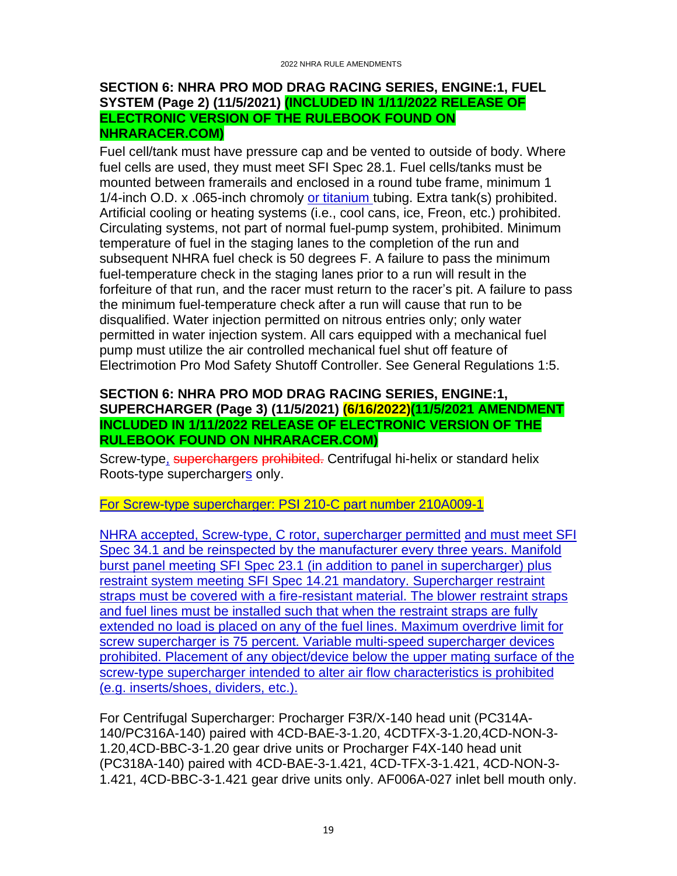#### <span id="page-18-0"></span>**SECTION 6: NHRA PRO MOD DRAG RACING SERIES, ENGINE:1, FUEL SYSTEM (Page 2) (11/5/2021) (INCLUDED IN 1/11/2022 RELEASE OF ELECTRONIC VERSION OF THE RULEBOOK FOUND ON NHRARACER.COM)**

Fuel cell/tank must have pressure cap and be vented to outside of body. Where fuel cells are used, they must meet SFI Spec 28.1. Fuel cells/tanks must be mounted between framerails and enclosed in a round tube frame, minimum 1 1/4-inch O.D. x .065-inch chromoly or titanium tubing. Extra tank(s) prohibited. Artificial cooling or heating systems (i.e., cool cans, ice, Freon, etc.) prohibited. Circulating systems, not part of normal fuel-pump system, prohibited. Minimum temperature of fuel in the staging lanes to the completion of the run and subsequent NHRA fuel check is 50 degrees F. A failure to pass the minimum fuel-temperature check in the staging lanes prior to a run will result in the forfeiture of that run, and the racer must return to the racer's pit. A failure to pass the minimum fuel-temperature check after a run will cause that run to be disqualified. Water injection permitted on nitrous entries only; only water permitted in water injection system. All cars equipped with a mechanical fuel pump must utilize the air controlled mechanical fuel shut off feature of Electrimotion Pro Mod Safety Shutoff Controller. See General Regulations 1:5.

#### <span id="page-18-1"></span>**SECTION 6: NHRA PRO MOD DRAG RACING SERIES, ENGINE:1, SUPERCHARGER (Page 3) (11/5/2021) (6/16/2022)(11/5/2021 AMENDMENT INCLUDED IN 1/11/2022 RELEASE OF ELECTRONIC VERSION OF THE RULEBOOK FOUND ON NHRARACER.COM)**

Screw-type, superchargers prohibited. Centrifugal hi-helix or standard helix Roots-type superchargers only.

For Screw-type supercharger: PSI 210-C part number 210A009-1

NHRA accepted, Screw-type, C rotor, supercharger permitted and must meet SFI Spec 34.1 and be reinspected by the manufacturer every three years. Manifold burst panel meeting SFI Spec 23.1 (in addition to panel in supercharger) plus restraint system meeting SFI Spec 14.21 mandatory. Supercharger restraint straps must be covered with a fire-resistant material. The blower restraint straps and fuel lines must be installed such that when the restraint straps are fully extended no load is placed on any of the fuel lines. Maximum overdrive limit for screw supercharger is 75 percent. Variable multi-speed supercharger devices prohibited. Placement of any object/device below the upper mating surface of the screw-type supercharger intended to alter air flow characteristics is prohibited (e.g. inserts/shoes, dividers, etc.).

For Centrifugal Supercharger: Procharger F3R/X-140 head unit (PC314A-140/PC316A-140) paired with 4CD-BAE-3-1.20, 4CDTFX-3-1.20,4CD-NON-3- 1.20,4CD-BBC-3-1.20 gear drive units or Procharger F4X-140 head unit (PC318A-140) paired with 4CD-BAE-3-1.421, 4CD-TFX-3-1.421, 4CD-NON-3- 1.421, 4CD-BBC-3-1.421 gear drive units only. AF006A-027 inlet bell mouth only.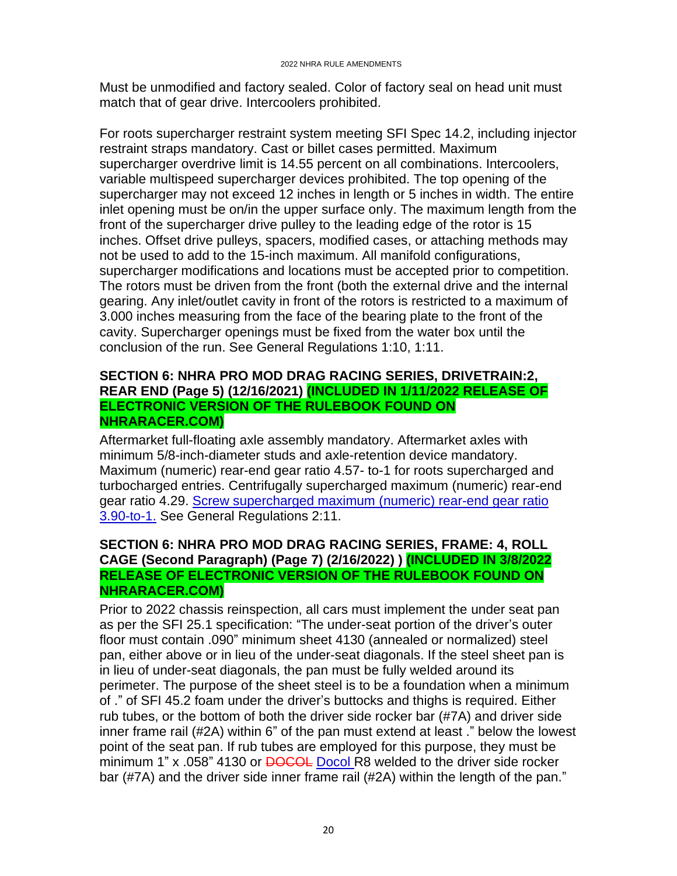Must be unmodified and factory sealed. Color of factory seal on head unit must match that of gear drive. Intercoolers prohibited.

For roots supercharger restraint system meeting SFI Spec 14.2, including injector restraint straps mandatory. Cast or billet cases permitted. Maximum supercharger overdrive limit is 14.55 percent on all combinations. Intercoolers, variable multispeed supercharger devices prohibited. The top opening of the supercharger may not exceed 12 inches in length or 5 inches in width. The entire inlet opening must be on/in the upper surface only. The maximum length from the front of the supercharger drive pulley to the leading edge of the rotor is 15 inches. Offset drive pulleys, spacers, modified cases, or attaching methods may not be used to add to the 15-inch maximum. All manifold configurations, supercharger modifications and locations must be accepted prior to competition. The rotors must be driven from the front (both the external drive and the internal gearing. Any inlet/outlet cavity in front of the rotors is restricted to a maximum of 3.000 inches measuring from the face of the bearing plate to the front of the cavity. Supercharger openings must be fixed from the water box until the conclusion of the run. See General Regulations 1:10, 1:11.

#### <span id="page-19-0"></span>**SECTION 6: NHRA PRO MOD DRAG RACING SERIES, DRIVETRAIN:2, REAR END (Page 5) (12/16/2021) (INCLUDED IN 1/11/2022 RELEASE OF ELECTRONIC VERSION OF THE RULEBOOK FOUND ON NHRARACER.COM)**

Aftermarket full-floating axle assembly mandatory. Aftermarket axles with minimum 5/8-inch-diameter studs and axle-retention device mandatory. Maximum (numeric) rear-end gear ratio 4.57- to-1 for roots supercharged and turbocharged entries. Centrifugally supercharged maximum (numeric) rear-end gear ratio 4.29. Screw supercharged maximum (numeric) rear-end gear ratio 3.90-to-1. See General Regulations 2:11.

### <span id="page-19-1"></span>**SECTION 6: NHRA PRO MOD DRAG RACING SERIES, FRAME: 4, ROLL CAGE (Second Paragraph) (Page 7) (2/16/2022) ) (INCLUDED IN 3/8/2022 RELEASE OF ELECTRONIC VERSION OF THE RULEBOOK FOUND ON NHRARACER.COM)**

Prior to 2022 chassis reinspection, all cars must implement the under seat pan as per the SFI 25.1 specification: "The under-seat portion of the driver's outer floor must contain .090" minimum sheet 4130 (annealed or normalized) steel pan, either above or in lieu of the under-seat diagonals. If the steel sheet pan is in lieu of under-seat diagonals, the pan must be fully welded around its perimeter. The purpose of the sheet steel is to be a foundation when a minimum of ." of SFI 45.2 foam under the driver's buttocks and thighs is required. Either rub tubes, or the bottom of both the driver side rocker bar (#7A) and driver side inner frame rail (#2A) within 6" of the pan must extend at least ." below the lowest point of the seat pan. If rub tubes are employed for this purpose, they must be minimum 1" x .058" 4130 or **DOCOL** Docol R8 welded to the driver side rocker bar (#7A) and the driver side inner frame rail (#2A) within the length of the pan."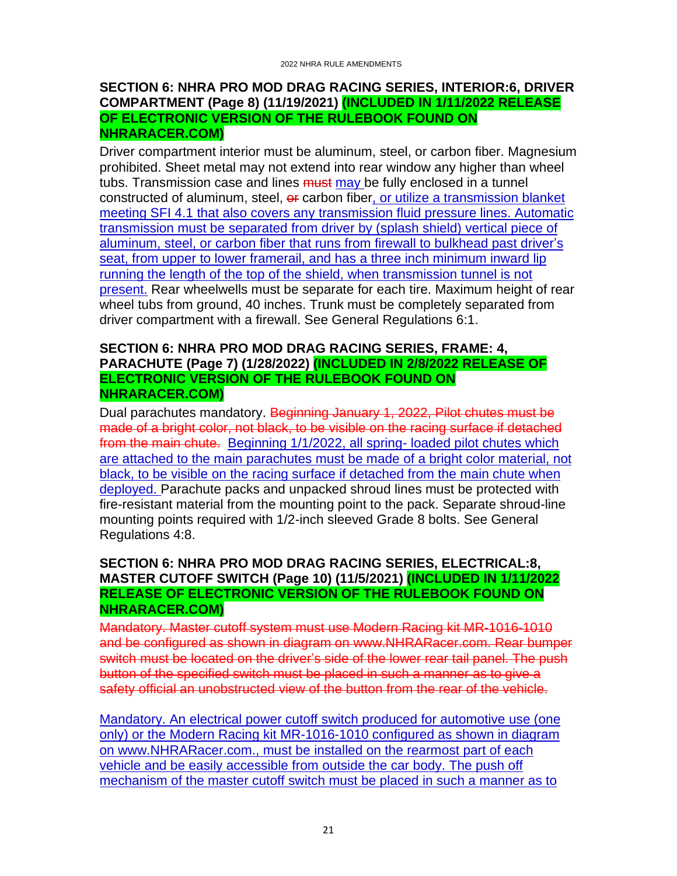#### <span id="page-20-0"></span>**SECTION 6: NHRA PRO MOD DRAG RACING SERIES, INTERIOR:6, DRIVER COMPARTMENT (Page 8) (11/19/2021) (INCLUDED IN 1/11/2022 RELEASE OF ELECTRONIC VERSION OF THE RULEBOOK FOUND ON NHRARACER.COM)**

Driver compartment interior must be aluminum, steel, or carbon fiber. Magnesium prohibited. Sheet metal may not extend into rear window any higher than wheel tubs. Transmission case and lines **must** may be fully enclosed in a tunnel constructed of aluminum, steel, or carbon fiber, or utilize a transmission blanket meeting SFI 4.1 that also covers any transmission fluid pressure lines. Automatic transmission must be separated from driver by (splash shield) vertical piece of aluminum, steel, or carbon fiber that runs from firewall to bulkhead past driver's seat, from upper to lower framerail, and has a three inch minimum inward lip running the length of the top of the shield, when transmission tunnel is not present. Rear wheelwells must be separate for each tire. Maximum height of rear wheel tubs from ground, 40 inches. Trunk must be completely separated from driver compartment with a firewall. See General Regulations 6:1.

#### <span id="page-20-1"></span>**SECTION 6: NHRA PRO MOD DRAG RACING SERIES, FRAME: 4, PARACHUTE (Page 7) (1/28/2022) (INCLUDED IN 2/8/2022 RELEASE OF ELECTRONIC VERSION OF THE RULEBOOK FOUND ON NHRARACER.COM)**

Dual parachutes mandatory. Beginning January 1, 2022, Pilot chutes must be made of a bright color, not black, to be visible on the racing surface if detached from the main chute. Beginning 1/1/2022, all spring- loaded pilot chutes which are attached to the main parachutes must be made of a bright color material, not black, to be visible on the racing surface if detached from the main chute when deployed. Parachute packs and unpacked shroud lines must be protected with fire-resistant material from the mounting point to the pack. Separate shroud-line mounting points required with 1/2-inch sleeved Grade 8 bolts. See General Regulations 4:8.

### <span id="page-20-2"></span>**SECTION 6: NHRA PRO MOD DRAG RACING SERIES, ELECTRICAL:8, MASTER CUTOFF SWITCH (Page 10) (11/5/2021) (INCLUDED IN 1/11/2022 RELEASE OF ELECTRONIC VERSION OF THE RULEBOOK FOUND ON NHRARACER.COM)**

Mandatory. Master cutoff system must use Modern Racing kit MR-1016-1010 and be configured as shown in diagram on www.NHRARacer.com. Rear bumper switch must be located on the driver's side of the lower rear tail panel. The push button of the specified switch must be placed in such a manner as to give a safety official an unobstructed view of the button from the rear of the vehicle.

Mandatory. An electrical power cutoff switch produced for automotive use (one only) or the Modern Racing kit MR-1016-1010 configured as shown in diagram on www.NHRARacer.com., must be installed on the rearmost part of each vehicle and be easily accessible from outside the car body. The push off mechanism of the master cutoff switch must be placed in such a manner as to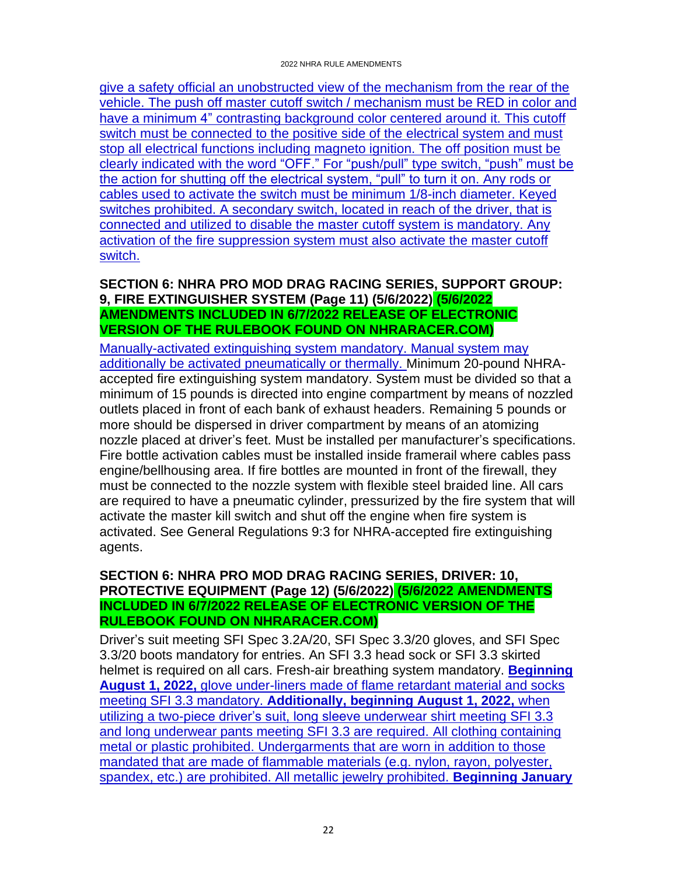give a safety official an unobstructed view of the mechanism from the rear of the vehicle. The push off master cutoff switch / mechanism must be RED in color and have a minimum 4" contrasting background color centered around it. This cutoff switch must be connected to the positive side of the electrical system and must stop all electrical functions including magneto ignition. The off position must be clearly indicated with the word "OFF." For "push/pull" type switch, "push" must be the action for shutting off the electrical system, "pull" to turn it on. Any rods or cables used to activate the switch must be minimum 1/8-inch diameter. Keyed switches prohibited. A secondary switch, located in reach of the driver, that is connected and utilized to disable the master cutoff system is mandatory. Any activation of the fire suppression system must also activate the master cutoff switch.

# <span id="page-21-0"></span>**SECTION 6: NHRA PRO MOD DRAG RACING SERIES, SUPPORT GROUP: 9, FIRE EXTINGUISHER SYSTEM (Page 11) (5/6/2022) (5/6/2022 AMENDMENTS INCLUDED IN 6/7/2022 RELEASE OF ELECTRONIC VERSION OF THE RULEBOOK FOUND ON NHRARACER.COM)**

Manually-activated extinguishing system mandatory. Manual system may additionally be activated pneumatically or thermally. Minimum 20-pound NHRAaccepted fire extinguishing system mandatory. System must be divided so that a minimum of 15 pounds is directed into engine compartment by means of nozzled outlets placed in front of each bank of exhaust headers. Remaining 5 pounds or more should be dispersed in driver compartment by means of an atomizing nozzle placed at driver's feet. Must be installed per manufacturer's specifications. Fire bottle activation cables must be installed inside framerail where cables pass engine/bellhousing area. If fire bottles are mounted in front of the firewall, they must be connected to the nozzle system with flexible steel braided line. All cars are required to have a pneumatic cylinder, pressurized by the fire system that will activate the master kill switch and shut off the engine when fire system is activated. See General Regulations 9:3 for NHRA-accepted fire extinguishing agents.

#### <span id="page-21-1"></span>**SECTION 6: NHRA PRO MOD DRAG RACING SERIES, DRIVER: 10, PROTECTIVE EQUIPMENT (Page 12) (5/6/2022) (5/6/2022 AMENDMENTS INCLUDED IN 6/7/2022 RELEASE OF ELECTRONIC VERSION OF THE RULEBOOK FOUND ON NHRARACER.COM)**

Driver's suit meeting SFI Spec 3.2A/20, SFI Spec 3.3/20 gloves, and SFI Spec 3.3/20 boots mandatory for entries. An SFI 3.3 head sock or SFI 3.3 skirted helmet is required on all cars. Fresh-air breathing system mandatory. **Beginning August 1, 2022,** glove under-liners made of flame retardant material and socks meeting SFI 3.3 mandatory. **Additionally, beginning August 1, 2022,** when utilizing a two-piece driver's suit, long sleeve underwear shirt meeting SFI 3.3 and long underwear pants meeting SFI 3.3 are required. All clothing containing metal or plastic prohibited. Undergarments that are worn in addition to those mandated that are made of flammable materials (e.g. nylon, rayon, polyester, spandex, etc.) are prohibited. All metallic jewelry prohibited. **Beginning January**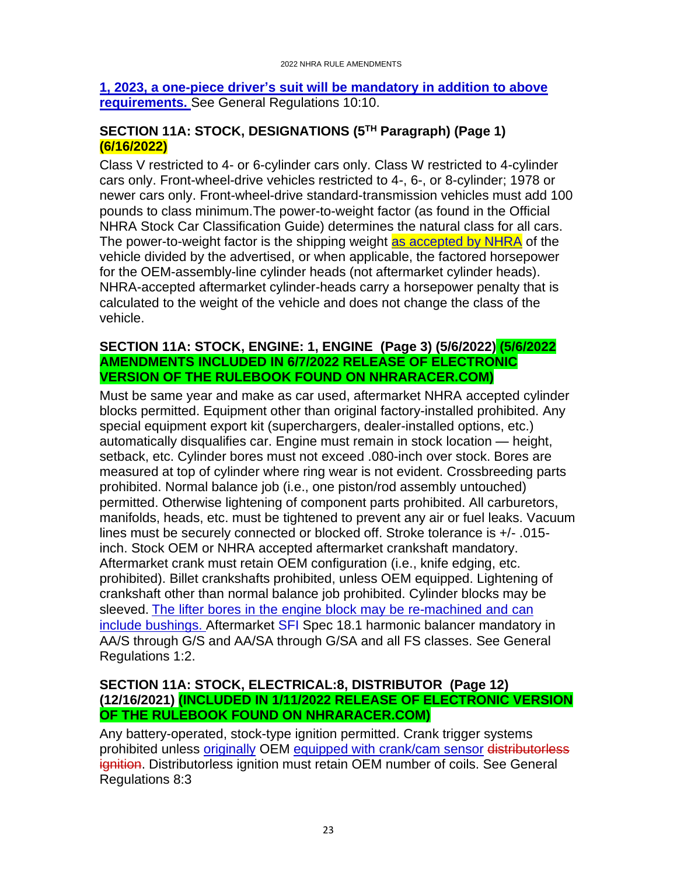#### **1, 2023, a one-piece driver's suit will be mandatory in addition to above requirements.** See General Regulations 10:10.

# <span id="page-22-0"></span>**SECTION 11A: STOCK, DESIGNATIONS (5TH Paragraph) (Page 1) (6/16/2022)**

Class V restricted to 4- or 6-cylinder cars only. Class W restricted to 4-cylinder cars only. Front-wheel-drive vehicles restricted to 4-, 6-, or 8-cylinder; 1978 or newer cars only. Front-wheel-drive standard-transmission vehicles must add 100 pounds to class minimum.The power-to-weight factor (as found in the Official NHRA Stock Car Classification Guide) determines the natural class for all cars. The power-to-weight factor is the shipping weight as accepted by NHRA of the vehicle divided by the advertised, or when applicable, the factored horsepower for the OEM-assembly-line cylinder heads (not aftermarket cylinder heads). NHRA-accepted aftermarket cylinder-heads carry a horsepower penalty that is calculated to the weight of the vehicle and does not change the class of the vehicle.

#### <span id="page-22-1"></span>**SECTION 11A: STOCK, ENGINE: 1, ENGINE (Page 3) (5/6/2022) (5/6/2022 AMENDMENTS INCLUDED IN 6/7/2022 RELEASE OF ELECTRONIC VERSION OF THE RULEBOOK FOUND ON NHRARACER.COM)**

Must be same year and make as car used, aftermarket NHRA accepted cylinder blocks permitted. Equipment other than original factory-installed prohibited. Any special equipment export kit (superchargers, dealer-installed options, etc.) automatically disqualifies car. Engine must remain in stock location — height, setback, etc. Cylinder bores must not exceed .080-inch over stock. Bores are measured at top of cylinder where ring wear is not evident. Crossbreeding parts prohibited. Normal balance job (i.e., one piston/rod assembly untouched) permitted. Otherwise lightening of component parts prohibited. All carburetors, manifolds, heads, etc. must be tightened to prevent any air or fuel leaks. Vacuum lines must be securely connected or blocked off. Stroke tolerance is +/- .015 inch. Stock OEM or NHRA accepted aftermarket crankshaft mandatory. Aftermarket crank must retain OEM configuration (i.e., knife edging, etc. prohibited). Billet crankshafts prohibited, unless OEM equipped. Lightening of crankshaft other than normal balance job prohibited. Cylinder blocks may be sleeved. The lifter bores in the engine block may be re-machined and can include bushings. Aftermarket SFI Spec 18.1 harmonic balancer mandatory in AA/S through G/S and AA/SA through G/SA and all FS classes. See General Regulations 1:2.

# <span id="page-22-2"></span>**SECTION 11A: STOCK, ELECTRICAL:8, DISTRIBUTOR (Page 12) (12/16/2021) (INCLUDED IN 1/11/2022 RELEASE OF ELECTRONIC VERSION OF THE RULEBOOK FOUND ON NHRARACER.COM)**

Any battery-operated, stock-type ignition permitted. Crank trigger systems prohibited unless originally OEM equipped with crank/cam sensor distributorless ignition. Distributorless ignition must retain OEM number of coils. See General Regulations 8:3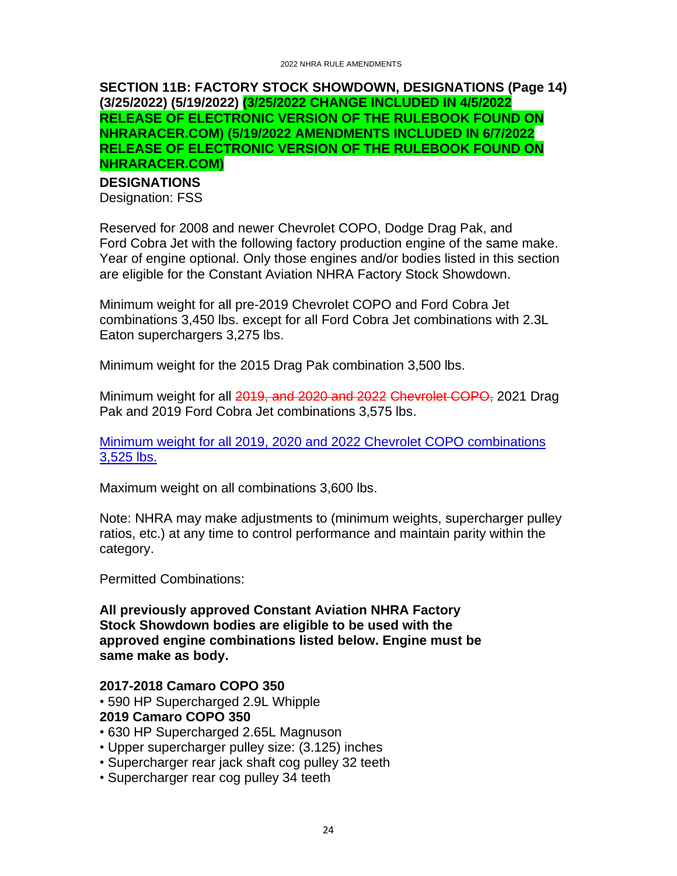#### <span id="page-23-0"></span>**SECTION 11B: FACTORY STOCK SHOWDOWN, DESIGNATIONS (Page 14) (3/25/2022) (5/19/2022) (3/25/2022 CHANGE INCLUDED IN 4/5/2022 RELEASE OF ELECTRONIC VERSION OF THE RULEBOOK FOUND ON NHRARACER.COM) (5/19/2022 AMENDMENTS INCLUDED IN 6/7/2022 RELEASE OF ELECTRONIC VERSION OF THE RULEBOOK FOUND ON NHRARACER.COM)**

# **DESIGNATIONS**

Designation: FSS

Reserved for 2008 and newer Chevrolet COPO, Dodge Drag Pak, and Ford Cobra Jet with the following factory production engine of the same make. Year of engine optional. Only those engines and/or bodies listed in this section are eligible for the Constant Aviation NHRA Factory Stock Showdown.

Minimum weight for all pre-2019 Chevrolet COPO and Ford Cobra Jet combinations 3,450 lbs. except for all Ford Cobra Jet combinations with 2.3L Eaton superchargers 3,275 lbs.

Minimum weight for the 2015 Drag Pak combination 3,500 lbs.

Minimum weight for all 2019, and 2020 and 2022 Chevrolet COPO, 2021 Drag Pak and 2019 Ford Cobra Jet combinations 3,575 lbs.

Minimum weight for all 2019, 2020 and 2022 Chevrolet COPO combinations 3,525 lbs.

Maximum weight on all combinations 3,600 lbs.

Note: NHRA may make adjustments to (minimum weights, supercharger pulley ratios, etc.) at any time to control performance and maintain parity within the category.

Permitted Combinations:

**All previously approved Constant Aviation NHRA Factory Stock Showdown bodies are eligible to be used with the approved engine combinations listed below. Engine must be same make as body.**

#### **2017-2018 Camaro COPO 350**

- 590 HP Supercharged 2.9L Whipple
- **2019 Camaro COPO 350**
- 630 HP Supercharged 2.65L Magnuson
- Upper supercharger pulley size: (3.125) inches
- Supercharger rear jack shaft cog pulley 32 teeth
- Supercharger rear cog pulley 34 teeth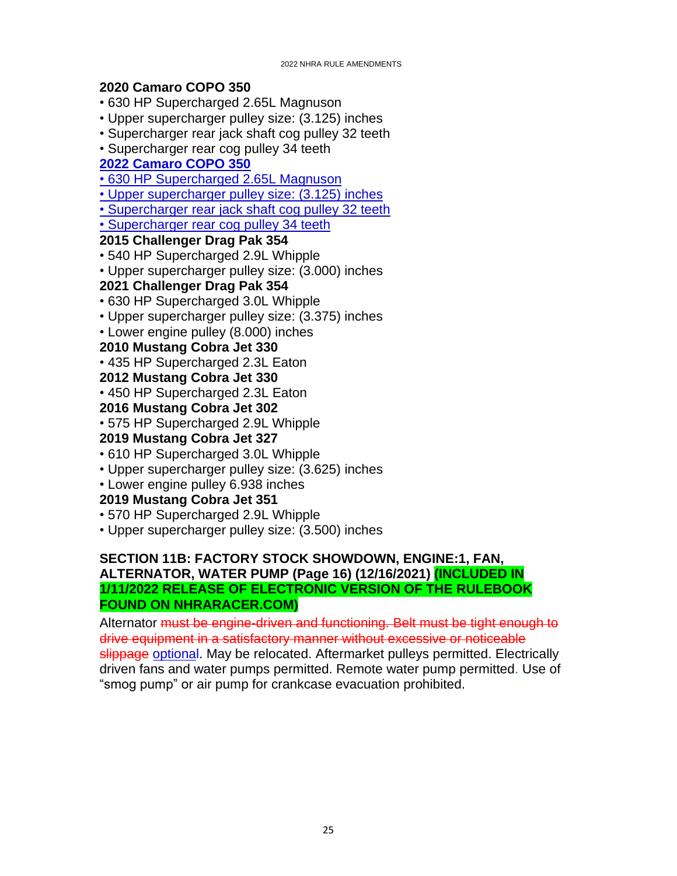# **2020 Camaro COPO 350**

• 630 HP Supercharged 2.65L Magnuson

- Upper supercharger pulley size: (3.125) inches
- Supercharger rear jack shaft cog pulley 32 teeth
- Supercharger rear cog pulley 34 teeth

# **2022 Camaro COPO 350**

• 630 HP Supercharged 2.65L Magnuson

• Upper supercharger pulley size: (3.125) inches

• Supercharger rear jack shaft cog pulley 32 teeth

• Supercharger rear cog pulley 34 teeth

# **2015 Challenger Drag Pak 354**

- 540 HP Supercharged 2.9L Whipple
- Upper supercharger pulley size: (3.000) inches

# **2021 Challenger Drag Pak 354**

- 630 HP Supercharged 3.0L Whipple
- Upper supercharger pulley size: (3.375) inches
- Lower engine pulley (8.000) inches

# **2010 Mustang Cobra Jet 330**

• 435 HP Supercharged 2.3L Eaton

# **2012 Mustang Cobra Jet 330**

• 450 HP Supercharged 2.3L Eaton

# **2016 Mustang Cobra Jet 302**

• 575 HP Supercharged 2.9L Whipple

# **2019 Mustang Cobra Jet 327**

- 610 HP Supercharged 3.0L Whipple
- Upper supercharger pulley size: (3.625) inches
- Lower engine pulley 6.938 inches

# **2019 Mustang Cobra Jet 351**

- 570 HP Supercharged 2.9L Whipple
- Upper supercharger pulley size: (3.500) inches

### <span id="page-24-0"></span>**SECTION 11B: FACTORY STOCK SHOWDOWN, ENGINE:1, FAN, ALTERNATOR, WATER PUMP (Page 16) (12/16/2021) (INCLUDED IN 1/11/2022 RELEASE OF ELECTRONIC VERSION OF THE RULEBOOK FOUND ON NHRARACER.COM)**

Alternator must be engine-driven and functioning. Belt must be tight enough to drive equipment in a satisfactory manner without excessive or noticeable slippage optional. May be relocated. Aftermarket pulleys permitted. Electrically driven fans and water pumps permitted. Remote water pump permitted. Use of "smog pump" or air pump for crankcase evacuation prohibited.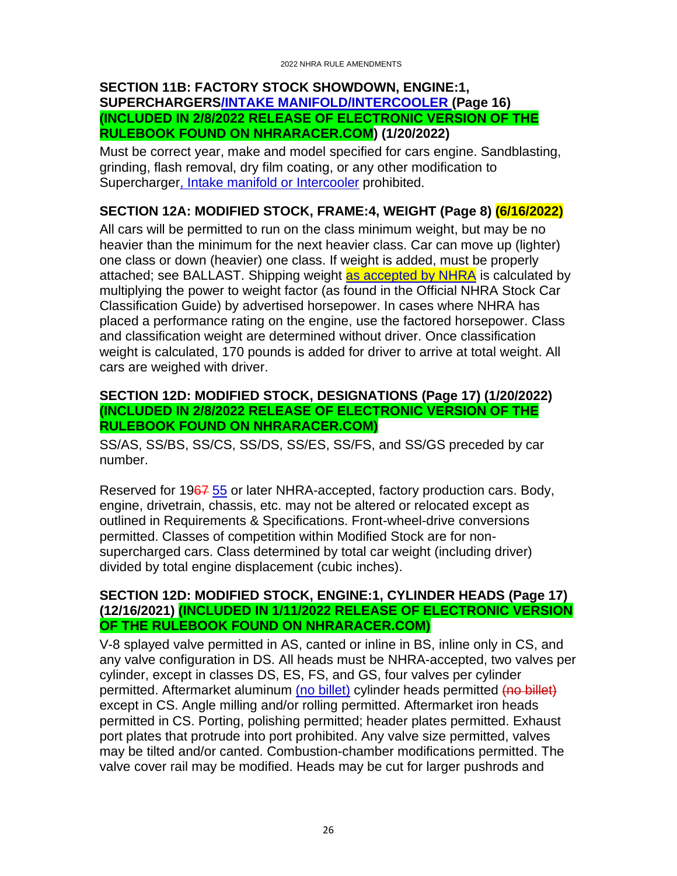#### <span id="page-25-0"></span>**SECTION 11B: FACTORY STOCK SHOWDOWN, ENGINE:1, SUPERCHARGERS/INTAKE MANIFOLD/INTERCOOLER (Page 16) (INCLUDED IN 2/8/2022 RELEASE OF ELECTRONIC VERSION OF THE RULEBOOK FOUND ON NHRARACER.COM) (1/20/2022)**

Must be correct year, make and model specified for cars engine. Sandblasting, grinding, flash removal, dry film coating, or any other modification to Supercharger, Intake manifold or Intercooler prohibited.

# <span id="page-25-1"></span>**SECTION 12A: MODIFIED STOCK, FRAME:4, WEIGHT (Page 8) (6/16/2022)**

All cars will be permitted to run on the class minimum weight, but may be no heavier than the minimum for the next heavier class. Car can move up (lighter) one class or down (heavier) one class. If weight is added, must be properly attached; see BALLAST. Shipping weight as accepted by NHRA is calculated by multiplying the power to weight factor (as found in the Official NHRA Stock Car Classification Guide) by advertised horsepower. In cases where NHRA has placed a performance rating on the engine, use the factored horsepower. Class and classification weight are determined without driver. Once classification weight is calculated, 170 pounds is added for driver to arrive at total weight. All cars are weighed with driver.

#### <span id="page-25-2"></span>**SECTION 12D: MODIFIED STOCK, DESIGNATIONS (Page 17) (1/20/2022) (INCLUDED IN 2/8/2022 RELEASE OF ELECTRONIC VERSION OF THE RULEBOOK FOUND ON NHRARACER.COM)**

SS/AS, SS/BS, SS/CS, SS/DS, SS/ES, SS/FS, and SS/GS preceded by car number.

Reserved for 1967 55 or later NHRA-accepted, factory production cars. Body, engine, drivetrain, chassis, etc. may not be altered or relocated except as outlined in Requirements & Specifications. Front-wheel-drive conversions permitted. Classes of competition within Modified Stock are for nonsupercharged cars. Class determined by total car weight (including driver) divided by total engine displacement (cubic inches).

#### <span id="page-25-3"></span>**SECTION 12D: MODIFIED STOCK, ENGINE:1, CYLINDER HEADS (Page 17) (12/16/2021) (INCLUDED IN 1/11/2022 RELEASE OF ELECTRONIC VERSION OF THE RULEBOOK FOUND ON NHRARACER.COM)**

V-8 splayed valve permitted in AS, canted or inline in BS, inline only in CS, and any valve configuration in DS. All heads must be NHRA-accepted, two valves per cylinder, except in classes DS, ES, FS, and GS, four valves per cylinder permitted. Aftermarket aluminum (no billet) cylinder heads permitted (no billet) except in CS. Angle milling and/or rolling permitted. Aftermarket iron heads permitted in CS. Porting, polishing permitted; header plates permitted. Exhaust port plates that protrude into port prohibited. Any valve size permitted, valves may be tilted and/or canted. Combustion-chamber modifications permitted. The valve cover rail may be modified. Heads may be cut for larger pushrods and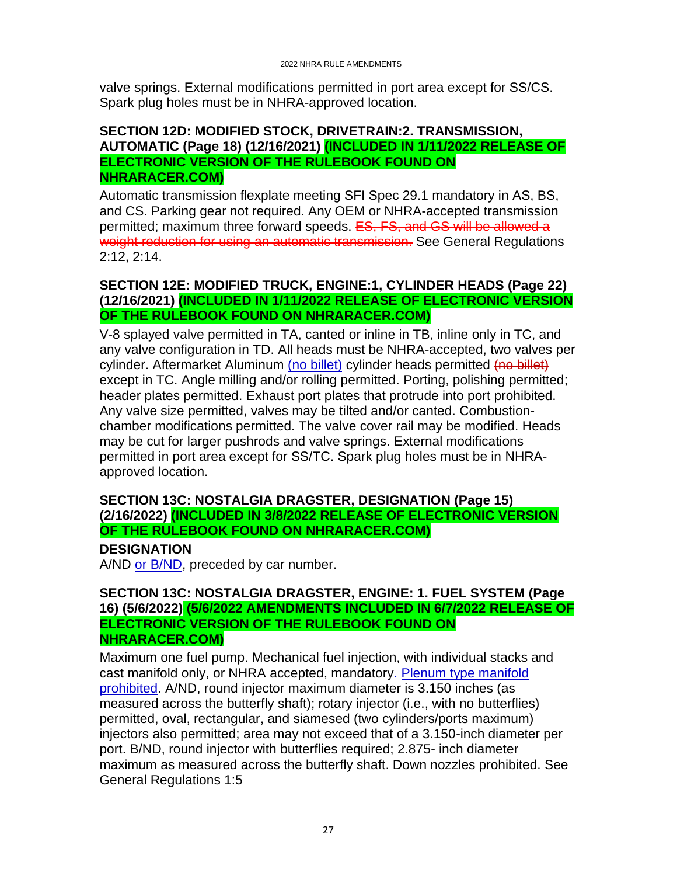valve springs. External modifications permitted in port area except for SS/CS. Spark plug holes must be in NHRA-approved location.

#### <span id="page-26-0"></span>**SECTION 12D: MODIFIED STOCK, DRIVETRAIN:2. TRANSMISSION, AUTOMATIC (Page 18) (12/16/2021) (INCLUDED IN 1/11/2022 RELEASE OF ELECTRONIC VERSION OF THE RULEBOOK FOUND ON NHRARACER.COM)**

Automatic transmission flexplate meeting SFI Spec 29.1 mandatory in AS, BS, and CS. Parking gear not required. Any OEM or NHRA-accepted transmission permitted; maximum three forward speeds. ES, FS, and GS will be allowed a weight reduction for using an automatic transmission. See General Regulations 2:12, 2:14.

#### <span id="page-26-1"></span>**SECTION 12E: MODIFIED TRUCK, ENGINE:1, CYLINDER HEADS (Page 22) (12/16/2021) (INCLUDED IN 1/11/2022 RELEASE OF ELECTRONIC VERSION OF THE RULEBOOK FOUND ON NHRARACER.COM)**

V-8 splayed valve permitted in TA, canted or inline in TB, inline only in TC, and any valve configuration in TD. All heads must be NHRA-accepted, two valves per cylinder. Aftermarket Aluminum (no billet) cylinder heads permitted (no billet) except in TC. Angle milling and/or rolling permitted. Porting, polishing permitted; header plates permitted. Exhaust port plates that protrude into port prohibited. Any valve size permitted, valves may be tilted and/or canted. Combustionchamber modifications permitted. The valve cover rail may be modified. Heads may be cut for larger pushrods and valve springs. External modifications permitted in port area except for SS/TC. Spark plug holes must be in NHRAapproved location.

#### <span id="page-26-2"></span>**SECTION 13C: NOSTALGIA DRAGSTER, DESIGNATION (Page 15) (2/16/2022) (INCLUDED IN 3/8/2022 RELEASE OF ELECTRONIC VERSION OF THE RULEBOOK FOUND ON NHRARACER.COM)**

#### **DESIGNATION**

A/ND or B/ND, preceded by car number.

#### <span id="page-26-3"></span>**SECTION 13C: NOSTALGIA DRAGSTER, ENGINE: 1. FUEL SYSTEM (Page 16) (5/6/2022) (5/6/2022 AMENDMENTS INCLUDED IN 6/7/2022 RELEASE OF ELECTRONIC VERSION OF THE RULEBOOK FOUND ON NHRARACER.COM)**

Maximum one fuel pump. Mechanical fuel injection, with individual stacks and cast manifold only, or NHRA accepted, mandatory. Plenum type manifold prohibited. A/ND, round injector maximum diameter is 3.150 inches (as measured across the butterfly shaft); rotary injector (i.e., with no butterflies) permitted, oval, rectangular, and siamesed (two cylinders/ports maximum) injectors also permitted; area may not exceed that of a 3.150-inch diameter per port. B/ND, round injector with butterflies required; 2.875- inch diameter maximum as measured across the butterfly shaft. Down nozzles prohibited. See General Regulations 1:5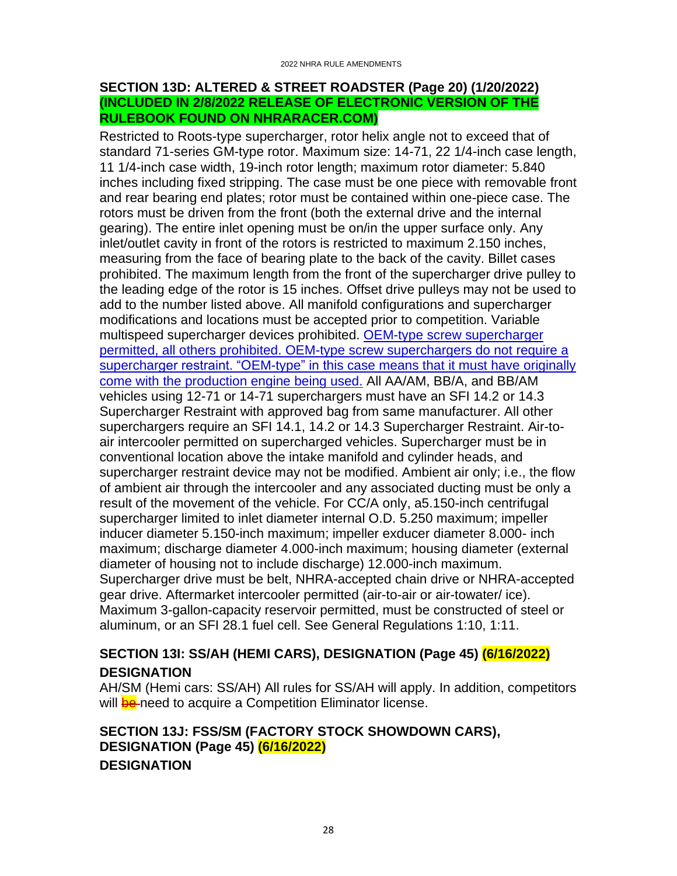#### <span id="page-27-0"></span>**SECTION 13D: ALTERED & STREET ROADSTER (Page 20) (1/20/2022) (INCLUDED IN 2/8/2022 RELEASE OF ELECTRONIC VERSION OF THE RULEBOOK FOUND ON NHRARACER.COM)**

Restricted to Roots-type supercharger, rotor helix angle not to exceed that of standard 71-series GM-type rotor. Maximum size: 14-71, 22 1/4-inch case length, 11 1/4-inch case width, 19-inch rotor length; maximum rotor diameter: 5.840 inches including fixed stripping. The case must be one piece with removable front and rear bearing end plates; rotor must be contained within one-piece case. The rotors must be driven from the front (both the external drive and the internal gearing). The entire inlet opening must be on/in the upper surface only. Any inlet/outlet cavity in front of the rotors is restricted to maximum 2.150 inches, measuring from the face of bearing plate to the back of the cavity. Billet cases prohibited. The maximum length from the front of the supercharger drive pulley to the leading edge of the rotor is 15 inches. Offset drive pulleys may not be used to add to the number listed above. All manifold configurations and supercharger modifications and locations must be accepted prior to competition. Variable multispeed supercharger devices prohibited. OEM-type screw supercharger permitted, all others prohibited. OEM-type screw superchargers do not require a supercharger restraint. "OEM-type" in this case means that it must have originally come with the production engine being used. All AA/AM, BB/A, and BB/AM vehicles using 12-71 or 14-71 superchargers must have an SFI 14.2 or 14.3 Supercharger Restraint with approved bag from same manufacturer. All other superchargers require an SFI 14.1, 14.2 or 14.3 Supercharger Restraint. Air-toair intercooler permitted on supercharged vehicles. Supercharger must be in conventional location above the intake manifold and cylinder heads, and supercharger restraint device may not be modified. Ambient air only; i.e., the flow of ambient air through the intercooler and any associated ducting must be only a result of the movement of the vehicle. For CC/A only, a5.150-inch centrifugal supercharger limited to inlet diameter internal O.D. 5.250 maximum; impeller inducer diameter 5.150-inch maximum; impeller exducer diameter 8.000- inch maximum; discharge diameter 4.000-inch maximum; housing diameter (external diameter of housing not to include discharge) 12.000-inch maximum. Supercharger drive must be belt, NHRA-accepted chain drive or NHRA-accepted gear drive. Aftermarket intercooler permitted (air-to-air or air-towater/ ice). Maximum 3-gallon-capacity reservoir permitted, must be constructed of steel or aluminum, or an SFI 28.1 fuel cell. See General Regulations 1:10, 1:11.

# <span id="page-27-1"></span>**SECTION 13I: SS/AH (HEMI CARS), DESIGNATION (Page 45) (6/16/2022) DESIGNATION**

AH/SM (Hemi cars: SS/AH) All rules for SS/AH will apply. In addition, competitors will **be** need to acquire a Competition Eliminator license.

# <span id="page-27-2"></span>**SECTION 13J: FSS/SM (FACTORY STOCK SHOWDOWN CARS), DESIGNATION (Page 45) (6/16/2022) DESIGNATION**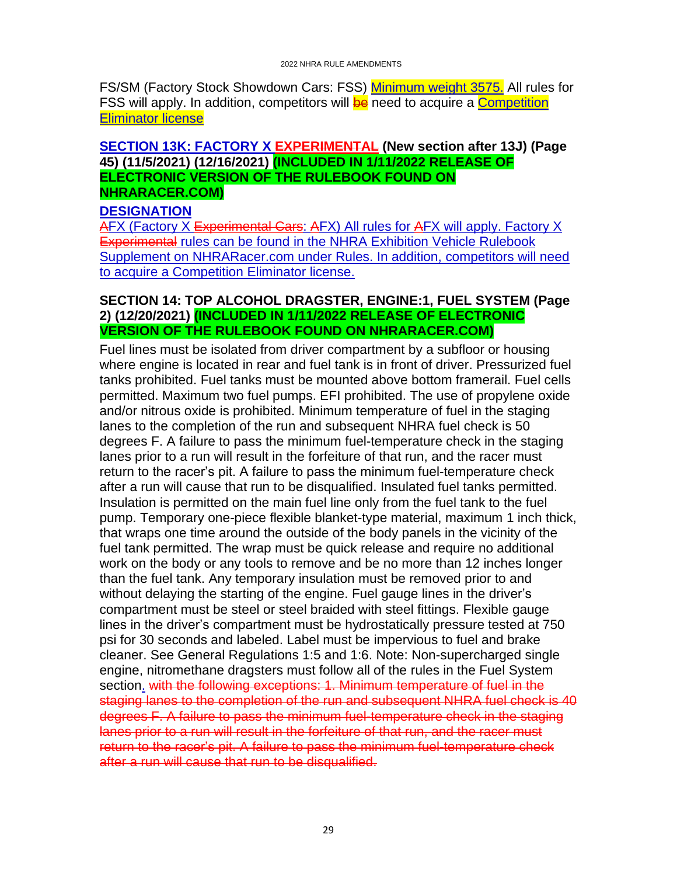FS/SM (Factory Stock Showdown Cars: FSS) Minimum weight 3575. All rules for FSS will apply. In addition, competitors will be need to acquire a Competition Eliminator license

#### <span id="page-28-0"></span>**SECTION 13K: FACTORY X EXPERIMENTAL (New section after 13J) (Page 45) (11/5/2021) (12/16/2021) (INCLUDED IN 1/11/2022 RELEASE OF ELECTRONIC VERSION OF THE RULEBOOK FOUND ON NHRARACER.COM)**

#### **DESIGNATION**

AFX (Factory X Experimental Cars: AFX) All rules for AFX will apply. Factory X Experimental rules can be found in the NHRA Exhibition Vehicle Rulebook Supplement on NHRARacer.com under Rules. In addition, competitors will need to acquire a Competition Eliminator license.

#### <span id="page-28-1"></span>**SECTION 14: TOP ALCOHOL DRAGSTER, ENGINE:1, FUEL SYSTEM (Page 2) (12/20/2021) (INCLUDED IN 1/11/2022 RELEASE OF ELECTRONIC VERSION OF THE RULEBOOK FOUND ON NHRARACER.COM)**

Fuel lines must be isolated from driver compartment by a subfloor or housing where engine is located in rear and fuel tank is in front of driver. Pressurized fuel tanks prohibited. Fuel tanks must be mounted above bottom framerail. Fuel cells permitted. Maximum two fuel pumps. EFI prohibited. The use of propylene oxide and/or nitrous oxide is prohibited. Minimum temperature of fuel in the staging lanes to the completion of the run and subsequent NHRA fuel check is 50 degrees F. A failure to pass the minimum fuel-temperature check in the staging lanes prior to a run will result in the forfeiture of that run, and the racer must return to the racer's pit. A failure to pass the minimum fuel-temperature check after a run will cause that run to be disqualified. Insulated fuel tanks permitted. Insulation is permitted on the main fuel line only from the fuel tank to the fuel pump. Temporary one-piece flexible blanket-type material, maximum 1 inch thick, that wraps one time around the outside of the body panels in the vicinity of the fuel tank permitted. The wrap must be quick release and require no additional work on the body or any tools to remove and be no more than 12 inches longer than the fuel tank. Any temporary insulation must be removed prior to and without delaying the starting of the engine. Fuel gauge lines in the driver's compartment must be steel or steel braided with steel fittings. Flexible gauge lines in the driver's compartment must be hydrostatically pressure tested at 750 psi for 30 seconds and labeled. Label must be impervious to fuel and brake cleaner. See General Regulations 1:5 and 1:6. Note: Non-supercharged single engine, nitromethane dragsters must follow all of the rules in the Fuel System section. with the following exceptions: 1. Minimum temperature of fuel in the staging lanes to the completion of the run and subsequent NHRA fuel check is 40 degrees F. A failure to pass the minimum fuel-temperature check in the staging lanes prior to a run will result in the forfeiture of that run, and the racer must return to the racer's pit. A failure to pass the minimum fuel-temperature check after a run will cause that run to be disqualified.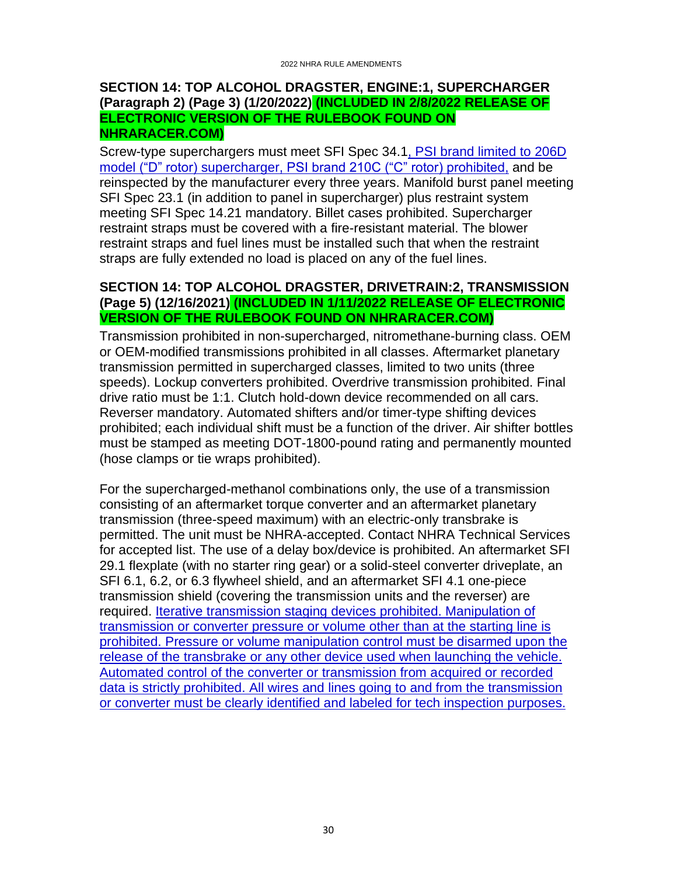#### <span id="page-29-0"></span>**SECTION 14: TOP ALCOHOL DRAGSTER, ENGINE:1, SUPERCHARGER (Paragraph 2) (Page 3) (1/20/2022) (INCLUDED IN 2/8/2022 RELEASE OF ELECTRONIC VERSION OF THE RULEBOOK FOUND ON NHRARACER.COM)**

Screw-type superchargers must meet SFI Spec 34.1, PSI brand limited to 206D model ("D" rotor) supercharger, PSI brand 210C ("C" rotor) prohibited, and be reinspected by the manufacturer every three years. Manifold burst panel meeting SFI Spec 23.1 (in addition to panel in supercharger) plus restraint system meeting SFI Spec 14.21 mandatory. Billet cases prohibited. Supercharger restraint straps must be covered with a fire-resistant material. The blower restraint straps and fuel lines must be installed such that when the restraint straps are fully extended no load is placed on any of the fuel lines.

#### <span id="page-29-1"></span>**SECTION 14: TOP ALCOHOL DRAGSTER, DRIVETRAIN:2, TRANSMISSION (Page 5) (12/16/2021) (INCLUDED IN 1/11/2022 RELEASE OF ELECTRONIC VERSION OF THE RULEBOOK FOUND ON NHRARACER.COM)**

Transmission prohibited in non-supercharged, nitromethane-burning class. OEM or OEM-modified transmissions prohibited in all classes. Aftermarket planetary transmission permitted in supercharged classes, limited to two units (three speeds). Lockup converters prohibited. Overdrive transmission prohibited. Final drive ratio must be 1:1. Clutch hold-down device recommended on all cars. Reverser mandatory. Automated shifters and/or timer-type shifting devices prohibited; each individual shift must be a function of the driver. Air shifter bottles must be stamped as meeting DOT-1800-pound rating and permanently mounted (hose clamps or tie wraps prohibited).

For the supercharged-methanol combinations only, the use of a transmission consisting of an aftermarket torque converter and an aftermarket planetary transmission (three-speed maximum) with an electric-only transbrake is permitted. The unit must be NHRA-accepted. Contact NHRA Technical Services for accepted list. The use of a delay box/device is prohibited. An aftermarket SFI 29.1 flexplate (with no starter ring gear) or a solid-steel converter driveplate, an SFI 6.1, 6.2, or 6.3 flywheel shield, and an aftermarket SFI 4.1 one-piece transmission shield (covering the transmission units and the reverser) are required. Iterative transmission staging devices prohibited. Manipulation of transmission or converter pressure or volume other than at the starting line is prohibited. Pressure or volume manipulation control must be disarmed upon the release of the transbrake or any other device used when launching the vehicle. Automated control of the converter or transmission from acquired or recorded data is strictly prohibited. All wires and lines going to and from the transmission or converter must be clearly identified and labeled for tech inspection purposes.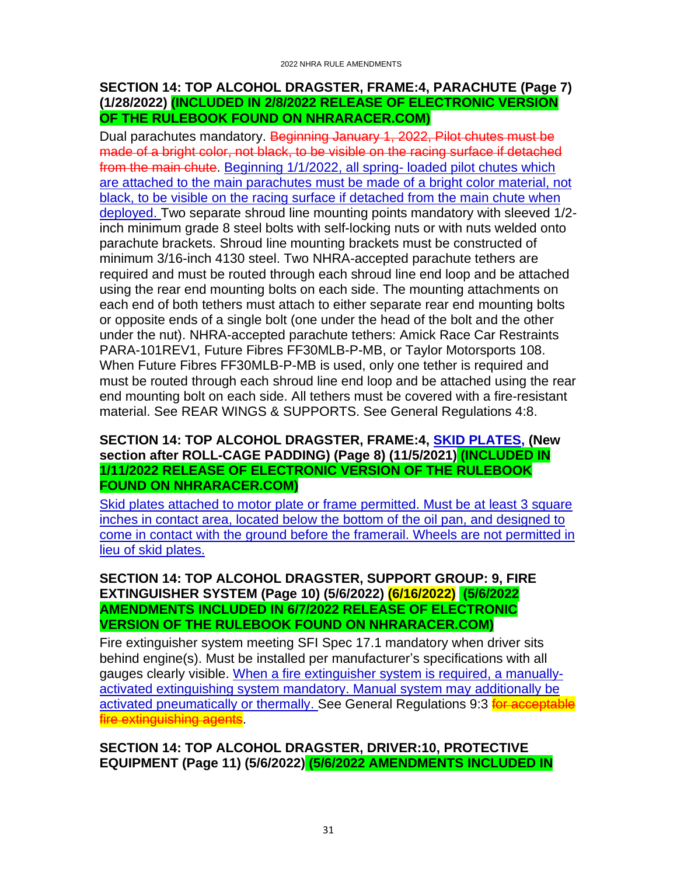### <span id="page-30-0"></span>**SECTION 14: TOP ALCOHOL DRAGSTER, FRAME:4, PARACHUTE (Page 7) (1/28/2022) (INCLUDED IN 2/8/2022 RELEASE OF ELECTRONIC VERSION OF THE RULEBOOK FOUND ON NHRARACER.COM)**

Dual parachutes mandatory. Beginning January 1, 2022, Pilot chutes must be made of a bright color, not black, to be visible on the racing surface if detached from the main chute. Beginning 1/1/2022, all spring- loaded pilot chutes which are attached to the main parachutes must be made of a bright color material, not black, to be visible on the racing surface if detached from the main chute when deployed. Two separate shroud line mounting points mandatory with sleeved 1/2 inch minimum grade 8 steel bolts with self-locking nuts or with nuts welded onto parachute brackets. Shroud line mounting brackets must be constructed of minimum 3/16-inch 4130 steel. Two NHRA-accepted parachute tethers are required and must be routed through each shroud line end loop and be attached using the rear end mounting bolts on each side. The mounting attachments on each end of both tethers must attach to either separate rear end mounting bolts or opposite ends of a single bolt (one under the head of the bolt and the other under the nut). NHRA-accepted parachute tethers: Amick Race Car Restraints PARA-101REV1, Future Fibres FF30MLB-P-MB, or Taylor Motorsports 108. When Future Fibres FF30MLB-P-MB is used, only one tether is required and must be routed through each shroud line end loop and be attached using the rear end mounting bolt on each side. All tethers must be covered with a fire-resistant material. See REAR WINGS & SUPPORTS. See General Regulations 4:8.

#### <span id="page-30-1"></span>**SECTION 14: TOP ALCOHOL DRAGSTER, FRAME:4, SKID PLATES, (New section after ROLL-CAGE PADDING) (Page 8) (11/5/2021) (INCLUDED IN 1/11/2022 RELEASE OF ELECTRONIC VERSION OF THE RULEBOOK FOUND ON NHRARACER.COM)**

Skid plates attached to motor plate or frame permitted. Must be at least 3 square inches in contact area, located below the bottom of the oil pan, and designed to come in contact with the ground before the framerail. Wheels are not permitted in lieu of skid plates.

#### <span id="page-30-2"></span>**SECTION 14: TOP ALCOHOL DRAGSTER, SUPPORT GROUP: 9, FIRE EXTINGUISHER SYSTEM (Page 10) (5/6/2022) (6/16/2022) (5/6/2022 AMENDMENTS INCLUDED IN 6/7/2022 RELEASE OF ELECTRONIC VERSION OF THE RULEBOOK FOUND ON NHRARACER.COM)**

Fire extinguisher system meeting SFI Spec 17.1 mandatory when driver sits behind engine(s). Must be installed per manufacturer's specifications with all gauges clearly visible. When a fire extinguisher system is required, a manuallyactivated extinguishing system mandatory. Manual system may additionally be activated pneumatically or thermally. See General Regulations 9:3 **for acceptable** fire extinguishing agents.

<span id="page-30-3"></span>**SECTION 14: TOP ALCOHOL DRAGSTER, DRIVER:10, PROTECTIVE EQUIPMENT (Page 11) (5/6/2022) (5/6/2022 AMENDMENTS INCLUDED IN**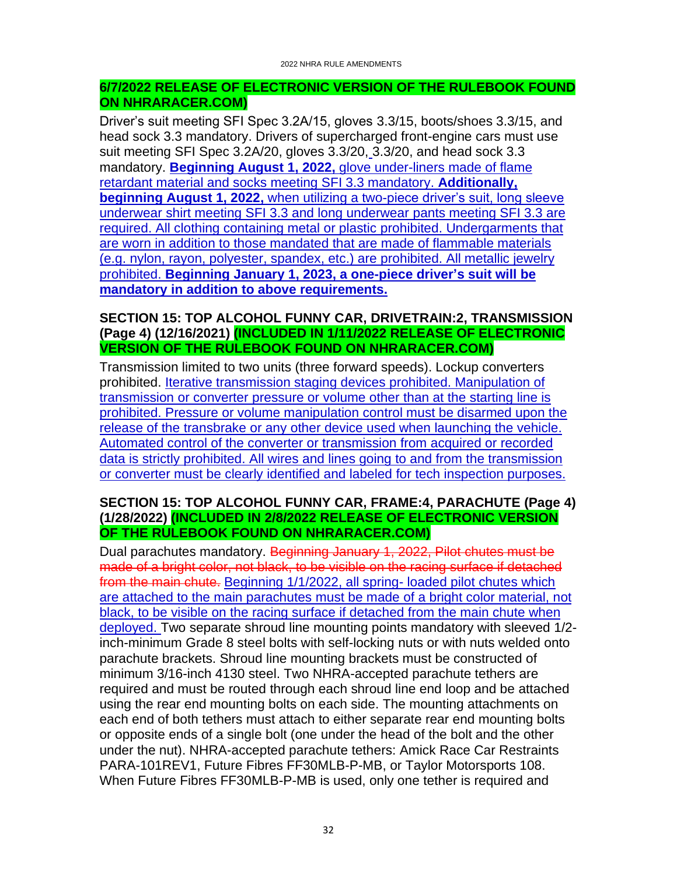### **6/7/2022 RELEASE OF ELECTRONIC VERSION OF THE RULEBOOK FOUND ON NHRARACER.COM)**

Driver's suit meeting SFI Spec 3.2A/15, gloves 3.3/15, boots/shoes 3.3/15, and head sock 3.3 mandatory. Drivers of supercharged front-engine cars must use suit meeting SFI Spec 3.2A/20, gloves 3.3/20, 3.3/20, and head sock 3.3 mandatory. **Beginning August 1, 2022,** glove under-liners made of flame retardant material and socks meeting SFI 3.3 mandatory. **Additionally, beginning August 1, 2022,** when utilizing a two-piece driver's suit, long sleeve underwear shirt meeting SFI 3.3 and long underwear pants meeting SFI 3.3 are required. All clothing containing metal or plastic prohibited. Undergarments that are worn in addition to those mandated that are made of flammable materials (e.g. nylon, rayon, polyester, spandex, etc.) are prohibited. All metallic jewelry prohibited. **Beginning January 1, 2023, a one-piece driver's suit will be mandatory in addition to above requirements.**

#### <span id="page-31-0"></span>**SECTION 15: TOP ALCOHOL FUNNY CAR, DRIVETRAIN:2, TRANSMISSION (Page 4) (12/16/2021) (INCLUDED IN 1/11/2022 RELEASE OF ELECTRONIC VERSION OF THE RULEBOOK FOUND ON NHRARACER.COM)**

Transmission limited to two units (three forward speeds). Lockup converters prohibited. Iterative transmission staging devices prohibited. Manipulation of transmission or converter pressure or volume other than at the starting line is prohibited. Pressure or volume manipulation control must be disarmed upon the release of the transbrake or any other device used when launching the vehicle. Automated control of the converter or transmission from acquired or recorded data is strictly prohibited. All wires and lines going to and from the transmission or converter must be clearly identified and labeled for tech inspection purposes.

#### <span id="page-31-1"></span>**SECTION 15: TOP ALCOHOL FUNNY CAR, FRAME:4, PARACHUTE (Page 4) (1/28/2022) (INCLUDED IN 2/8/2022 RELEASE OF ELECTRONIC VERSION OF THE RULEBOOK FOUND ON NHRARACER.COM)**

Dual parachutes mandatory. Beginning January 1, 2022, Pilot chutes must be made of a bright color, not black, to be visible on the racing surface if detached from the main chute. Beginning 1/1/2022, all spring-loaded pilot chutes which are attached to the main parachutes must be made of a bright color material, not black, to be visible on the racing surface if detached from the main chute when deployed. Two separate shroud line mounting points mandatory with sleeved 1/2 inch-minimum Grade 8 steel bolts with self-locking nuts or with nuts welded onto parachute brackets. Shroud line mounting brackets must be constructed of minimum 3/16-inch 4130 steel. Two NHRA-accepted parachute tethers are required and must be routed through each shroud line end loop and be attached using the rear end mounting bolts on each side. The mounting attachments on each end of both tethers must attach to either separate rear end mounting bolts or opposite ends of a single bolt (one under the head of the bolt and the other under the nut). NHRA-accepted parachute tethers: Amick Race Car Restraints PARA-101REV1, Future Fibres FF30MLB-P-MB, or Taylor Motorsports 108. When Future Fibres FF30MLB-P-MB is used, only one tether is required and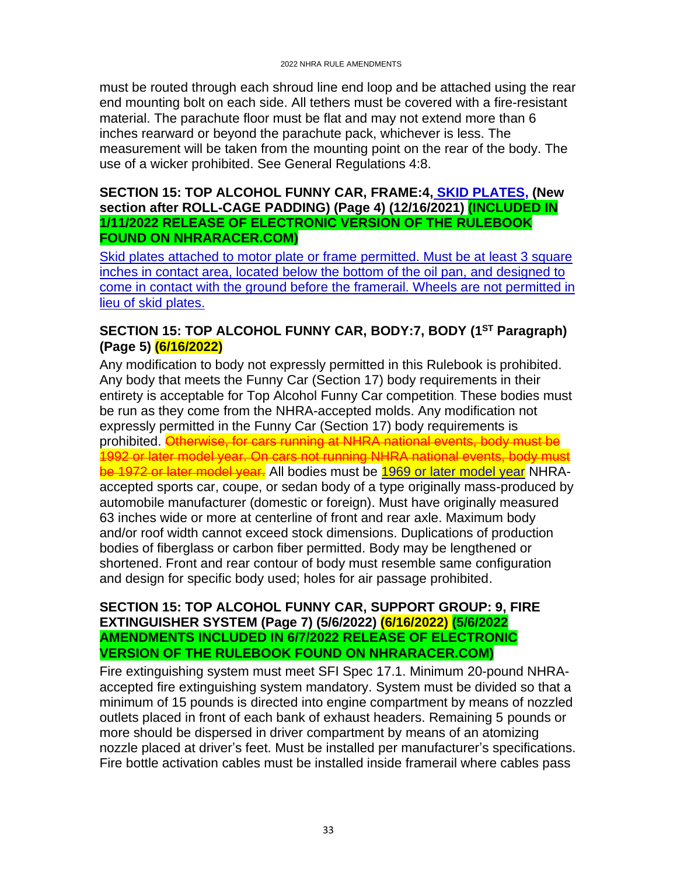must be routed through each shroud line end loop and be attached using the rear end mounting bolt on each side. All tethers must be covered with a fire-resistant material. The parachute floor must be flat and may not extend more than 6 inches rearward or beyond the parachute pack, whichever is less. The measurement will be taken from the mounting point on the rear of the body. The use of a wicker prohibited. See General Regulations 4:8.

#### <span id="page-32-0"></span>**SECTION 15: TOP ALCOHOL FUNNY CAR, FRAME:4, SKID PLATES, (New section after ROLL-CAGE PADDING) (Page 4) (12/16/2021) (INCLUDED IN 1/11/2022 RELEASE OF ELECTRONIC VERSION OF THE RULEBOOK FOUND ON NHRARACER.COM)**

Skid plates attached to motor plate or frame permitted. Must be at least 3 square inches in contact area, located below the bottom of the oil pan, and designed to come in contact with the ground before the framerail. Wheels are not permitted in lieu of skid plates.

### <span id="page-32-1"></span>**SECTION 15: TOP ALCOHOL FUNNY CAR, BODY:7, BODY (1ST Paragraph) (Page 5) (6/16/2022)**

Any modification to body not expressly permitted in this Rulebook is prohibited. Any body that meets the Funny Car (Section 17) body requirements in their entirety is acceptable for Top Alcohol Funny Car competition. These bodies must be run as they come from the NHRA-accepted molds. Any modification not expressly permitted in the Funny Car (Section 17) body requirements is prohibited. Otherwise, for cars running at NHRA national events, body must be 1992 or later model year. On cars not running NHRA national events, body must be 1972 or later model year. All bodies must be 1969 or later model year NHRAaccepted sports car, coupe, or sedan body of a type originally mass-produced by automobile manufacturer (domestic or foreign). Must have originally measured 63 inches wide or more at centerline of front and rear axle. Maximum body and/or roof width cannot exceed stock dimensions. Duplications of production bodies of fiberglass or carbon fiber permitted. Body may be lengthened or shortened. Front and rear contour of body must resemble same configuration and design for specific body used; holes for air passage prohibited.

### <span id="page-32-2"></span>**SECTION 15: TOP ALCOHOL FUNNY CAR, SUPPORT GROUP: 9, FIRE EXTINGUISHER SYSTEM (Page 7) (5/6/2022) (6/16/2022) (5/6/2022 AMENDMENTS INCLUDED IN 6/7/2022 RELEASE OF ELECTRONIC VERSION OF THE RULEBOOK FOUND ON NHRARACER.COM)**

Fire extinguishing system must meet SFI Spec 17.1. Minimum 20-pound NHRAaccepted fire extinguishing system mandatory. System must be divided so that a minimum of 15 pounds is directed into engine compartment by means of nozzled outlets placed in front of each bank of exhaust headers. Remaining 5 pounds or more should be dispersed in driver compartment by means of an atomizing nozzle placed at driver's feet. Must be installed per manufacturer's specifications. Fire bottle activation cables must be installed inside framerail where cables pass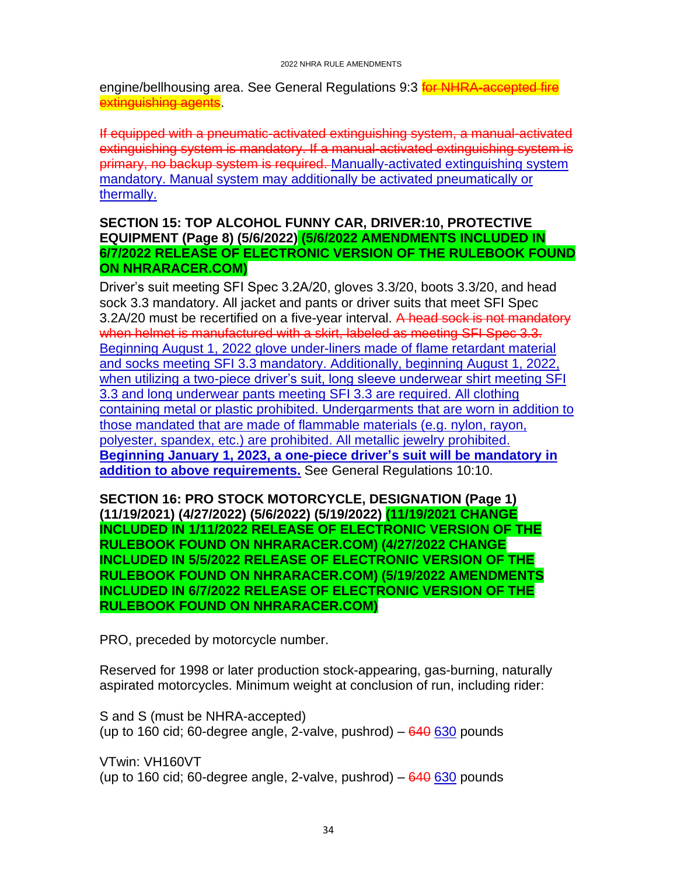engine/bellhousing area. See General Regulations 9:3 **for NHRA-accepted fire** extinguishing agents.

If equipped with a pneumatic-activated extinguishing system, a manual-activated extinguishing system is mandatory. If a manual-activated extinguishing system is primary, no backup system is required. Manually-activated extinguishing system mandatory. Manual system may additionally be activated pneumatically or thermally.

#### <span id="page-33-0"></span>**SECTION 15: TOP ALCOHOL FUNNY CAR, DRIVER:10, PROTECTIVE EQUIPMENT (Page 8) (5/6/2022) (5/6/2022 AMENDMENTS INCLUDED IN 6/7/2022 RELEASE OF ELECTRONIC VERSION OF THE RULEBOOK FOUND ON NHRARACER.COM)**

Driver's suit meeting SFI Spec 3.2A/20, gloves 3.3/20, boots 3.3/20, and head sock 3.3 mandatory. All jacket and pants or driver suits that meet SFI Spec 3.2A/20 must be recertified on a five-year interval. A head sock is not mandatory when helmet is manufactured with a skirt, labeled as meeting SFI Spec 3.3. Beginning August 1, 2022 glove under-liners made of flame retardant material and socks meeting SFI 3.3 mandatory. Additionally, beginning August 1, 2022, when utilizing a two-piece driver's suit, long sleeve underwear shirt meeting SFI 3.3 and long underwear pants meeting SFI 3.3 are required. All clothing containing metal or plastic prohibited. Undergarments that are worn in addition to those mandated that are made of flammable materials (e.g. nylon, rayon, polyester, spandex, etc.) are prohibited. All metallic jewelry prohibited. **Beginning January 1, 2023, a one-piece driver's suit will be mandatory in addition to above requirements.** See General Regulations 10:10.

<span id="page-33-1"></span>**SECTION 16: PRO STOCK MOTORCYCLE, DESIGNATION (Page 1) (11/19/2021) (4/27/2022) (5/6/2022) (5/19/2022) (11/19/2021 CHANGE INCLUDED IN 1/11/2022 RELEASE OF ELECTRONIC VERSION OF THE RULEBOOK FOUND ON NHRARACER.COM) (4/27/2022 CHANGE INCLUDED IN 5/5/2022 RELEASE OF ELECTRONIC VERSION OF THE RULEBOOK FOUND ON NHRARACER.COM) (5/19/2022 AMENDMENTS INCLUDED IN 6/7/2022 RELEASE OF ELECTRONIC VERSION OF THE RULEBOOK FOUND ON NHRARACER.COM)**

PRO, preceded by motorcycle number.

Reserved for 1998 or later production stock-appearing, gas-burning, naturally aspirated motorcycles. Minimum weight at conclusion of run, including rider:

S and S (must be NHRA-accepted) (up to 160 cid; 60-degree angle, 2-valve, pushrod)  $-640630$  pounds

VTwin: VH160VT (up to 160 cid; 60-degree angle, 2-valve, pushrod)  $-640630$  pounds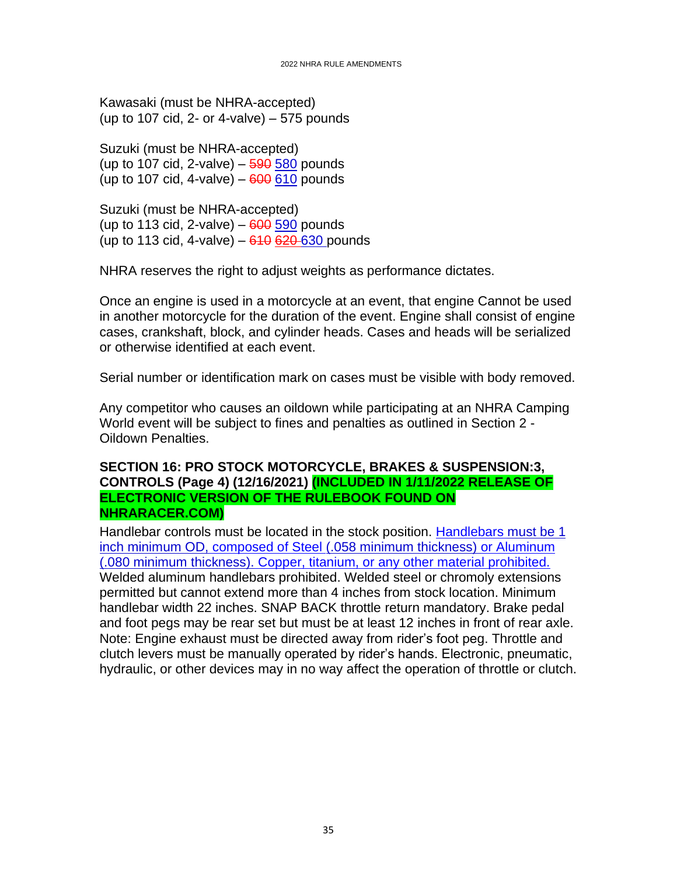Kawasaki (must be NHRA-accepted) (up to 107 cid, 2- or 4-valve)  $-575$  pounds

Suzuki (must be NHRA-accepted) (up to 107 cid, 2-valve)  $-$  590 580 pounds (up to 107 cid, 4-valve)  $-600610$  pounds

Suzuki (must be NHRA-accepted) (up to 113 cid, 2-valve)  $-600590$  pounds (up to 113 cid, 4-valve)  $-610620630$  pounds

NHRA reserves the right to adjust weights as performance dictates.

Once an engine is used in a motorcycle at an event, that engine Cannot be used in another motorcycle for the duration of the event. Engine shall consist of engine cases, crankshaft, block, and cylinder heads. Cases and heads will be serialized or otherwise identified at each event.

Serial number or identification mark on cases must be visible with body removed.

Any competitor who causes an oildown while participating at an NHRA Camping World event will be subject to fines and penalties as outlined in Section 2 - Oildown Penalties.

#### <span id="page-34-0"></span>**SECTION 16: PRO STOCK MOTORCYCLE, BRAKES & SUSPENSION:3, CONTROLS (Page 4) (12/16/2021) (INCLUDED IN 1/11/2022 RELEASE OF ELECTRONIC VERSION OF THE RULEBOOK FOUND ON NHRARACER.COM)**

Handlebar controls must be located in the stock position. Handlebars must be 1 inch minimum OD, composed of Steel (.058 minimum thickness) or Aluminum (.080 minimum thickness). Copper, titanium, or any other material prohibited. Welded aluminum handlebars prohibited. Welded steel or chromoly extensions permitted but cannot extend more than 4 inches from stock location. Minimum handlebar width 22 inches. SNAP BACK throttle return mandatory. Brake pedal and foot pegs may be rear set but must be at least 12 inches in front of rear axle. Note: Engine exhaust must be directed away from rider's foot peg. Throttle and clutch levers must be manually operated by rider's hands. Electronic, pneumatic, hydraulic, or other devices may in no way affect the operation of throttle or clutch.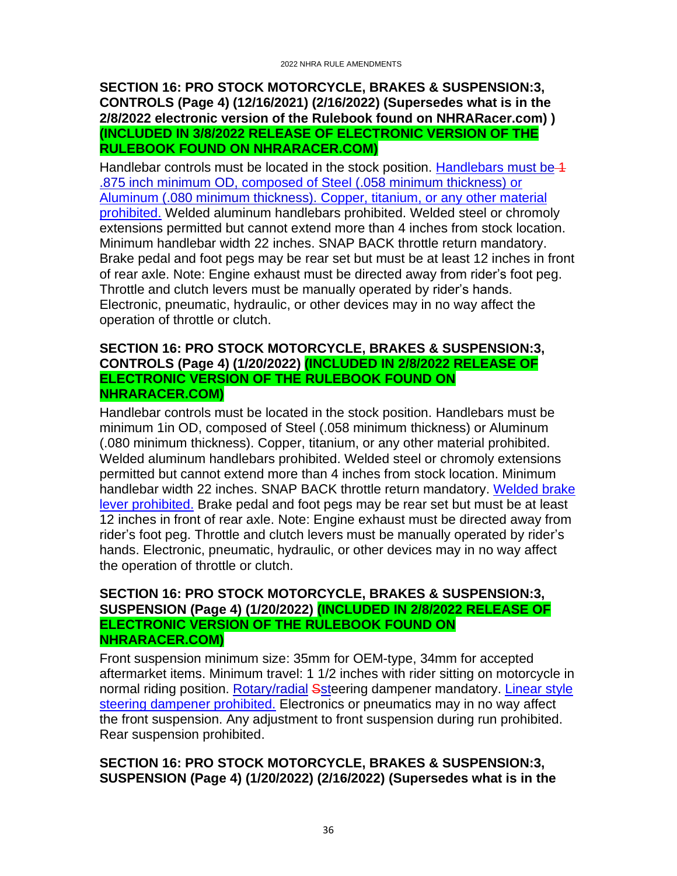#### <span id="page-35-0"></span>**SECTION 16: PRO STOCK MOTORCYCLE, BRAKES & SUSPENSION:3, CONTROLS (Page 4) (12/16/2021) (2/16/2022) (Supersedes what is in the 2/8/2022 electronic version of the Rulebook found on NHRARacer.com) ) (INCLUDED IN 3/8/2022 RELEASE OF ELECTRONIC VERSION OF THE RULEBOOK FOUND ON NHRARACER.COM)**

Handlebar controls must be located in the stock position. Handlebars must be 4 .875 inch minimum OD, composed of Steel (.058 minimum thickness) or Aluminum (.080 minimum thickness). Copper, titanium, or any other material prohibited. Welded aluminum handlebars prohibited. Welded steel or chromoly extensions permitted but cannot extend more than 4 inches from stock location. Minimum handlebar width 22 inches. SNAP BACK throttle return mandatory. Brake pedal and foot pegs may be rear set but must be at least 12 inches in front of rear axle. Note: Engine exhaust must be directed away from rider's foot peg. Throttle and clutch levers must be manually operated by rider's hands. Electronic, pneumatic, hydraulic, or other devices may in no way affect the operation of throttle or clutch.

#### <span id="page-35-1"></span>**SECTION 16: PRO STOCK MOTORCYCLE, BRAKES & SUSPENSION:3, CONTROLS (Page 4) (1/20/2022) (INCLUDED IN 2/8/2022 RELEASE OF ELECTRONIC VERSION OF THE RULEBOOK FOUND ON NHRARACER.COM)**

Handlebar controls must be located in the stock position. Handlebars must be minimum 1in OD, composed of Steel (.058 minimum thickness) or Aluminum (.080 minimum thickness). Copper, titanium, or any other material prohibited. Welded aluminum handlebars prohibited. Welded steel or chromoly extensions permitted but cannot extend more than 4 inches from stock location. Minimum handlebar width 22 inches. SNAP BACK throttle return mandatory. Welded brake lever prohibited. Brake pedal and foot pegs may be rear set but must be at least 12 inches in front of rear axle. Note: Engine exhaust must be directed away from rider's foot peg. Throttle and clutch levers must be manually operated by rider's hands. Electronic, pneumatic, hydraulic, or other devices may in no way affect the operation of throttle or clutch.

#### <span id="page-35-2"></span>**SECTION 16: PRO STOCK MOTORCYCLE, BRAKES & SUSPENSION:3, SUSPENSION (Page 4) (1/20/2022) (INCLUDED IN 2/8/2022 RELEASE OF ELECTRONIC VERSION OF THE RULEBOOK FOUND ON NHRARACER.COM)**

Front suspension minimum size: 35mm for OEM-type, 34mm for accepted aftermarket items. Minimum travel: 1 1/2 inches with rider sitting on motorcycle in normal riding position. Rotary/radial Ssteering dampener mandatory. Linear style steering dampener prohibited. Electronics or pneumatics may in no way affect the front suspension. Any adjustment to front suspension during run prohibited. Rear suspension prohibited.

# <span id="page-35-3"></span>**SECTION 16: PRO STOCK MOTORCYCLE, BRAKES & SUSPENSION:3, SUSPENSION (Page 4) (1/20/2022) (2/16/2022) (Supersedes what is in the**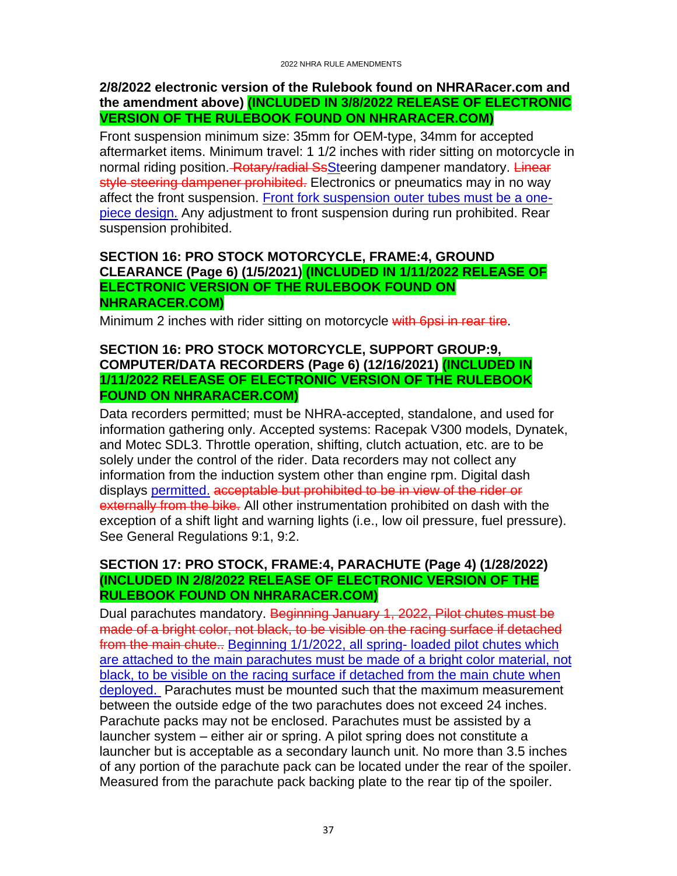#### **2/8/2022 electronic version of the Rulebook found on NHRARacer.com and the amendment above) (INCLUDED IN 3/8/2022 RELEASE OF ELECTRONIC VERSION OF THE RULEBOOK FOUND ON NHRARACER.COM)**

Front suspension minimum size: 35mm for OEM-type, 34mm for accepted aftermarket items. Minimum travel: 1 1/2 inches with rider sitting on motorcycle in normal riding position. Rotary/radial SsSteering dampener mandatory. Linear style steering dampener prohibited. Electronics or pneumatics may in no way affect the front suspension. Front fork suspension outer tubes must be a onepiece design. Any adjustment to front suspension during run prohibited. Rear suspension prohibited.

#### <span id="page-36-0"></span>**SECTION 16: PRO STOCK MOTORCYCLE, FRAME:4, GROUND CLEARANCE (Page 6) (1/5/2021) (INCLUDED IN 1/11/2022 RELEASE OF ELECTRONIC VERSION OF THE RULEBOOK FOUND ON NHRARACER.COM)**

<span id="page-36-1"></span>Minimum 2 inches with rider sitting on motorcycle with 6psi in rear tire.

#### **SECTION 16: PRO STOCK MOTORCYCLE, SUPPORT GROUP:9, COMPUTER/DATA RECORDERS (Page 6) (12/16/2021) (INCLUDED IN 1/11/2022 RELEASE OF ELECTRONIC VERSION OF THE RULEBOOK FOUND ON NHRARACER.COM)**

Data recorders permitted; must be NHRA-accepted, standalone, and used for information gathering only. Accepted systems: Racepak V300 models, Dynatek, and Motec SDL3. Throttle operation, shifting, clutch actuation, etc. are to be solely under the control of the rider. Data recorders may not collect any information from the induction system other than engine rpm. Digital dash displays permitted. acceptable but prohibited to be in view of the rider or externally from the bike. All other instrumentation prohibited on dash with the exception of a shift light and warning lights (i.e., low oil pressure, fuel pressure). See General Regulations 9:1, 9:2.

# <span id="page-36-2"></span>**SECTION 17: PRO STOCK, FRAME:4, PARACHUTE (Page 4) (1/28/2022) (INCLUDED IN 2/8/2022 RELEASE OF ELECTRONIC VERSION OF THE RULEBOOK FOUND ON NHRARACER.COM)**

Dual parachutes mandatory. Beginning January 1, 2022, Pilot chutes must be made of a bright color, not black, to be visible on the racing surface if detached from the main chute.. Beginning 1/1/2022, all spring-loaded pilot chutes which are attached to the main parachutes must be made of a bright color material, not black, to be visible on the racing surface if detached from the main chute when deployed. Parachutes must be mounted such that the maximum measurement between the outside edge of the two parachutes does not exceed 24 inches. Parachute packs may not be enclosed. Parachutes must be assisted by a launcher system – either air or spring. A pilot spring does not constitute a launcher but is acceptable as a secondary launch unit. No more than 3.5 inches of any portion of the parachute pack can be located under the rear of the spoiler. Measured from the parachute pack backing plate to the rear tip of the spoiler.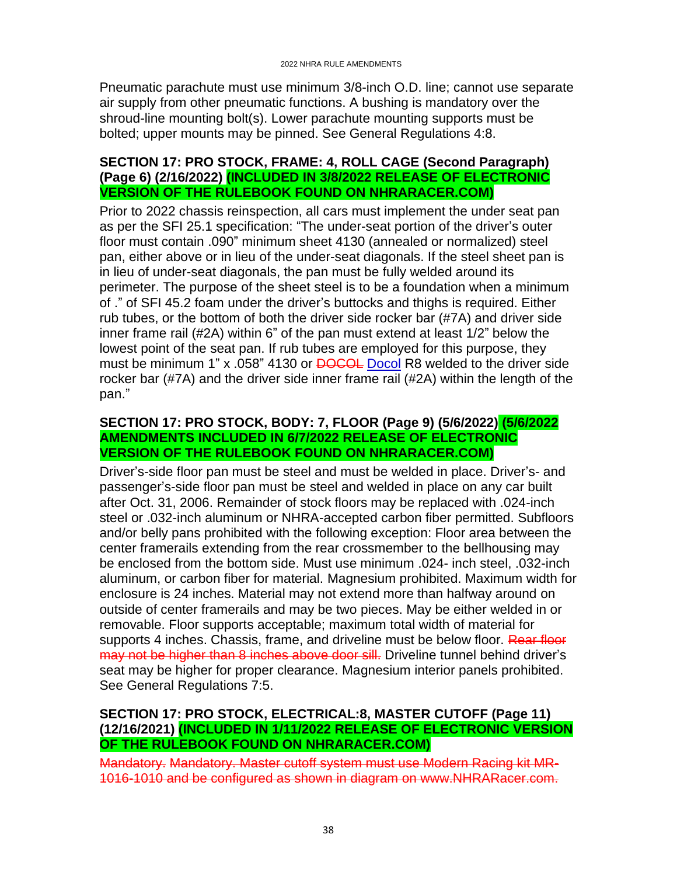Pneumatic parachute must use minimum 3/8-inch O.D. line; cannot use separate air supply from other pneumatic functions. A bushing is mandatory over the shroud-line mounting bolt(s). Lower parachute mounting supports must be bolted; upper mounts may be pinned. See General Regulations 4:8.

#### <span id="page-37-0"></span>**SECTION 17: PRO STOCK, FRAME: 4, ROLL CAGE (Second Paragraph) (Page 6) (2/16/2022) (INCLUDED IN 3/8/2022 RELEASE OF ELECTRONIC VERSION OF THE RULEBOOK FOUND ON NHRARACER.COM)**

Prior to 2022 chassis reinspection, all cars must implement the under seat pan as per the SFI 25.1 specification: "The under-seat portion of the driver's outer floor must contain .090" minimum sheet 4130 (annealed or normalized) steel pan, either above or in lieu of the under-seat diagonals. If the steel sheet pan is in lieu of under-seat diagonals, the pan must be fully welded around its perimeter. The purpose of the sheet steel is to be a foundation when a minimum of ." of SFI 45.2 foam under the driver's buttocks and thighs is required. Either rub tubes, or the bottom of both the driver side rocker bar (#7A) and driver side inner frame rail (#2A) within 6" of the pan must extend at least 1/2" below the lowest point of the seat pan. If rub tubes are employed for this purpose, they must be minimum 1" x .058" 4130 or **DOCOL** Docol R8 welded to the driver side rocker bar (#7A) and the driver side inner frame rail (#2A) within the length of the pan."

#### <span id="page-37-1"></span>**SECTION 17: PRO STOCK, BODY: 7, FLOOR (Page 9) (5/6/2022) (5/6/2022 AMENDMENTS INCLUDED IN 6/7/2022 RELEASE OF ELECTRONIC VERSION OF THE RULEBOOK FOUND ON NHRARACER.COM)**

Driver's-side floor pan must be steel and must be welded in place. Driver's- and passenger's-side floor pan must be steel and welded in place on any car built after Oct. 31, 2006. Remainder of stock floors may be replaced with .024-inch steel or .032-inch aluminum or NHRA-accepted carbon fiber permitted. Subfloors and/or belly pans prohibited with the following exception: Floor area between the center framerails extending from the rear crossmember to the bellhousing may be enclosed from the bottom side. Must use minimum .024- inch steel, .032-inch aluminum, or carbon fiber for material. Magnesium prohibited. Maximum width for enclosure is 24 inches. Material may not extend more than halfway around on outside of center framerails and may be two pieces. May be either welded in or removable. Floor supports acceptable; maximum total width of material for supports 4 inches. Chassis, frame, and driveline must be below floor. Rear floor may not be higher than 8 inches above door sill. Driveline tunnel behind driver's seat may be higher for proper clearance. Magnesium interior panels prohibited. See General Regulations 7:5.

#### <span id="page-37-2"></span>**SECTION 17: PRO STOCK, ELECTRICAL:8, MASTER CUTOFF (Page 11) (12/16/2021) (INCLUDED IN 1/11/2022 RELEASE OF ELECTRONIC VERSION OF THE RULEBOOK FOUND ON NHRARACER.COM)**

Mandatory. Mandatory. Master cutoff system must use Modern Racing kit MR-1016-1010 and be configured as shown in diagram on www.NHRARacer.com.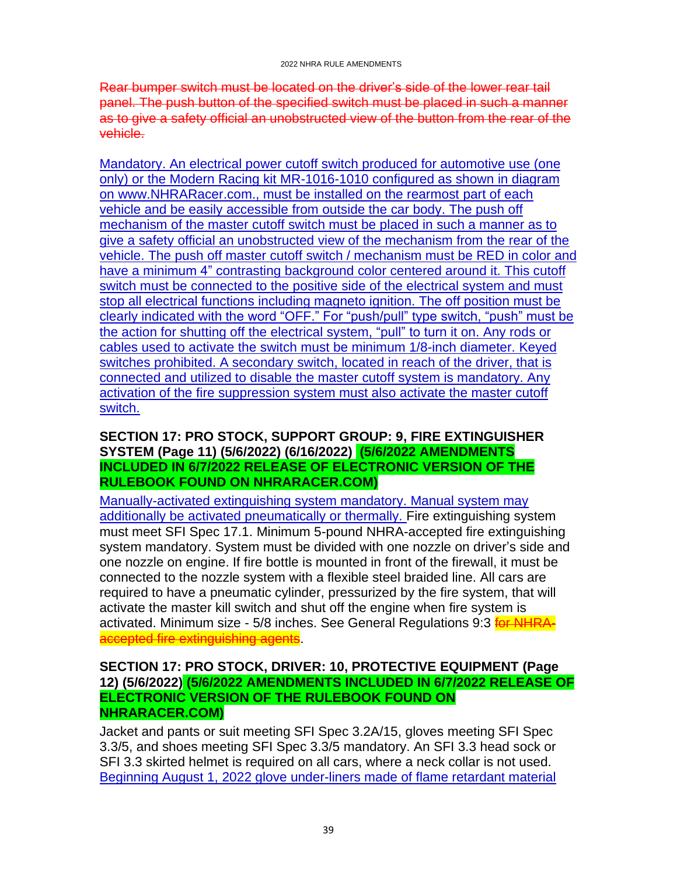Rear bumper switch must be located on the driver's side of the lower rear tail panel. The push button of the specified switch must be placed in such a manner as to give a safety official an unobstructed view of the button from the rear of the vehicle.

Mandatory. An electrical power cutoff switch produced for automotive use (one only) or the Modern Racing kit MR-1016-1010 configured as shown in diagram on www.NHRARacer.com., must be installed on the rearmost part of each vehicle and be easily accessible from outside the car body. The push off mechanism of the master cutoff switch must be placed in such a manner as to give a safety official an unobstructed view of the mechanism from the rear of the vehicle. The push off master cutoff switch / mechanism must be RED in color and have a minimum 4" contrasting background color centered around it. This cutoff switch must be connected to the positive side of the electrical system and must stop all electrical functions including magneto ignition. The off position must be clearly indicated with the word "OFF." For "push/pull" type switch, "push" must be the action for shutting off the electrical system, "pull" to turn it on. Any rods or cables used to activate the switch must be minimum 1/8-inch diameter. Keyed switches prohibited. A secondary switch, located in reach of the driver, that is connected and utilized to disable the master cutoff system is mandatory. Any activation of the fire suppression system must also activate the master cutoff switch.

### <span id="page-38-0"></span>**SECTION 17: PRO STOCK, SUPPORT GROUP: 9, FIRE EXTINGUISHER SYSTEM (Page 11) (5/6/2022) (6/16/2022) (5/6/2022 AMENDMENTS INCLUDED IN 6/7/2022 RELEASE OF ELECTRONIC VERSION OF THE RULEBOOK FOUND ON NHRARACER.COM)**

Manually-activated extinguishing system mandatory. Manual system may additionally be activated pneumatically or thermally. Fire extinguishing system must meet SFI Spec 17.1. Minimum 5-pound NHRA-accepted fire extinguishing system mandatory. System must be divided with one nozzle on driver's side and one nozzle on engine. If fire bottle is mounted in front of the firewall, it must be connected to the nozzle system with a flexible steel braided line. All cars are required to have a pneumatic cylinder, pressurized by the fire system, that will activate the master kill switch and shut off the engine when fire system is activated. Minimum size - 5/8 inches. See General Regulations 9:3 **for NHRA**accepted fire extinguishing agents.

#### <span id="page-38-1"></span>**SECTION 17: PRO STOCK, DRIVER: 10, PROTECTIVE EQUIPMENT (Page 12) (5/6/2022) (5/6/2022 AMENDMENTS INCLUDED IN 6/7/2022 RELEASE OF ELECTRONIC VERSION OF THE RULEBOOK FOUND ON NHRARACER.COM)**

Jacket and pants or suit meeting SFI Spec 3.2A/15, gloves meeting SFI Spec 3.3/5, and shoes meeting SFI Spec 3.3/5 mandatory. An SFI 3.3 head sock or SFI 3.3 skirted helmet is required on all cars, where a neck collar is not used. Beginning August 1, 2022 glove under-liners made of flame retardant material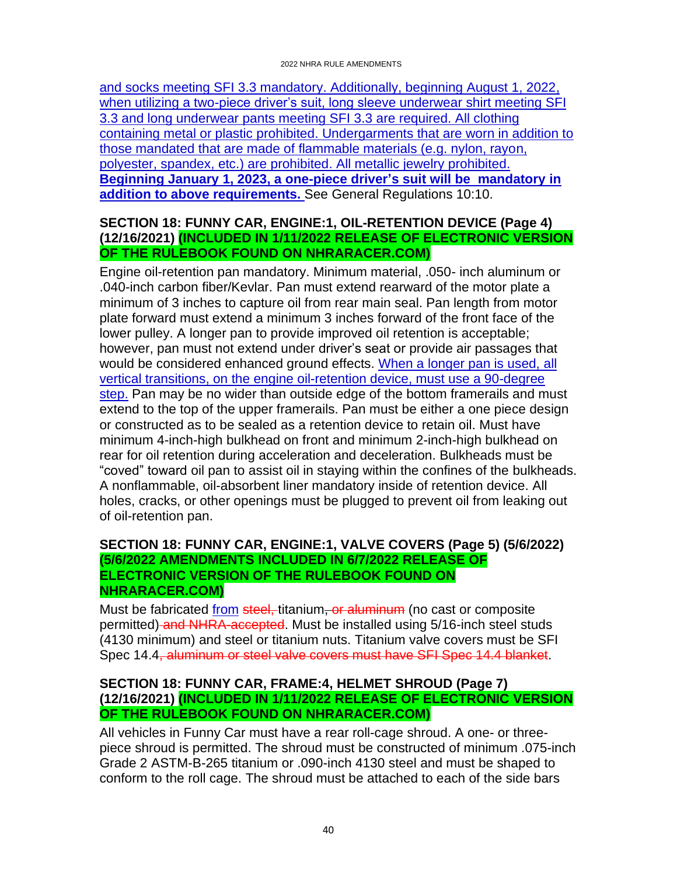and socks meeting SFI 3.3 mandatory. Additionally, beginning August 1, 2022, when utilizing a two-piece driver's suit, long sleeve underwear shirt meeting SFI 3.3 and long underwear pants meeting SFI 3.3 are required. All clothing containing metal or plastic prohibited. Undergarments that are worn in addition to those mandated that are made of flammable materials (e.g. nylon, rayon, polyester, spandex, etc.) are prohibited. All metallic jewelry prohibited. **Beginning January 1, 2023, a one-piece driver's suit will be mandatory in addition to above requirements.** See General Regulations 10:10.

#### <span id="page-39-0"></span>**SECTION 18: FUNNY CAR, ENGINE:1, OIL-RETENTION DEVICE (Page 4) (12/16/2021) (INCLUDED IN 1/11/2022 RELEASE OF ELECTRONIC VERSION OF THE RULEBOOK FOUND ON NHRARACER.COM)**

Engine oil-retention pan mandatory. Minimum material, .050- inch aluminum or .040-inch carbon fiber/Kevlar. Pan must extend rearward of the motor plate a minimum of 3 inches to capture oil from rear main seal. Pan length from motor plate forward must extend a minimum 3 inches forward of the front face of the lower pulley. A longer pan to provide improved oil retention is acceptable; however, pan must not extend under driver's seat or provide air passages that would be considered enhanced ground effects. When a longer pan is used, all vertical transitions, on the engine oil-retention device, must use a 90-degree step. Pan may be no wider than outside edge of the bottom framerails and must extend to the top of the upper framerails. Pan must be either a one piece design or constructed as to be sealed as a retention device to retain oil. Must have minimum 4-inch-high bulkhead on front and minimum 2-inch-high bulkhead on rear for oil retention during acceleration and deceleration. Bulkheads must be "coved" toward oil pan to assist oil in staying within the confines of the bulkheads. A nonflammable, oil-absorbent liner mandatory inside of retention device. All holes, cracks, or other openings must be plugged to prevent oil from leaking out of oil-retention pan.

### <span id="page-39-1"></span>**SECTION 18: FUNNY CAR, ENGINE:1, VALVE COVERS (Page 5) (5/6/2022) (5/6/2022 AMENDMENTS INCLUDED IN 6/7/2022 RELEASE OF ELECTRONIC VERSION OF THE RULEBOOK FOUND ON NHRARACER.COM)**

Must be fabricated from steel, titanium, or aluminum (no cast or composite permitted) and NHRA-accepted. Must be installed using 5/16-inch steel studs (4130 minimum) and steel or titanium nuts. Titanium valve covers must be SFI Spec 14.4, aluminum or steel valve covers must have SFI Spec 14.4 blanket.

# <span id="page-39-2"></span>**SECTION 18: FUNNY CAR, FRAME:4, HELMET SHROUD (Page 7) (12/16/2021) (INCLUDED IN 1/11/2022 RELEASE OF ELECTRONIC VERSION OF THE RULEBOOK FOUND ON NHRARACER.COM)**

All vehicles in Funny Car must have a rear roll-cage shroud. A one- or threepiece shroud is permitted. The shroud must be constructed of minimum .075-inch Grade 2 ASTM-B-265 titanium or .090-inch 4130 steel and must be shaped to conform to the roll cage. The shroud must be attached to each of the side bars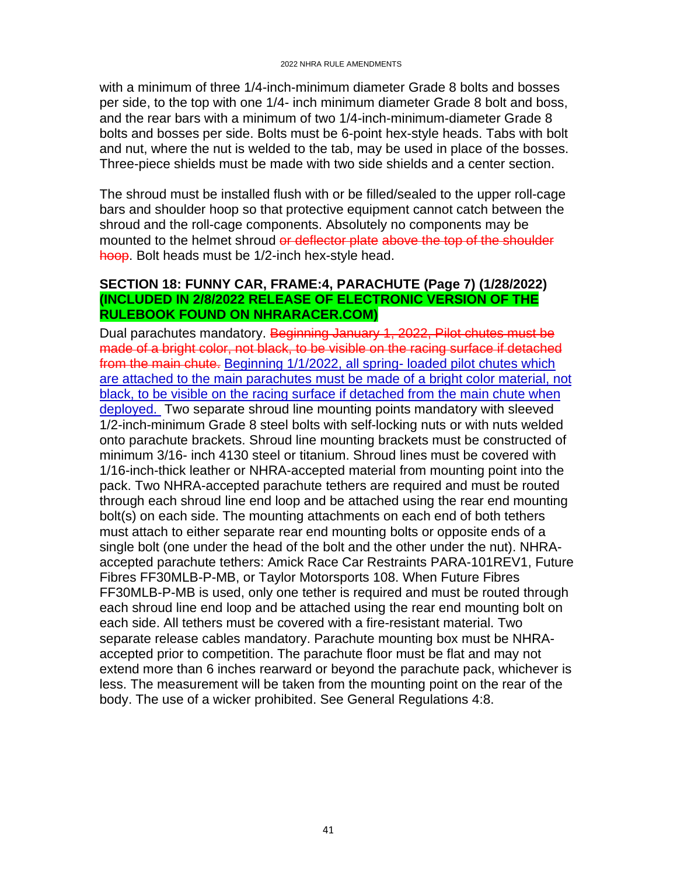with a minimum of three 1/4-inch-minimum diameter Grade 8 bolts and bosses per side, to the top with one 1/4- inch minimum diameter Grade 8 bolt and boss, and the rear bars with a minimum of two 1/4-inch-minimum-diameter Grade 8 bolts and bosses per side. Bolts must be 6-point hex-style heads. Tabs with bolt and nut, where the nut is welded to the tab, may be used in place of the bosses. Three-piece shields must be made with two side shields and a center section.

The shroud must be installed flush with or be filled/sealed to the upper roll-cage bars and shoulder hoop so that protective equipment cannot catch between the shroud and the roll-cage components. Absolutely no components may be mounted to the helmet shroud or deflector plate above the top of the shoulder hoop. Bolt heads must be 1/2-inch hex-style head.

#### <span id="page-40-0"></span>**SECTION 18: FUNNY CAR, FRAME:4, PARACHUTE (Page 7) (1/28/2022) (INCLUDED IN 2/8/2022 RELEASE OF ELECTRONIC VERSION OF THE RULEBOOK FOUND ON NHRARACER.COM)**

Dual parachutes mandatory. Beginning January 1, 2022, Pilot chutes must be made of a bright color, not black, to be visible on the racing surface if detached from the main chute. Beginning 1/1/2022, all spring- loaded pilot chutes which are attached to the main parachutes must be made of a bright color material, not black, to be visible on the racing surface if detached from the main chute when deployed. Two separate shroud line mounting points mandatory with sleeved 1/2-inch-minimum Grade 8 steel bolts with self-locking nuts or with nuts welded onto parachute brackets. Shroud line mounting brackets must be constructed of minimum 3/16- inch 4130 steel or titanium. Shroud lines must be covered with 1/16-inch-thick leather or NHRA-accepted material from mounting point into the pack. Two NHRA-accepted parachute tethers are required and must be routed through each shroud line end loop and be attached using the rear end mounting bolt(s) on each side. The mounting attachments on each end of both tethers must attach to either separate rear end mounting bolts or opposite ends of a single bolt (one under the head of the bolt and the other under the nut). NHRAaccepted parachute tethers: Amick Race Car Restraints PARA-101REV1, Future Fibres FF30MLB-P-MB, or Taylor Motorsports 108. When Future Fibres FF30MLB-P-MB is used, only one tether is required and must be routed through each shroud line end loop and be attached using the rear end mounting bolt on each side. All tethers must be covered with a fire-resistant material. Two separate release cables mandatory. Parachute mounting box must be NHRAaccepted prior to competition. The parachute floor must be flat and may not extend more than 6 inches rearward or beyond the parachute pack, whichever is less. The measurement will be taken from the mounting point on the rear of the body. The use of a wicker prohibited. See General Regulations 4:8.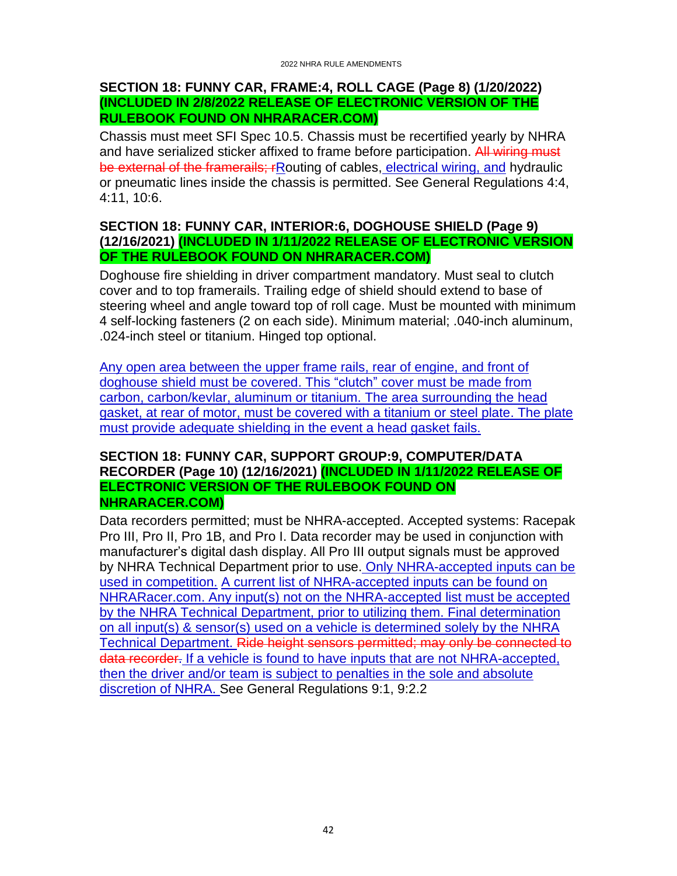#### <span id="page-41-0"></span>**SECTION 18: FUNNY CAR, FRAME:4, ROLL CAGE (Page 8) (1/20/2022) (INCLUDED IN 2/8/2022 RELEASE OF ELECTRONIC VERSION OF THE RULEBOOK FOUND ON NHRARACER.COM)**

Chassis must meet SFI Spec 10.5. Chassis must be recertified yearly by NHRA and have serialized sticker affixed to frame before participation. All wiring must be external of the framerails; rRouting of cables, electrical wiring, and hydraulic or pneumatic lines inside the chassis is permitted. See General Regulations 4:4, 4:11, 10:6.

#### <span id="page-41-1"></span>**SECTION 18: FUNNY CAR, INTERIOR:6, DOGHOUSE SHIELD (Page 9) (12/16/2021) (INCLUDED IN 1/11/2022 RELEASE OF ELECTRONIC VERSION OF THE RULEBOOK FOUND ON NHRARACER.COM)**

Doghouse fire shielding in driver compartment mandatory. Must seal to clutch cover and to top framerails. Trailing edge of shield should extend to base of steering wheel and angle toward top of roll cage. Must be mounted with minimum 4 self-locking fasteners (2 on each side). Minimum material; .040-inch aluminum, .024-inch steel or titanium. Hinged top optional.

Any open area between the upper frame rails, rear of engine, and front of doghouse shield must be covered. This "clutch" cover must be made from carbon, carbon/kevlar, aluminum or titanium. The area surrounding the head gasket, at rear of motor, must be covered with a titanium or steel plate. The plate must provide adequate shielding in the event a head gasket fails.

#### <span id="page-41-2"></span>**SECTION 18: FUNNY CAR, SUPPORT GROUP:9, COMPUTER/DATA RECORDER (Page 10) (12/16/2021) (INCLUDED IN 1/11/2022 RELEASE OF ELECTRONIC VERSION OF THE RULEBOOK FOUND ON NHRARACER.COM)**

Data recorders permitted; must be NHRA-accepted. Accepted systems: Racepak Pro III, Pro II, Pro 1B, and Pro I. Data recorder may be used in conjunction with manufacturer's digital dash display. All Pro III output signals must be approved by NHRA Technical Department prior to use. Only NHRA-accepted inputs can be used in competition. A current list of NHRA-accepted inputs can be found on NHRARacer.com. Any input(s) not on the NHRA-accepted list must be accepted by the NHRA Technical Department, prior to utilizing them. Final determination on all input(s) & sensor(s) used on a vehicle is determined solely by the NHRA Technical Department. Ride height sensors permitted; may only be connected to data recorder. If a vehicle is found to have inputs that are not NHRA-accepted, then the driver and/or team is subject to penalties in the sole and absolute discretion of NHRA. See General Regulations 9:1, 9:2.2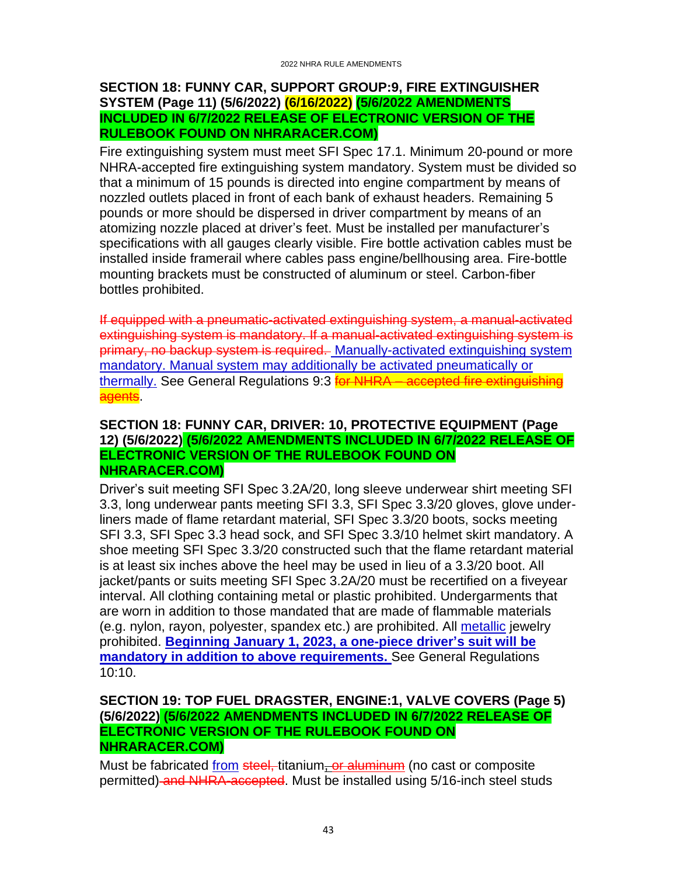#### <span id="page-42-0"></span>**SECTION 18: FUNNY CAR, SUPPORT GROUP:9, FIRE EXTINGUISHER SYSTEM (Page 11) (5/6/2022) (6/16/2022) (5/6/2022 AMENDMENTS INCLUDED IN 6/7/2022 RELEASE OF ELECTRONIC VERSION OF THE RULEBOOK FOUND ON NHRARACER.COM)**

Fire extinguishing system must meet SFI Spec 17.1. Minimum 20-pound or more NHRA-accepted fire extinguishing system mandatory. System must be divided so that a minimum of 15 pounds is directed into engine compartment by means of nozzled outlets placed in front of each bank of exhaust headers. Remaining 5 pounds or more should be dispersed in driver compartment by means of an atomizing nozzle placed at driver's feet. Must be installed per manufacturer's specifications with all gauges clearly visible. Fire bottle activation cables must be installed inside framerail where cables pass engine/bellhousing area. Fire-bottle mounting brackets must be constructed of aluminum or steel. Carbon-fiber bottles prohibited.

If equipped with a pneumatic-activated extinguishing system, a manual-activated extinguishing system is mandatory. If a manual-activated extinguishing system is primary, no backup system is required. Manually-activated extinguishing system mandatory. Manual system may additionally be activated pneumatically or thermally. See General Regulations 9:3 **for NHRA** – accepted fire extinguishing agents.

#### <span id="page-42-1"></span>**SECTION 18: FUNNY CAR, DRIVER: 10, PROTECTIVE EQUIPMENT (Page 12) (5/6/2022) (5/6/2022 AMENDMENTS INCLUDED IN 6/7/2022 RELEASE OF ELECTRONIC VERSION OF THE RULEBOOK FOUND ON NHRARACER.COM)**

Driver's suit meeting SFI Spec 3.2A/20, long sleeve underwear shirt meeting SFI 3.3, long underwear pants meeting SFI 3.3, SFI Spec 3.3/20 gloves, glove underliners made of flame retardant material, SFI Spec 3.3/20 boots, socks meeting SFI 3.3, SFI Spec 3.3 head sock, and SFI Spec 3.3/10 helmet skirt mandatory. A shoe meeting SFI Spec 3.3/20 constructed such that the flame retardant material is at least six inches above the heel may be used in lieu of a 3.3/20 boot. All jacket/pants or suits meeting SFI Spec 3.2A/20 must be recertified on a fiveyear interval. All clothing containing metal or plastic prohibited. Undergarments that are worn in addition to those mandated that are made of flammable materials (e.g. nylon, rayon, polyester, spandex etc.) are prohibited. All metallic jewelry prohibited. **Beginning January 1, 2023, a one-piece driver's suit will be mandatory in addition to above requirements.** See General Regulations 10:10.

#### <span id="page-42-2"></span>**SECTION 19: TOP FUEL DRAGSTER, ENGINE:1, VALVE COVERS (Page 5) (5/6/2022) (5/6/2022 AMENDMENTS INCLUDED IN 6/7/2022 RELEASE OF ELECTRONIC VERSION OF THE RULEBOOK FOUND ON NHRARACER.COM)**

Must be fabricated from steel, titanium, or aluminum (no cast or composite permitted) and NHRA-accepted. Must be installed using 5/16-inch steel studs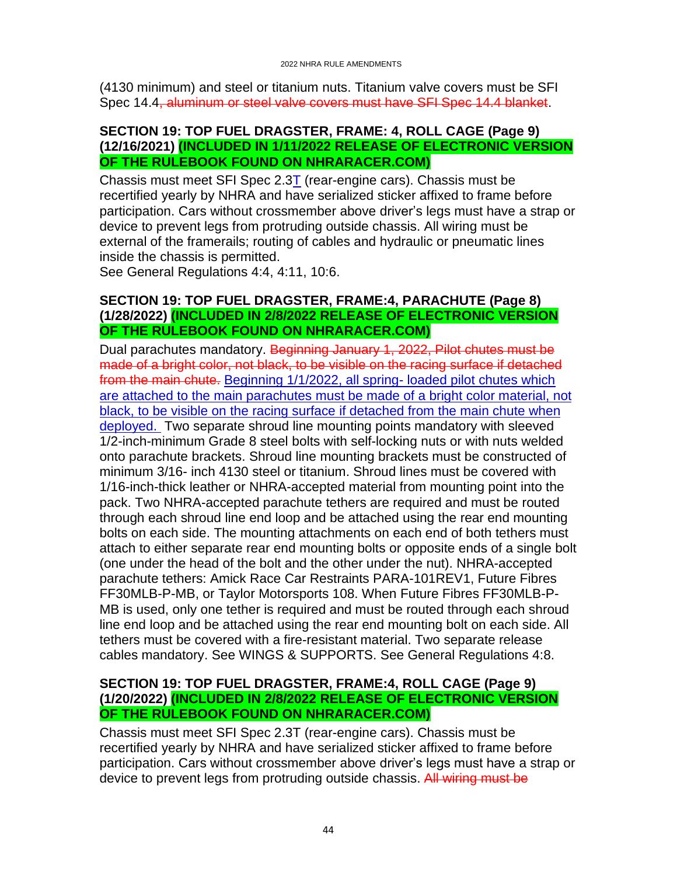(4130 minimum) and steel or titanium nuts. Titanium valve covers must be SFI Spec 14.4, aluminum or steel valve covers must have SFI Spec 14.4 blanket.

#### <span id="page-43-0"></span>**SECTION 19: TOP FUEL DRAGSTER, FRAME: 4, ROLL CAGE (Page 9) (12/16/2021) (INCLUDED IN 1/11/2022 RELEASE OF ELECTRONIC VERSION OF THE RULEBOOK FOUND ON NHRARACER.COM)**

Chassis must meet SFI Spec  $2.3T$  (rear-engine cars). Chassis must be recertified yearly by NHRA and have serialized sticker affixed to frame before participation. Cars without crossmember above driver's legs must have a strap or device to prevent legs from protruding outside chassis. All wiring must be external of the framerails; routing of cables and hydraulic or pneumatic lines inside the chassis is permitted.

See General Regulations 4:4, 4:11, 10:6.

# <span id="page-43-1"></span>**SECTION 19: TOP FUEL DRAGSTER, FRAME:4, PARACHUTE (Page 8) (1/28/2022) (INCLUDED IN 2/8/2022 RELEASE OF ELECTRONIC VERSION OF THE RULEBOOK FOUND ON NHRARACER.COM)**

Dual parachutes mandatory. Beginning January 1, 2022, Pilot chutes must be made of a bright color, not black, to be visible on the racing surface if detached from the main chute. Beginning 1/1/2022, all spring- loaded pilot chutes which are attached to the main parachutes must be made of a bright color material, not black, to be visible on the racing surface if detached from the main chute when deployed. Two separate shroud line mounting points mandatory with sleeved 1/2-inch-minimum Grade 8 steel bolts with self-locking nuts or with nuts welded onto parachute brackets. Shroud line mounting brackets must be constructed of minimum 3/16- inch 4130 steel or titanium. Shroud lines must be covered with 1/16-inch-thick leather or NHRA-accepted material from mounting point into the pack. Two NHRA-accepted parachute tethers are required and must be routed through each shroud line end loop and be attached using the rear end mounting bolts on each side. The mounting attachments on each end of both tethers must attach to either separate rear end mounting bolts or opposite ends of a single bolt (one under the head of the bolt and the other under the nut). NHRA-accepted parachute tethers: Amick Race Car Restraints PARA-101REV1, Future Fibres FF30MLB-P-MB, or Taylor Motorsports 108. When Future Fibres FF30MLB-P-MB is used, only one tether is required and must be routed through each shroud line end loop and be attached using the rear end mounting bolt on each side. All tethers must be covered with a fire-resistant material. Two separate release cables mandatory. See WINGS & SUPPORTS. See General Regulations 4:8.

# <span id="page-43-2"></span>**SECTION 19: TOP FUEL DRAGSTER, FRAME:4, ROLL CAGE (Page 9) (1/20/2022) (INCLUDED IN 2/8/2022 RELEASE OF ELECTRONIC VERSION OF THE RULEBOOK FOUND ON NHRARACER.COM)**

Chassis must meet SFI Spec 2.3T (rear-engine cars). Chassis must be recertified yearly by NHRA and have serialized sticker affixed to frame before participation. Cars without crossmember above driver's legs must have a strap or device to prevent legs from protruding outside chassis. All wiring must be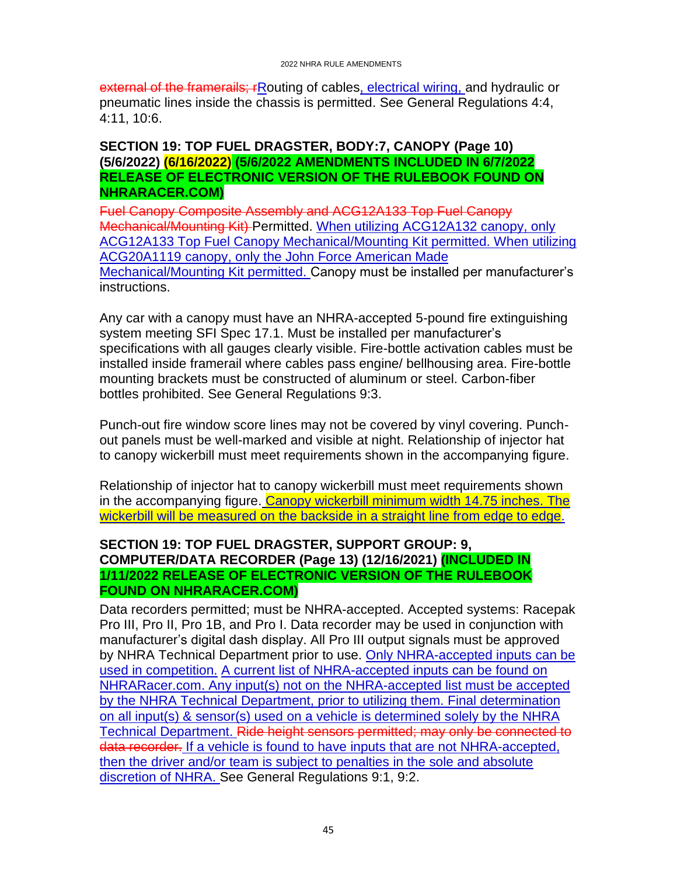external of the framerails; rRouting of cables, electrical wiring, and hydraulic or pneumatic lines inside the chassis is permitted. See General Regulations 4:4, 4:11, 10:6.

#### <span id="page-44-0"></span>**SECTION 19: TOP FUEL DRAGSTER, BODY:7, CANOPY (Page 10) (5/6/2022) (6/16/2022) (5/6/2022 AMENDMENTS INCLUDED IN 6/7/2022 RELEASE OF ELECTRONIC VERSION OF THE RULEBOOK FOUND ON NHRARACER.COM)**

Fuel Canopy Composite Assembly and ACG12A133 Top Fuel Canopy Mechanical/Mounting Kit) Permitted. When utilizing ACG12A132 canopy, only ACG12A133 Top Fuel Canopy Mechanical/Mounting Kit permitted. When utilizing ACG20A1119 canopy, only the John Force American Made Mechanical/Mounting Kit permitted. Canopy must be installed per manufacturer's instructions.

Any car with a canopy must have an NHRA-accepted 5-pound fire extinguishing system meeting SFI Spec 17.1. Must be installed per manufacturer's specifications with all gauges clearly visible. Fire-bottle activation cables must be installed inside framerail where cables pass engine/ bellhousing area. Fire-bottle mounting brackets must be constructed of aluminum or steel. Carbon-fiber bottles prohibited. See General Regulations 9:3.

Punch-out fire window score lines may not be covered by vinyl covering. Punchout panels must be well-marked and visible at night. Relationship of injector hat to canopy wickerbill must meet requirements shown in the accompanying figure.

Relationship of injector hat to canopy wickerbill must meet requirements shown in the accompanying figure. Canopy wickerbill minimum width 14.75 inches. The wickerbill will be measured on the backside in a straight line from edge to edge.

### <span id="page-44-1"></span>**SECTION 19: TOP FUEL DRAGSTER, SUPPORT GROUP: 9, COMPUTER/DATA RECORDER (Page 13) (12/16/2021) (INCLUDED IN 1/11/2022 RELEASE OF ELECTRONIC VERSION OF THE RULEBOOK FOUND ON NHRARACER.COM)**

Data recorders permitted; must be NHRA-accepted. Accepted systems: Racepak Pro III, Pro II, Pro 1B, and Pro I. Data recorder may be used in conjunction with manufacturer's digital dash display. All Pro III output signals must be approved by NHRA Technical Department prior to use. Only NHRA-accepted inputs can be used in competition. A current list of NHRA-accepted inputs can be found on NHRARacer.com. Any input(s) not on the NHRA-accepted list must be accepted by the NHRA Technical Department, prior to utilizing them. Final determination on all input(s) & sensor(s) used on a vehicle is determined solely by the NHRA Technical Department. Ride height sensors permitted; may only be connected to data recorder. If a vehicle is found to have inputs that are not NHRA-accepted, then the driver and/or team is subject to penalties in the sole and absolute discretion of NHRA. See General Regulations 9:1, 9:2.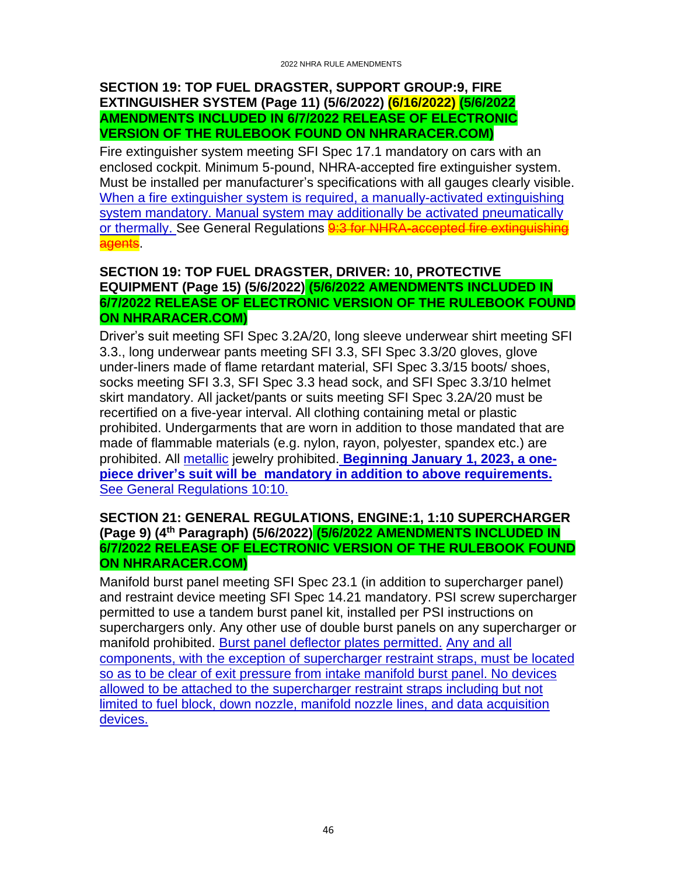#### <span id="page-45-0"></span>**SECTION 19: TOP FUEL DRAGSTER, SUPPORT GROUP:9, FIRE EXTINGUISHER SYSTEM (Page 11) (5/6/2022) (6/16/2022) (5/6/2022 AMENDMENTS INCLUDED IN 6/7/2022 RELEASE OF ELECTRONIC VERSION OF THE RULEBOOK FOUND ON NHRARACER.COM)**

Fire extinguisher system meeting SFI Spec 17.1 mandatory on cars with an enclosed cockpit. Minimum 5-pound, NHRA-accepted fire extinguisher system. Must be installed per manufacturer's specifications with all gauges clearly visible. When a fire extinguisher system is required, a manually-activated extinguishing system mandatory. Manual system may additionally be activated pneumatically or thermally. See General Regulations **9:3 for NHRA-accepted fire extinguishing** agents.

# <span id="page-45-1"></span>**SECTION 19: TOP FUEL DRAGSTER, DRIVER: 10, PROTECTIVE EQUIPMENT (Page 15) (5/6/2022) (5/6/2022 AMENDMENTS INCLUDED IN 6/7/2022 RELEASE OF ELECTRONIC VERSION OF THE RULEBOOK FOUND ON NHRARACER.COM)**

Driver's suit meeting SFI Spec 3.2A/20, long sleeve underwear shirt meeting SFI 3.3., long underwear pants meeting SFI 3.3, SFI Spec 3.3/20 gloves, glove under-liners made of flame retardant material, SFI Spec 3.3/15 boots/ shoes, socks meeting SFI 3.3, SFI Spec 3.3 head sock, and SFI Spec 3.3/10 helmet skirt mandatory. All jacket/pants or suits meeting SFI Spec 3.2A/20 must be recertified on a five-year interval. All clothing containing metal or plastic prohibited. Undergarments that are worn in addition to those mandated that are made of flammable materials (e.g. nylon, rayon, polyester, spandex etc.) are prohibited. All metallic jewelry prohibited. **Beginning January 1, 2023, a onepiece driver's suit will be mandatory in addition to above requirements.** See General Regulations 10:10.

#### <span id="page-45-2"></span>**SECTION 21: GENERAL REGULATIONS, ENGINE:1, 1:10 SUPERCHARGER (Page 9) (4th Paragraph) (5/6/2022) (5/6/2022 AMENDMENTS INCLUDED IN 6/7/2022 RELEASE OF ELECTRONIC VERSION OF THE RULEBOOK FOUND ON NHRARACER.COM)**

Manifold burst panel meeting SFI Spec 23.1 (in addition to supercharger panel) and restraint device meeting SFI Spec 14.21 mandatory. PSI screw supercharger permitted to use a tandem burst panel kit, installed per PSI instructions on superchargers only. Any other use of double burst panels on any supercharger or manifold prohibited. Burst panel deflector plates permitted. Any and all components, with the exception of supercharger restraint straps, must be located so as to be clear of exit pressure from intake manifold burst panel. No devices allowed to be attached to the supercharger restraint straps including but not limited to fuel block, down nozzle, manifold nozzle lines, and data acquisition devices.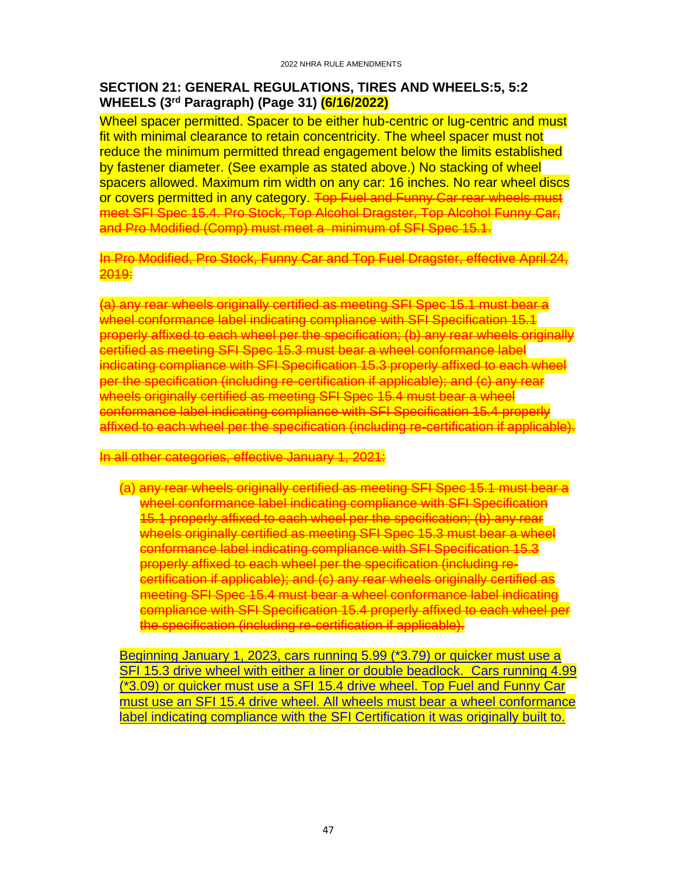### <span id="page-46-0"></span>**SECTION 21: GENERAL REGULATIONS, TIRES AND WHEELS:5, 5:2 WHEELS (3rd Paragraph) (Page 31) (6/16/2022)**

Wheel spacer permitted. Spacer to be either hub-centric or lug-centric and must fit with minimal clearance to retain concentricity. The wheel spacer must not reduce the minimum permitted thread engagement below the limits established by fastener diameter. (See example as stated above.) No stacking of wheel spacers allowed. Maximum rim width on any car: 16 inches. No rear wheel discs or covers permitted in any category. Top Fuel and Funny Car rear wheels must meet SFI Spec 15.4. Pro Stock, Top Alcohol Dragster, Top Alcohol Funny Car, and Pro Modified (Comp) must meet a minimum of SFI Spec 15.1.

In Pro Modified, Pro Stock, Funny Car and Top Fuel Dragster, effective April 24, 2019:

(a) any rear wheels originally certified as meeting SFI Spec 15.1 must bear a wheel conformance label indicating compliance with SFI Specification 15.1 properly affixed to each wheel per the specification; (b) any rear wheels originally certified as meeting SFI Spec 15.3 must bear a wheel conformance label indicating compliance with SFI Specification 15.3 properly affixed to each wheel per the specification (including re-certification if applicable); and (c) any rear wheels originally certified as meeting SFI Spec 15.4 must bear a wheel conformance label indicating compliance with SFI Specification 15.4 properly affixed to each wheel per the specification (including re-certification if applicable).

#### In all other categories, effective January 1, 2021:

(a) any rear wheels originally certified as meeting SFI Spec 15.1 must bear a wheel conformance label indicating compliance with SFI Specification 15.1 properly affixed to each wheel per the specification; (b) any rear wheels originally certified as meeting SFI Spec 15.3 must bear a wheel conformance label indicating compliance with SFI Specification 15.3 properly affixed to each wheel per the specification (including recertification if applicable); and (c) any rear wheels originally certified as meeting SFI Spec 15.4 must bear a wheel conformance label indicating compliance with SFI Specification 15.4 properly affixed to each wheel per the specification (including re-certification if applicable).

Beginning January 1, 2023, cars running 5.99 (\*3.79) or quicker must use a SFI 15.3 drive wheel with either a liner or double beadlock. Cars running 4.99 (\*3.09) or quicker must use a SFI 15.4 drive wheel. Top Fuel and Funny Car must use an SFI 15.4 drive wheel. All wheels must bear a wheel conformance label indicating compliance with the SFI Certification it was originally built to.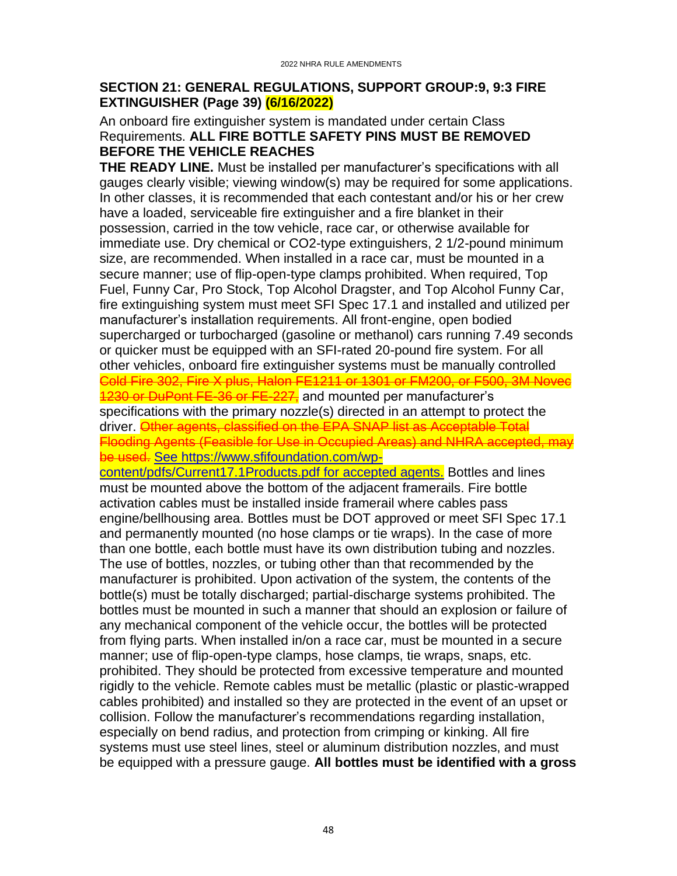### <span id="page-47-0"></span>**SECTION 21: GENERAL REGULATIONS, SUPPORT GROUP:9, 9:3 FIRE EXTINGUISHER (Page 39) (6/16/2022)**

#### An onboard fire extinguisher system is mandated under certain Class Requirements. **ALL FIRE BOTTLE SAFETY PINS MUST BE REMOVED BEFORE THE VEHICLE REACHES**

**THE READY LINE.** Must be installed per manufacturer's specifications with all gauges clearly visible; viewing window(s) may be required for some applications. In other classes, it is recommended that each contestant and/or his or her crew have a loaded, serviceable fire extinguisher and a fire blanket in their possession, carried in the tow vehicle, race car, or otherwise available for immediate use. Dry chemical or CO2-type extinguishers, 2 1/2-pound minimum size, are recommended. When installed in a race car, must be mounted in a secure manner; use of flip-open-type clamps prohibited. When required, Top Fuel, Funny Car, Pro Stock, Top Alcohol Dragster, and Top Alcohol Funny Car, fire extinguishing system must meet SFI Spec 17.1 and installed and utilized per manufacturer's installation requirements. All front-engine, open bodied supercharged or turbocharged (gasoline or methanol) cars running 7.49 seconds or quicker must be equipped with an SFI-rated 20-pound fire system. For all other vehicles, onboard fire extinguisher systems must be manually controlled Cold Fire 302, Fire X plus, Halon FE1211 or 1301 or FM200, or F500, 3M Novec 1230 or DuPont FE-36 or FE-227, and mounted per manufacturer's specifications with the primary nozzle(s) directed in an attempt to protect the driver. Other agents, classified on the EPA SNAP list as Acceptable Total Flooding Agents (Feasible for Use in Occupied Areas) and NHRA accepted, may be used. See https://www.sfifoundation.com/wp-

content/pdfs/Current17.1Products.pdf for accepted agents. Bottles and lines must be mounted above the bottom of the adjacent framerails. Fire bottle activation cables must be installed inside framerail where cables pass engine/bellhousing area. Bottles must be DOT approved or meet SFI Spec 17.1 and permanently mounted (no hose clamps or tie wraps). In the case of more than one bottle, each bottle must have its own distribution tubing and nozzles. The use of bottles, nozzles, or tubing other than that recommended by the manufacturer is prohibited. Upon activation of the system, the contents of the bottle(s) must be totally discharged; partial-discharge systems prohibited. The bottles must be mounted in such a manner that should an explosion or failure of any mechanical component of the vehicle occur, the bottles will be protected from flying parts. When installed in/on a race car, must be mounted in a secure manner; use of flip-open-type clamps, hose clamps, tie wraps, snaps, etc. prohibited. They should be protected from excessive temperature and mounted rigidly to the vehicle. Remote cables must be metallic (plastic or plastic-wrapped cables prohibited) and installed so they are protected in the event of an upset or collision. Follow the manufacturer's recommendations regarding installation, especially on bend radius, and protection from crimping or kinking. All fire systems must use steel lines, steel or aluminum distribution nozzles, and must be equipped with a pressure gauge. **All bottles must be identified with a gross**